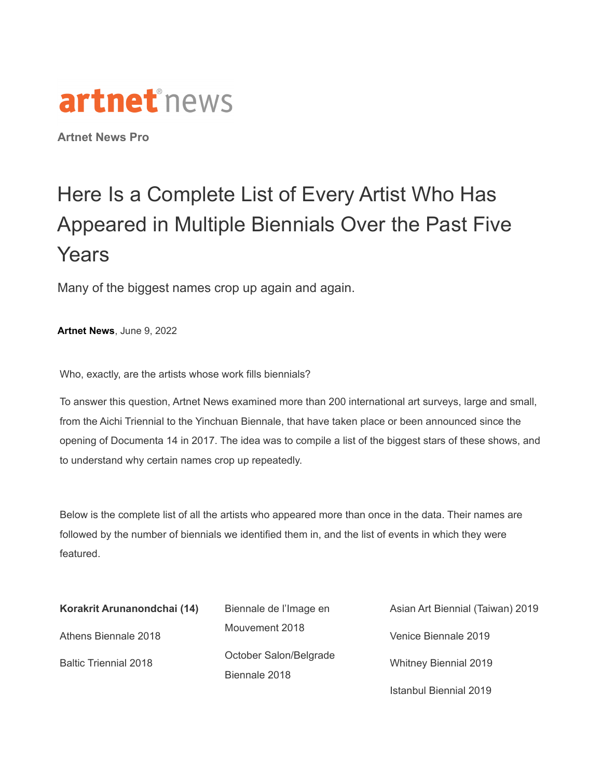

**Artnet News Pro**

## Here Is a Complete List of Every Artist Who Has Appeared in Multiple Biennials Over the Past Five Years

Many of the biggest names crop up again and again.

**[Artnet](https://news.artnet.com/about/artnet-news-39) News**, June 9, 2022

Who, exactly, are the artists whose work fills biennials?

To answer this question, Artnet News examined more than 200 international art surveys, large and small, from the Aichi Triennial to the Yinchuan Biennale, that have taken place or been announced since the opening of Documenta 14 in 2017. The idea was to compile a list of the biggest stars of these shows, and to understand why certain names crop up repeatedly.

Below is the complete list of all the artists who appeared more than once in the data. Their names are followed by the number of biennials we identified them in, and the list of events in which they were featured.

| Korakrit Arunanondchai (14)  | Biennale de l'Image en                  | Asian Art Biennial (Taiwan) 2019 |
|------------------------------|-----------------------------------------|----------------------------------|
| Athens Biennale 2018         | Mouvement 2018                          | Venice Biennale 2019             |
| <b>Baltic Triennial 2018</b> | October Salon/Belgrade<br>Biennale 2018 | <b>Whitney Biennial 2019</b>     |
|                              |                                         | Istanbul Biennial 2019           |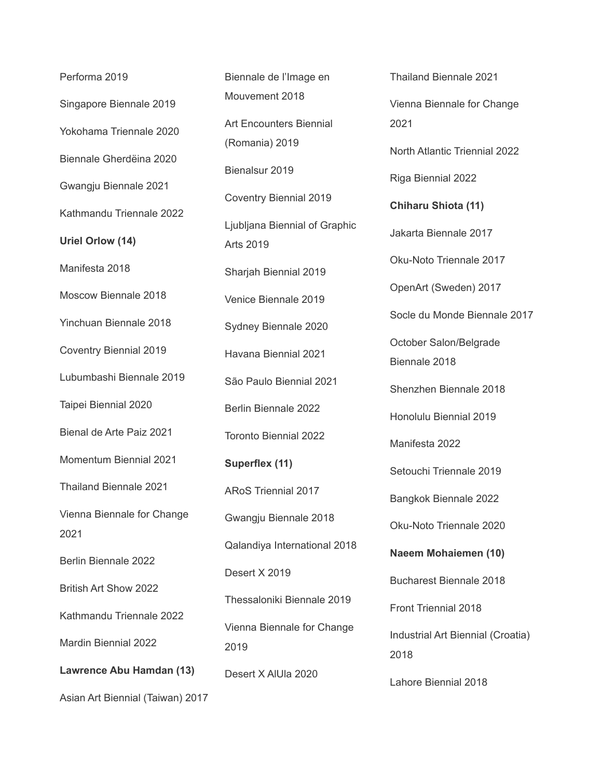Performa 2019 Singapore Biennale 2019 Yokohama Triennale 2020 Biennale Gherdëina 2020 Gwangju Biennale 2021 Kathmandu Triennale 2022 **Uriel Orlow (14)** Manifesta 2018 Moscow Biennale 2018 Yinchuan Biennale 2018 Coventry Biennial 2019 Lubumbashi Biennale 2019 Taipei Biennial 2020 Bienal de Arte Paiz 2021 Momentum Biennial 2021 Thailand Biennale 2021 Vienna Biennale for Change 2021 Berlin Biennale 2022 British Art Show 2022 Kathmandu Triennale 2022 Mardin Biennial 2022 **Lawrence Abu Hamdan (13)** Asian Art Biennial (Taiwan) 2017 Biennale de l'Image en Mouvement 2018 Art Encounters Biennial (Romania) 2019 Bienalsur 2019 Coventry Biennial 2019 Ljubljana Biennial of Graphic Arts 2019 Sharjah Biennial 2019 Venice Biennale 2019 Sydney Biennale 2020 Havana Biennial 2021 São Paulo Biennial 2021 Berlin Biennale 2022 Toronto Biennial 2022 **Superflex (11)** ARoS Triennial 2017 Gwangju Biennale 2018 Qalandiya International 2018 Desert X 2019 Thessaloniki Biennale 2019 Vienna Biennale for Change 2019 Desert X AlUla 2020

Thailand Biennale 2021 Vienna Biennale for Change 2021 North Atlantic Triennial 2022 Riga Biennial 2022 **Chiharu Shiota (11)** Jakarta Biennale 2017 Oku-Noto Triennale 2017 OpenArt (Sweden) 2017 Socle du Monde Biennale 2017 October Salon/Belgrade Biennale 2018 Shenzhen Biennale 2018 Honolulu Biennial 2019 Manifesta 2022 Setouchi Triennale 2019 Bangkok Biennale 2022 Oku-Noto Triennale 2020 **Naeem Mohaiemen (10)** Bucharest Biennale 2018 Front Triennial 2018 Industrial Art Biennial (Croatia) 2018 Lahore Biennial 2018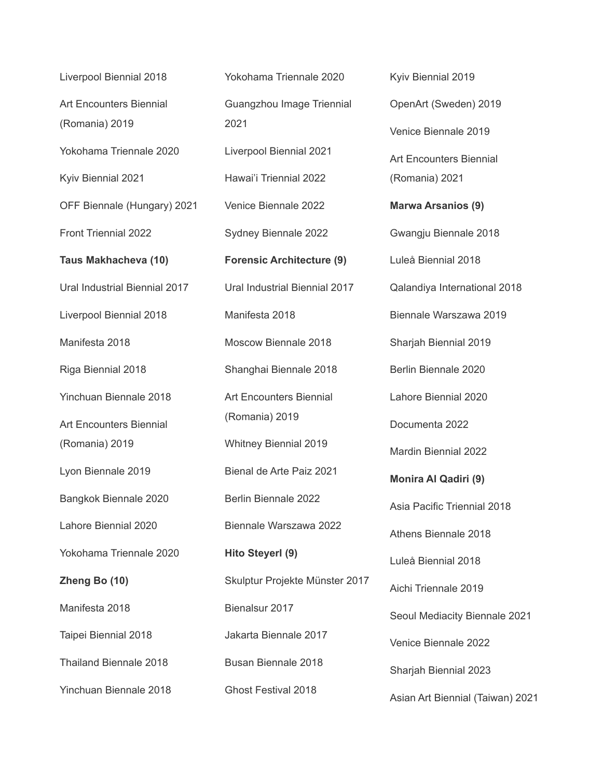Liverpool Biennial 2018 Art Encounters Biennial (Romania) 2019 Yokohama Triennale 2020 Kyiv Biennial 2021 OFF Biennale (Hungary) 2021 Front Triennial 2022 **Taus Makhacheva (10)** Ural Industrial Biennial 2017 Liverpool Biennial 2018 Manifesta 2018 Riga Biennial 2018 Yinchuan Biennale 2018 Art Encounters Biennial (Romania) 2019 Lyon Biennale 2019 Bangkok Biennale 2020 Lahore Biennial 2020 Yokohama Triennale 2020 **Zheng Bo (10)** Manifesta 2018 Taipei Biennial 2018 Thailand Biennale 2018 Yinchuan Biennale 2018

Yokohama Triennale 2020 Guangzhou Image Triennial 2021 Liverpool Biennial 2021 Hawai'i Triennial 2022 Venice Biennale 2022 Sydney Biennale 2022 **Forensic Architecture (9)** Ural Industrial Biennial 2017 Manifesta 2018 Moscow Biennale 2018 Shanghai Biennale 2018 Art Encounters Biennial (Romania) 2019 Whitney Biennial 2019 Bienal de Arte Paiz 2021 Berlin Biennale 2022 Biennale Warszawa 2022 **Hito Steyerl (9)** Skulptur Projekte Münster 2017 Bienalsur 2017 Jakarta Biennale 2017 Busan Biennale 2018 Ghost Festival 2018

Kyiv Biennial 2019 OpenArt (Sweden) 2019 Venice Biennale 2019 Art Encounters Biennial (Romania) 2021 **Marwa Arsanios (9)** Gwangju Biennale 2018 Luleå Biennial 2018 Qalandiya International 2018 Biennale Warszawa 2019 Sharjah Biennial 2019 Berlin Biennale 2020 Lahore Biennial 2020 Documenta 2022 Mardin Biennial 2022 **Monira Al Qadiri (9)** Asia Pacific Triennial 2018 Athens Biennale 2018 Luleå Biennial 2018 Aichi Triennale 2019 Seoul Mediacity Biennale 2021 Venice Biennale 2022 Sharjah Biennial 2023 Asian Art Biennial (Taiwan) 2021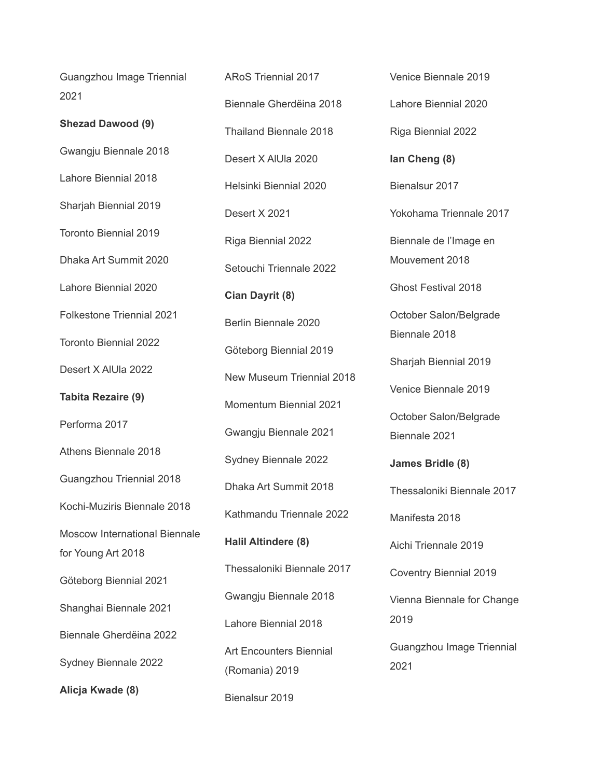Guangzhou Image Triennial 2021

**Shezad Dawood (9)** Gwangju Biennale 2018 Lahore Biennial 2018 Sharjah Biennial 2019 Toronto Biennial 2019 Dhaka Art Summit 2020 Lahore Biennial 2020 Folkestone Triennial 2021 Toronto Biennial 2022 Desert X AlUla 2022 **Tabita Rezaire (9)** Performa 2017 Athens Biennale 2018 Guangzhou Triennial 2018 Kochi-Muziris Biennale 2018 Moscow International Biennale for Young Art 2018 Göteborg Biennial 2021 Shanghai Biennale 2021 Biennale Gherdëina 2022 Sydney Biennale 2022 **Alicja Kwade (8)**

ARoS Triennial 2017 Biennale Gherdëina 2018 Thailand Biennale 2018 Desert X AlUla 2020 Helsinki Biennial 2020 Desert X 2021 Riga Biennial 2022 Setouchi Triennale 2022 **Cian Dayrit (8)** Berlin Biennale 2020 Göteborg Biennial 2019 New Museum Triennial 2018 Momentum Biennial 2021 Gwangju Biennale 2021 Sydney Biennale 2022 Dhaka Art Summit 2018 Kathmandu Triennale 2022 **Halil Altindere (8)** Thessaloniki Biennale 2017 Gwangju Biennale 2018 Lahore Biennial 2018 Art Encounters Biennial (Romania) 2019

Bienalsur 2019

Venice Biennale 2019 Lahore Biennial 2020 Riga Biennial 2022 **Ian Cheng (8)** Bienalsur 2017 Yokohama Triennale 2017 Biennale de l'Image en Mouvement 2018 Ghost Festival 2018 October Salon/Belgrade Biennale 2018 Sharjah Biennial 2019 Venice Biennale 2019 October Salon/Belgrade Biennale 2021 **James Bridle (8)** Thessaloniki Biennale 2017 Manifesta 2018 Aichi Triennale 2019 Coventry Biennial 2019 Vienna Biennale for Change 2019 Guangzhou Image Triennial 2021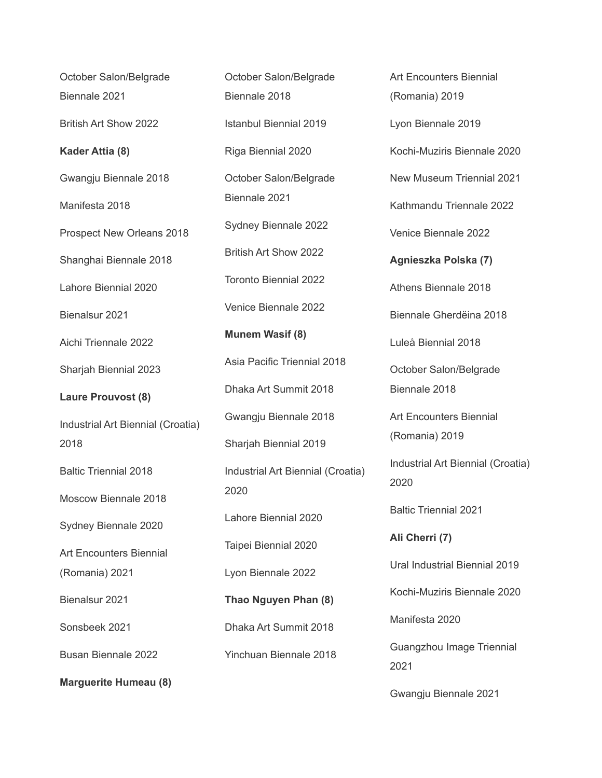| October Salon/Belgrade            | October Salon/Belgrade            |
|-----------------------------------|-----------------------------------|
| Biennale 2021                     | Biennale 2018                     |
| British Art Show 2022             | <b>Istanbul Biennial 2019</b>     |
| Kader Attia (8)                   | Riga Biennial 2020                |
| Gwangju Biennale 2018             | October Salon/Belgrade            |
| Manifesta 2018                    | Biennale 2021                     |
| Prospect New Orleans 2018         | Sydney Biennale 2022              |
| Shanghai Biennale 2018            | British Art Show 2022             |
| Lahore Biennial 2020              | <b>Toronto Biennial 2022</b>      |
| Bienalsur 2021                    | Venice Biennale 2022              |
| Aichi Triennale 2022              | <b>Munem Wasif (8)</b>            |
| Sharjah Biennial 2023             | Asia Pacific Triennial 2018       |
| <b>Laure Prouvost (8)</b>         | Dhaka Art Summit 2018             |
| Industrial Art Biennial (Croatia) | Gwangju Biennale 2018             |
| 2018                              | Sharjah Biennial 2019             |
| <b>Baltic Triennial 2018</b>      | Industrial Art Biennial (Croatia) |
| Moscow Biennale 2018              | 2020                              |
| Sydney Biennale 2020              | Lahore Biennial 2020              |
| <b>Art Encounters Biennial</b>    | Taipei Biennial 2020              |
| (Romania) 2021                    | Lyon Biennale 2022                |
| Bienalsur 2021                    | Thao Nguyen Phan (8)              |
| Sonsbeek 2021                     | Dhaka Art Summit 2018             |
| <b>Busan Biennale 2022</b>        | <b>Yinchuan Biennale 2018</b>     |
| <b>Marguerite Humeau (8)</b>      |                                   |

Art Encounters Biennial (Romania) 2019 Lyon Biennale 2019 Kochi-Muziris Biennale 2020 New Museum Triennial 2021 Kathmandu Triennale 2022 Venice Biennale 2022 **Agnieszka Polska (7)** Athens Biennale 2018 Biennale Gherdëina 2018 Luleå Biennial 2018 October Salon/Belgrade Biennale 2018 Art Encounters Biennial (Romania) 2019 Industrial Art Biennial (Croatia) 2020 Baltic Triennial 2021 **Ali Cherri (7)** Ural Industrial Biennial 2019 Kochi-Muziris Biennale 2020 Manifesta 2020 Guangzhou Image Triennial 2021 Gwangju Biennale 2021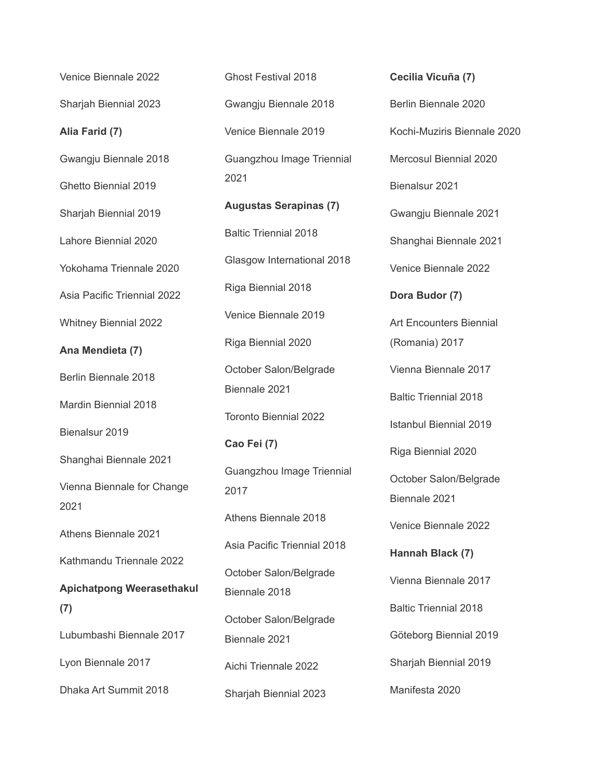Venice Biennale 2022 Sharjah Biennial 2023 **Alia Farid (7)** Gwangju Biennale 2018 Ghetto Biennial 2019 Sharjah Biennial 2019 Lahore Biennial 2020 Yokohama Triennale 2020 Asia Pacific Triennial 2022 Whitney Biennial 2022 **Ana Mendieta (7)** Berlin Biennale 2018 Mardin Biennial 2018 Bienalsur 2019 Shanghai Biennale 2021 Vienna Biennale for Change 2021 Athens Biennale 2021 Kathmandu Triennale 2022 **Apichatpong Weerasethakul (7)** Lubumbashi Biennale 2017 Lyon Biennale 2017 Dhaka Art Summit 2018

Ghost Festival 2018 Gwangju Biennale 2018 Venice Biennale 2019 Guangzhou Image Triennial 2021 **Augustas Serapinas (7)** Baltic Triennial 2018 Glasgow International 2018 Riga Biennial 2018 Venice Biennale 2019 Riga Biennial 2020 October Salon/Belgrade Biennale 2021 Toronto Biennial 2022 **Cao Fei (7)** Guangzhou Image Triennial 2017 Athens Biennale 2018 Asia Pacific Triennial 2018 October Salon/Belgrade Biennale 2018 October Salon/Belgrade Biennale 2021 Aichi Triennale 2022 Sharjah Biennial 2023

**Cecilia Vicuña (7)** Berlin Biennale 2020 Kochi-Muziris Biennale 2020 Mercosul Biennial 2020 Bienalsur 2021 Gwangju Biennale 2021 Shanghai Biennale 2021 Venice Biennale 2022 **Dora Budor (7)** Art Encounters Biennial (Romania) 2017 Vienna Biennale 2017 Baltic Triennial 2018 Istanbul Biennial 2019 Riga Biennial 2020 October Salon/Belgrade Biennale 2021 Venice Biennale 2022 **Hannah Black (7)** Vienna Biennale 2017 Baltic Triennial 2018 Göteborg Biennial 2019 Sharjah Biennial 2019 Manifesta 2020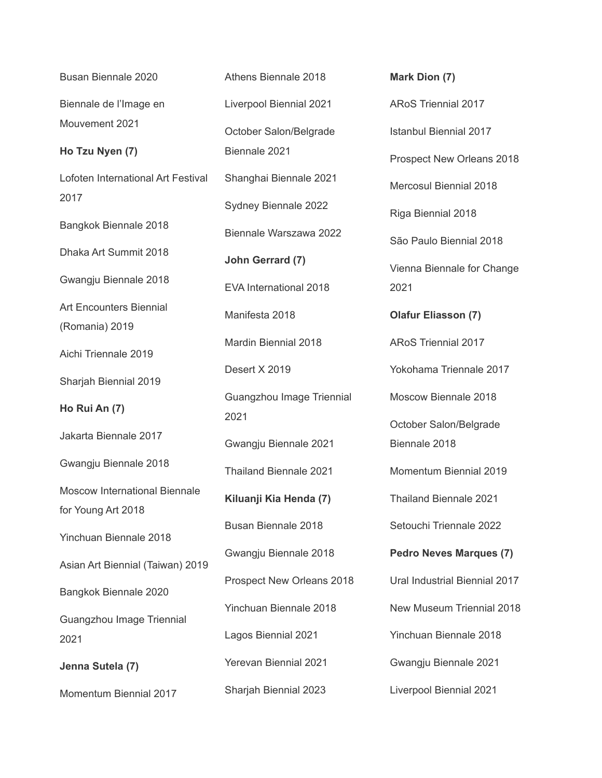Busan Biennale 2020 Biennale de l'Image en Mouvement 2021 **Ho Tzu Nyen (7)** Lofoten International Art Festival 2017 Bangkok Biennale 2018 Dhaka Art Summit 2018 Gwangju Biennale 2018 Art Encounters Biennial (Romania) 2019 Aichi Triennale 2019 Sharjah Biennial 2019 **Ho Rui An (7)** Jakarta Biennale 2017 Gwangju Biennale 2018 Moscow International Biennale for Young Art 2018 Yinchuan Biennale 2018 Asian Art Biennial (Taiwan) 2019 Bangkok Biennale 2020 Guangzhou Image Triennial 2021 **Jenna Sutela (7)** Momentum Biennial 2017

Athens Biennale 2018 Liverpool Biennial 2021 October Salon/Belgrade Biennale 2021 Shanghai Biennale 2021 Sydney Biennale 2022 Biennale Warszawa 2022 **John Gerrard (7)** EVA International 2018 Manifesta 2018 Mardin Biennial 2018 Desert X 2019 Guangzhou Image Triennial 2021 Gwangju Biennale 2021 Thailand Biennale 2021 **Kiluanji Kia Henda (7)** Busan Biennale 2018 Gwangju Biennale 2018 Prospect New Orleans 2018 Yinchuan Biennale 2018 Lagos Biennial 2021 Yerevan Biennial 2021 Sharjah Biennial 2023

**Mark Dion (7)** ARoS Triennial 2017 Istanbul Biennial 2017 Prospect New Orleans 2018 Mercosul Biennial 2018 Riga Biennial 2018 São Paulo Biennial 2018 Vienna Biennale for Change 2021 **Olafur Eliasson (7)** ARoS Triennial 2017 Yokohama Triennale 2017 Moscow Biennale 2018 October Salon/Belgrade Biennale 2018 Momentum Biennial 2019 Thailand Biennale 2021 Setouchi Triennale 2022 **Pedro Neves Marques (7)** Ural Industrial Biennial 2017 New Museum Triennial 2018 Yinchuan Biennale 2018 Gwangju Biennale 2021 Liverpool Biennial 2021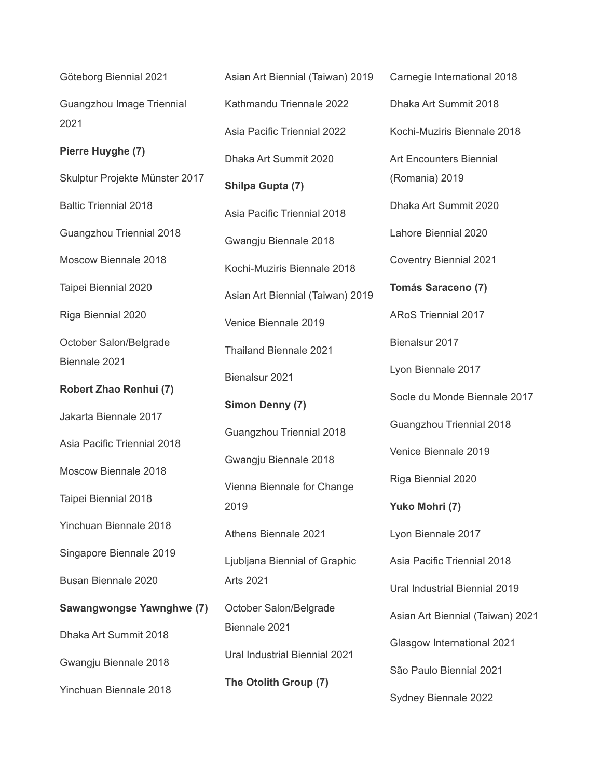Göteborg Biennial 2021 Guangzhou Image Triennial 2021

**Pierre Huyghe (7)**

Skulptur Projekte Münster 2017 Baltic Triennial 2018

Guangzhou Triennial 2018

Moscow Biennale 2018

Taipei Biennial 2020

Riga Biennial 2020

October Salon/Belgrade Biennale 2021

**Robert Zhao Renhui (7)**

Jakarta Biennale 2017

Asia Pacific Triennial 2018

Moscow Biennale 2018

Taipei Biennial 2018

Yinchuan Biennale 2018

Singapore Biennale 2019

Busan Biennale 2020

**Sawangwongse Yawnghwe (7)**

Dhaka Art Summit 2018

Gwangju Biennale 2018

Yinchuan Biennale 2018

Asian Art Biennial (Taiwan) 2019 Kathmandu Triennale 2022 Asia Pacific Triennial 2022 Dhaka Art Summit 2020 **Shilpa Gupta (7)** Asia Pacific Triennial 2018 Gwangju Biennale 2018 Kochi-Muziris Biennale 2018 Asian Art Biennial (Taiwan) 2019 Venice Biennale 2019 Thailand Biennale 2021 Bienalsur 2021 **Simon Denny (7)** Guangzhou Triennial 2018 Gwangju Biennale 2018 Vienna Biennale for Change 2019 Athens Biennale 2021 Ljubljana Biennial of Graphic Arts 2021 October Salon/Belgrade Biennale 2021 Ural Industrial Biennial 2021 **The Otolith Group (7)**

Carnegie International 2018 Dhaka Art Summit 2018 Kochi-Muziris Biennale 2018 Art Encounters Biennial (Romania) 2019 Dhaka Art Summit 2020 Lahore Biennial 2020 Coventry Biennial 2021 **Tomás Saraceno (7)** ARoS Triennial 2017 Bienalsur 2017 Lyon Biennale 2017 Socle du Monde Biennale 2017 Guangzhou Triennial 2018 Venice Biennale 2019 Riga Biennial 2020 **Yuko Mohri (7)** Lyon Biennale 2017 Asia Pacific Triennial 2018 Ural Industrial Biennial 2019 Asian Art Biennial (Taiwan) 2021 Glasgow International 2021 São Paulo Biennial 2021 Sydney Biennale 2022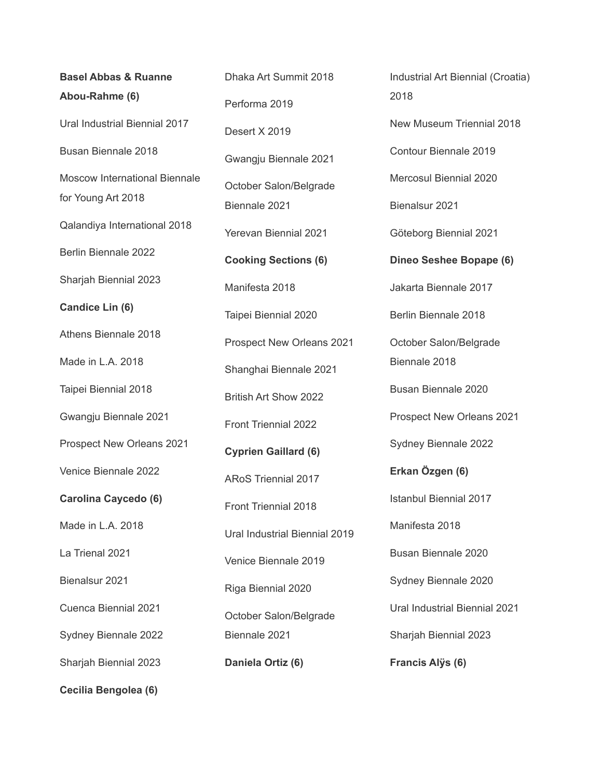**Basel Abbas & Ruanne Abou-Rahme (6)** Ural Industrial Biennial 2017 Busan Biennale 2018 Moscow International Biennale for Young Art 2018 Qalandiya International 2018 Berlin Biennale 2022 Sharjah Biennial 2023 **Candice Lin (6)** Athens Biennale 2018 Made in L.A. 2018 Taipei Biennial 2018 Gwangju Biennale 2021 Prospect New Orleans 2021 Venice Biennale 2022 **Carolina Caycedo (6)** Made in L.A. 2018 La Trienal 2021 Bienalsur 2021 Cuenca Biennial 2021 Sydney Biennale 2022 Sharjah Biennial 2023

**Cecilia Bengolea (6)**

Dhaka Art Summit 2018 Performa 2019 Desert X 2019 Gwangju Biennale 2021 October Salon/Belgrade Biennale 2021 Yerevan Biennial 2021 **Cooking Sections (6)** Manifesta 2018 Taipei Biennial 2020 Prospect New Orleans 2021 Shanghai Biennale 2021 British Art Show 2022 Front Triennial 2022 **Cyprien Gaillard (6)** ARoS Triennial 2017 Front Triennial 2018 Ural Industrial Biennial 2019 Venice Biennale 2019 Riga Biennial 2020 October Salon/Belgrade Biennale 2021 **Daniela Ortiz (6)**

Industrial Art Biennial (Croatia) 2018 New Museum Triennial 2018 Contour Biennale 2019 Mercosul Biennial 2020 Bienalsur 2021 Göteborg Biennial 2021 **Dineo Seshee Bopape (6)** Jakarta Biennale 2017 Berlin Biennale 2018 October Salon/Belgrade Biennale 2018 Busan Biennale 2020 Prospect New Orleans 2021 Sydney Biennale 2022 **Erkan Özgen (6)** Istanbul Biennial 2017 Manifesta 2018 Busan Biennale 2020 Sydney Biennale 2020 Ural Industrial Biennial 2021 Sharjah Biennial 2023 **Francis Alÿs (6)**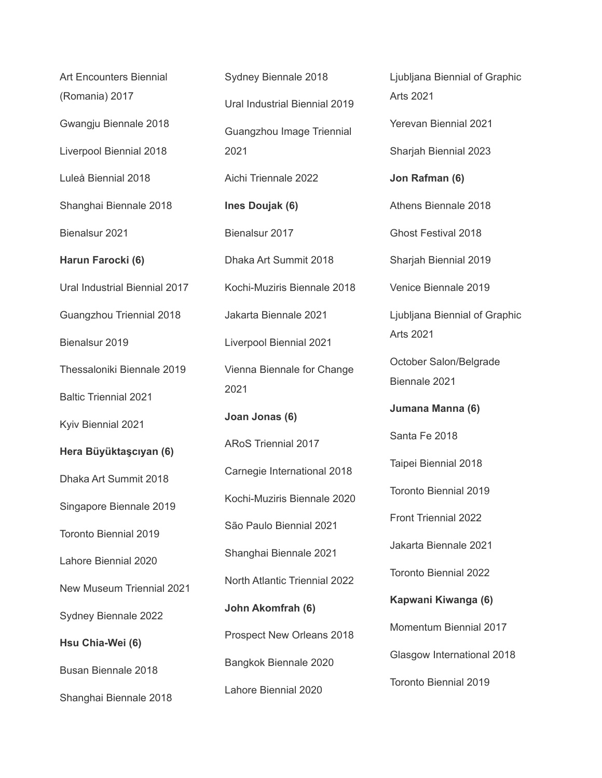Art Encounters Biennial (Romania) 2017 Gwangju Biennale 2018 Liverpool Biennial 2018 Luleå Biennial 2018 Shanghai Biennale 2018 Bienalsur 2021 **Harun Farocki (6)** Ural Industrial Biennial 2017 Guangzhou Triennial 2018 Bienalsur 2019 Thessaloniki Biennale 2019 Baltic Triennial 2021 Kyiv Biennial 2021 **Hera Büyüktaşcıyan (6)** Dhaka Art Summit 2018 Singapore Biennale 2019 Toronto Biennial 2019 Lahore Biennial 2020 New Museum Triennial 2021 Sydney Biennale 2022 **Hsu Chia-Wei (6)** Busan Biennale 2018 Shanghai Biennale 2018

Sydney Biennale 2018 Ural Industrial Biennial 2019 Guangzhou Image Triennial 2021 Aichi Triennale 2022 **Ines Doujak (6)** Bienalsur 2017 Dhaka Art Summit 2018 Kochi-Muziris Biennale 2018 Jakarta Biennale 2021 Liverpool Biennial 2021 Vienna Biennale for Change 2021 **Joan Jonas (6)** ARoS Triennial 2017 Carnegie International 2018 Kochi-Muziris Biennale 2020 São Paulo Biennial 2021 Shanghai Biennale 2021 North Atlantic Triennial 2022 **John Akomfrah (6)** Prospect New Orleans 2018 Bangkok Biennale 2020 Lahore Biennial 2020

Ljubljana Biennial of Graphic Arts 2021 Yerevan Biennial 2021 Sharjah Biennial 2023 **Jon Rafman (6)** Athens Biennale 2018 Ghost Festival 2018 Sharjah Biennial 2019 Venice Biennale 2019 Ljubljana Biennial of Graphic Arts 2021 October Salon/Belgrade Biennale 2021 **Jumana Manna (6)** Santa Fe 2018 Taipei Biennial 2018 Toronto Biennial 2019 Front Triennial 2022 Jakarta Biennale 2021 Toronto Biennial 2022 **Kapwani Kiwanga (6)** Momentum Biennial 2017 Glasgow International 2018 Toronto Biennial 2019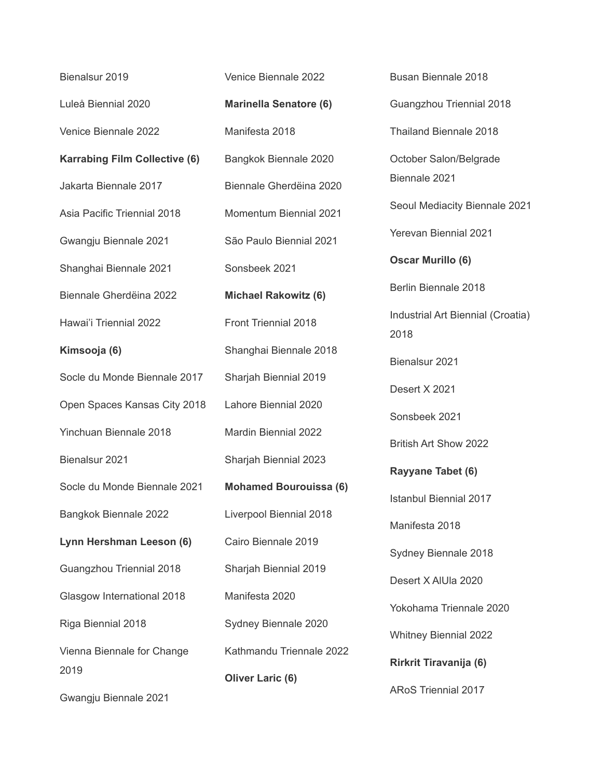| Bienalsur 2019                       | Venice Biennale 2022          |
|--------------------------------------|-------------------------------|
| Luleå Biennial 2020                  | <b>Marinella Senatore (6)</b> |
| Venice Biennale 2022                 | Manifesta 2018                |
| <b>Karrabing Film Collective (6)</b> | Bangkok Biennale 2020         |
| Jakarta Biennale 2017                | Biennale Gherdëina 2020       |
| Asia Pacific Triennial 2018          | <b>Momentum Biennial 2021</b> |
| Gwangju Biennale 2021                | São Paulo Biennial 2021       |
| Shanghai Biennale 2021               | Sonsbeek 2021                 |
| Biennale Gherdëina 2022              | <b>Michael Rakowitz (6)</b>   |
| Hawai'i Triennial 2022               | <b>Front Triennial 2018</b>   |
| Kimsooja (6)                         | Shanghai Biennale 2018        |
| Socle du Monde Biennale 2017         | Sharjah Biennial 2019         |
| Open Spaces Kansas City 2018         | Lahore Biennial 2020          |
| <b>Yinchuan Biennale 2018</b>        | <b>Mardin Biennial 2022</b>   |
| Bienalsur 2021                       | Sharjah Biennial 2023         |
| Socle du Monde Biennale 2021         | <b>Mohamed Bourouissa (6)</b> |
| Bangkok Biennale 2022                | Liverpool Biennial 2018       |
| Lynn Hershman Leeson (6)             | Cairo Biennale 2019           |
| Guangzhou Triennial 2018             | Sharjah Biennial 2019         |
| Glasgow International 2018           | Manifesta 2020                |
| Riga Biennial 2018                   | Sydney Biennale 2020          |
| Vienna Biennale for Change           | Kathmandu Triennale 2022      |
| 2019                                 | <b>Oliver Laric (6)</b>       |
| Gwangju Biennale 2021                |                               |

Guangzhou Triennial 2018 Thailand Biennale 2018 October Salon/Belgrade Biennale 2021 Seoul Mediacity Biennale 2021 Yerevan Biennial 2021 **Oscar Murillo (6)** Berlin Biennale 2018 Industrial Art Biennial (Croatia) 2018 Bienalsur 2021 Desert X 2021 Sonsbeek 2021 British Art Show 2022 **Rayyane Tabet (6)** Istanbul Biennial 2017 Manifesta 2018 Sydney Biennale 2018 Desert X AlUla 2020 Yokohama Triennale 2020 Whitney Biennial 2022 **Rirkrit Tiravanija (6)** ARoS Triennial 2017

Busan Biennale 2018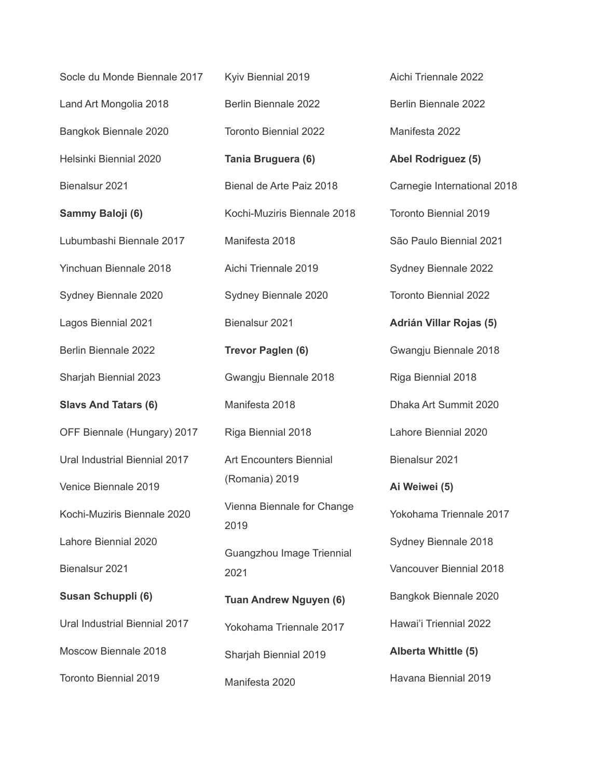| Socle du Monde Biennale 2017  | Kyiv Biennial 2019                 | Aichi Triennale 2022         |
|-------------------------------|------------------------------------|------------------------------|
| Land Art Mongolia 2018        | Berlin Biennale 2022               | Berlin Biennale 2022         |
| Bangkok Biennale 2020         | <b>Toronto Biennial 2022</b>       | Manifesta 2022               |
| Helsinki Biennial 2020        | Tania Bruguera (6)                 | Abel Rodriguez (5)           |
| Bienalsur 2021                | Bienal de Arte Paiz 2018           | Carnegie International 2018  |
| Sammy Baloji (6)              | Kochi-Muziris Biennale 2018        | <b>Toronto Biennial 2019</b> |
| Lubumbashi Biennale 2017      | Manifesta 2018                     | São Paulo Biennial 2021      |
| Yinchuan Biennale 2018        | Aichi Triennale 2019               | Sydney Biennale 2022         |
| Sydney Biennale 2020          | Sydney Biennale 2020               | <b>Toronto Biennial 2022</b> |
| Lagos Biennial 2021           | Bienalsur 2021                     | Adrián Villar Rojas (5)      |
| Berlin Biennale 2022          | Trevor Paglen (6)                  | Gwangju Biennale 2018        |
| Sharjah Biennial 2023         | Gwangju Biennale 2018              | Riga Biennial 2018           |
| <b>Slavs And Tatars (6)</b>   | Manifesta 2018                     | Dhaka Art Summit 2020        |
| OFF Biennale (Hungary) 2017   | Riga Biennial 2018                 | Lahore Biennial 2020         |
| Ural Industrial Biennial 2017 | <b>Art Encounters Biennial</b>     | Bienalsur 2021               |
| Venice Biennale 2019          | (Romania) 2019                     | Ai Weiwei (5)                |
| Kochi-Muziris Biennale 2020   | Vienna Biennale for Change<br>2019 | Yokohama Triennale 2017      |
| Lahore Biennial 2020          | Guangzhou Image Triennial          | Sydney Biennale 2018         |
| Bienalsur 2021                | 2021                               | Vancouver Biennial 2018      |
| Susan Schuppli (6)            | <b>Tuan Andrew Nguyen (6)</b>      | Bangkok Biennale 2020        |
| Ural Industrial Biennial 2017 | Yokohama Triennale 2017            | Hawai'i Triennial 2022       |
| Moscow Biennale 2018          | Sharjah Biennial 2019              | Alberta Whittle (5)          |
| Toronto Biennial 2019         | Manifesta 2020                     | Havana Biennial 2019         |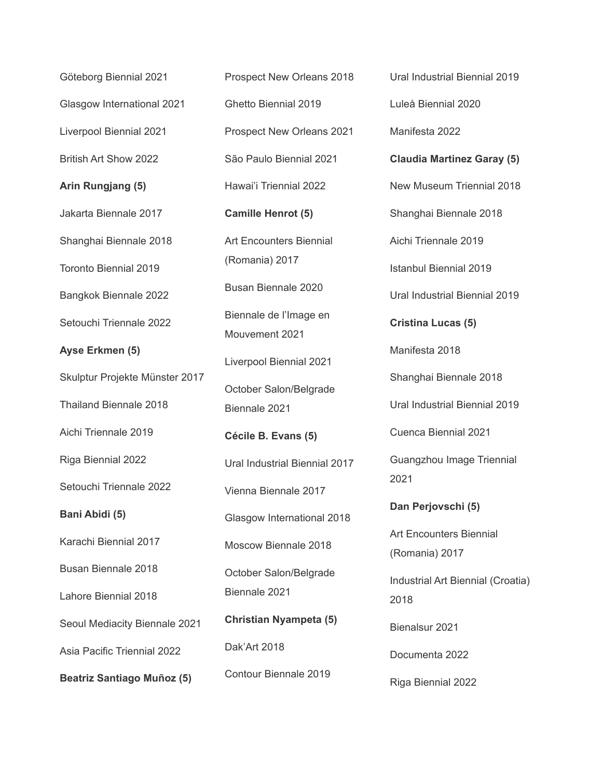Göteborg Biennial 2021 Glasgow International 2021 Liverpool Biennial 2021 British Art Show 2022 **Arin Rungjang (5)** Jakarta Biennale 2017 Shanghai Biennale 2018 Toronto Biennial 2019 Bangkok Biennale 2022 Setouchi Triennale 2022 **Ayse Erkmen (5)** Skulptur Projekte Münster 2017 Thailand Biennale 2018 Aichi Triennale 2019 Riga Biennial 2022 Setouchi Triennale 2022 **Bani Abidi (5)** Karachi Biennial 2017 Busan Biennale 2018 Lahore Biennial 2018 Seoul Mediacity Biennale 2021 Asia Pacific Triennial 2022 **Beatriz Santiago Muñoz (5)**

Prospect New Orleans 2018 Ghetto Biennial 2019 Prospect New Orleans 2021 São Paulo Biennial 2021 Hawai'i Triennial 2022 **Camille Henrot (5)** Art Encounters Biennial (Romania) 2017 Busan Biennale 2020 Biennale de l'Image en Mouvement 2021 Liverpool Biennial 2021 October Salon/Belgrade Biennale 2021 **Cécile B. Evans (5)** Ural Industrial Biennial 2017 Vienna Biennale 2017 Glasgow International 2018 Moscow Biennale 2018 October Salon/Belgrade Biennale 2021 **Christian Nyampeta (5)** Dak'Art 2018 Contour Biennale 2019

Ural Industrial Biennial 2019 Luleå Biennial 2020 Manifesta 2022 **Claudia Martinez Garay (5)** New Museum Triennial 2018 Shanghai Biennale 2018 Aichi Triennale 2019 Istanbul Biennial 2019 Ural Industrial Biennial 2019 **Cristina Lucas (5)** Manifesta 2018 Shanghai Biennale 2018 Ural Industrial Biennial 2019 Cuenca Biennial 2021 Guangzhou Image Triennial 2021 **Dan Perjovschi (5)** Art Encounters Biennial (Romania) 2017 Industrial Art Biennial (Croatia) 2018 Bienalsur 2021 Documenta 2022 Riga Biennial 2022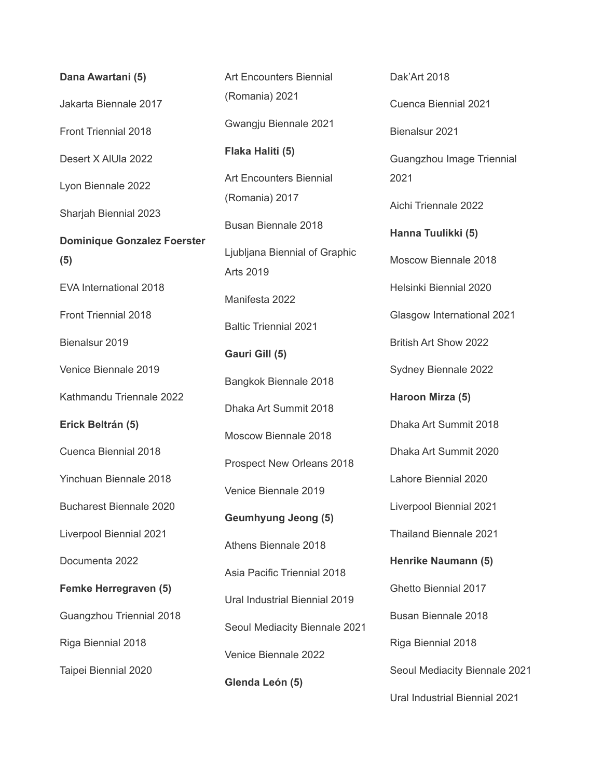**Dana Awartani (5)** Jakarta Biennale 2017 Front Triennial 2018 Desert X AlUla 2022 Lyon Biennale 2022 Sharjah Biennial 2023 **Dominique Gonzalez Foerster (5)** EVA International 2018 Front Triennial 2018 Bienalsur 2019 Venice Biennale 2019 Kathmandu Triennale 2022 **Erick Beltrán (5)** Cuenca Biennial 2018 Yinchuan Biennale 2018 Bucharest Biennale 2020 Liverpool Biennial 2021 Documenta 2022 **Femke Herregraven (5)** Guangzhou Triennial 2018 Riga Biennial 2018 Taipei Biennial 2020

Art Encounters Biennial (Romania) 2021 Gwangju Biennale 2021 **Flaka Haliti (5)** Art Encounters Biennial (Romania) 2017 Busan Biennale 2018 Ljubljana Biennial of Graphic Arts 2019 Manifesta 2022 Baltic Triennial 2021 **Gauri Gill (5)** Bangkok Biennale 2018 Dhaka Art Summit 2018 Moscow Biennale 2018 Prospect New Orleans 2018 Venice Biennale 2019 **Geumhyung Jeong (5)** Athens Biennale 2018 Asia Pacific Triennial 2018 Ural Industrial Biennial 2019 Seoul Mediacity Biennale 2021 Venice Biennale 2022 **Glenda León (5)**

Cuenca Biennial 2021 Bienalsur 2021 Guangzhou Image Triennial 2021 Aichi Triennale 2022 **Hanna Tuulikki (5)** Moscow Biennale 2018 Helsinki Biennial 2020 Glasgow International 2021 British Art Show 2022 Sydney Biennale 2022 **Haroon Mirza (5)** Dhaka Art Summit 2018 Dhaka Art Summit 2020 Lahore Biennial 2020 Liverpool Biennial 2021 Thailand Biennale 2021 **Henrike Naumann (5)** Ghetto Biennial 2017 Busan Biennale 2018 Riga Biennial 2018 Seoul Mediacity Biennale 2021 Ural Industrial Biennial 2021

Dak'Art 2018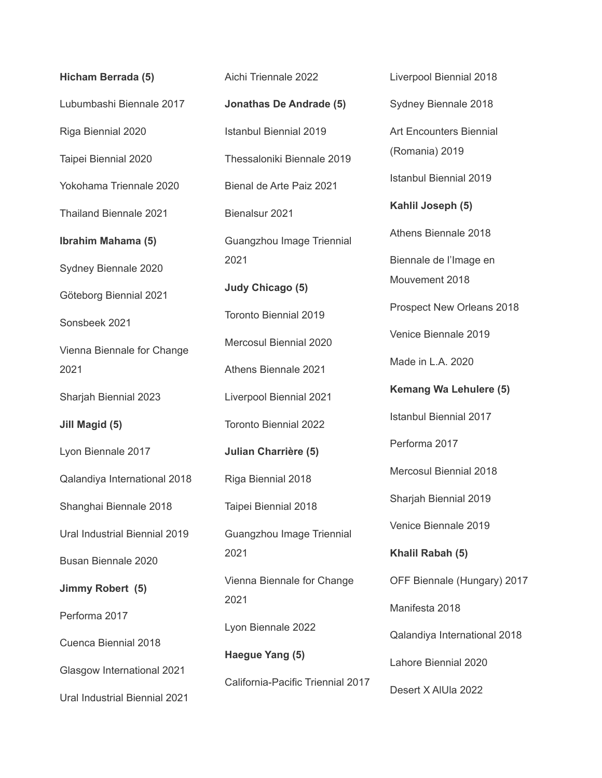**Hicham Berrada (5)** Lubumbashi Biennale 2017 Riga Biennial 2020 Taipei Biennial 2020 Yokohama Triennale 2020 Thailand Biennale 2021 **Ibrahim Mahama (5)** Sydney Biennale 2020 Göteborg Biennial 2021 Sonsbeek 2021 Vienna Biennale for Change 2021 Sharjah Biennial 2023 **Jill Magid (5)** Lyon Biennale 2017 Qalandiya International 2018 Shanghai Biennale 2018 Ural Industrial Biennial 2019 Busan Biennale 2020 **Jimmy Robert (5)** Performa 2017 Cuenca Biennial 2018 Glasgow International 2021 Ural Industrial Biennial 2021

Aichi Triennale 2022 **Jonathas De Andrade (5)** Istanbul Biennial 2019 Thessaloniki Biennale 2019 Bienal de Arte Paiz 2021 Bienalsur 2021 Guangzhou Image Triennial 2021 **Judy Chicago (5)** Toronto Biennial 2019 Mercosul Biennial 2020 Athens Biennale 2021 Liverpool Biennial 2021 Toronto Biennial 2022 **Julian Charrière (5)** Riga Biennial 2018 Taipei Biennial 2018 Guangzhou Image Triennial 2021 Vienna Biennale for Change 2021 Lyon Biennale 2022 **Haegue Yang (5)** California-Pacific Triennial 2017 Liverpool Biennial 2018 Sydney Biennale 2018 Art Encounters Biennial (Romania) 2019 Istanbul Biennial 2019 **Kahlil Joseph (5)** Athens Biennale 2018 Biennale de l'Image en Mouvement 2018 Prospect New Orleans 2018 Venice Biennale 2019 Made in L.A. 2020 **Kemang Wa Lehulere (5)** Istanbul Biennial 2017 Performa 2017 Mercosul Biennial 2018 Sharjah Biennial 2019 Venice Biennale 2019 **Khalil Rabah (5)** OFF Biennale (Hungary) 2017 Manifesta 2018 Qalandiya International 2018 Lahore Biennial 2020 Desert X AlUla 2022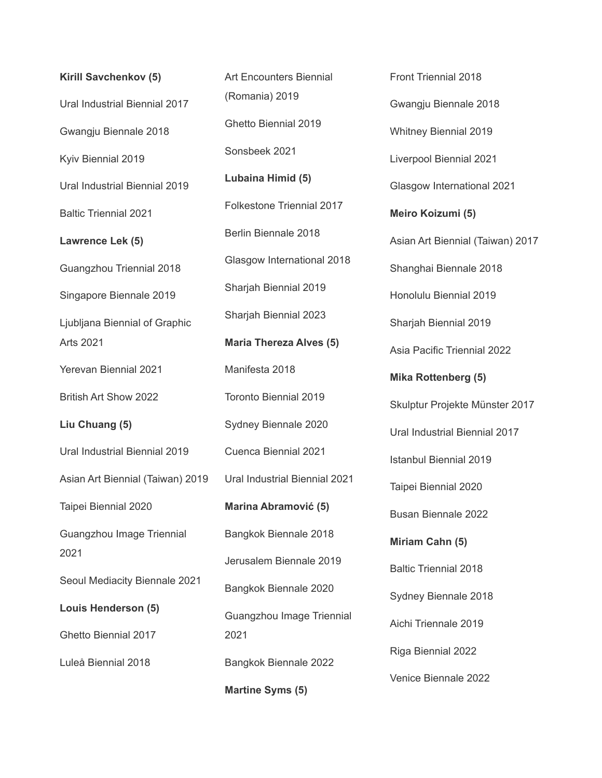**Kirill Savchenkov (5)** Ural Industrial Biennial 2017 Gwangju Biennale 2018 Kyiv Biennial 2019 Ural Industrial Biennial 2019 Baltic Triennial 2021 **Lawrence Lek (5)** Guangzhou Triennial 2018 Singapore Biennale 2019 Ljubljana Biennial of Graphic Arts 2021 Yerevan Biennial 2021 British Art Show 2022 **Liu Chuang (5)** Ural Industrial Biennial 2019 Asian Art Biennial (Taiwan) 2019 Taipei Biennial 2020 Guangzhou Image Triennial 2021 Seoul Mediacity Biennale 2021 **Louis Henderson (5)** Ghetto Biennial 2017 Luleå Biennial 2018

Art Encounters Biennial (Romania) 2019 Ghetto Biennial 2019 Sonsbeek 2021 **Lubaina Himid (5)** Folkestone Triennial 2017 Berlin Biennale 2018 Glasgow International 2018 Sharjah Biennial 2019 Sharjah Biennial 2023 **Maria Thereza Alves (5)** Manifesta 2018 Toronto Biennial 2019 Sydney Biennale 2020 Cuenca Biennial 2021 Ural Industrial Biennial 2021 **Marina Abramović (5)** Bangkok Biennale 2018 Jerusalem Biennale 2019 Bangkok Biennale 2020 Guangzhou Image Triennial 2021 Bangkok Biennale 2022 **Martine Syms (5)**

Front Triennial 2018 Gwangju Biennale 2018 Whitney Biennial 2019 Liverpool Biennial 2021 Glasgow International 2021 **Meiro Koizumi (5)** Asian Art Biennial (Taiwan) 2017 Shanghai Biennale 2018 Honolulu Biennial 2019 Sharjah Biennial 2019 Asia Pacific Triennial 2022 **Mika Rottenberg (5)** Skulptur Projekte Münster 2017 Ural Industrial Biennial 2017 Istanbul Biennial 2019 Taipei Biennial 2020 Busan Biennale 2022 **Miriam Cahn (5)** Baltic Triennial 2018 Sydney Biennale 2018 Aichi Triennale 2019 Riga Biennial 2022 Venice Biennale 2022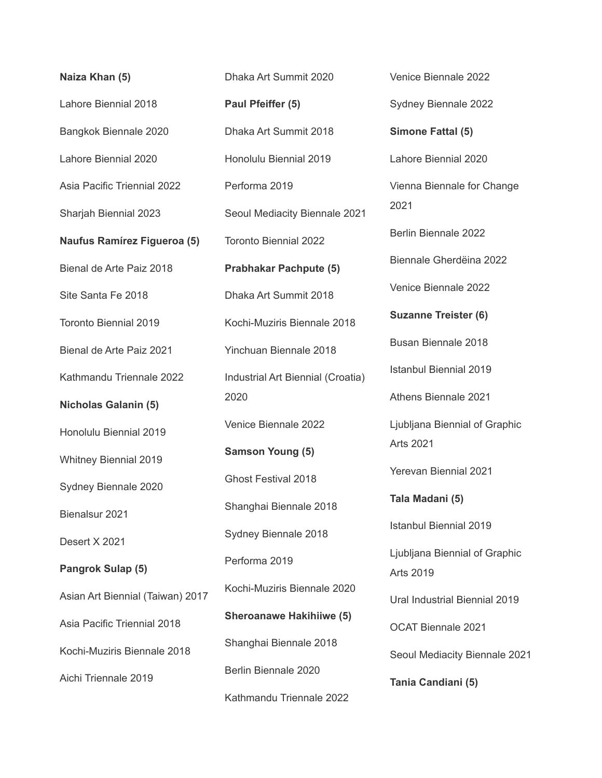**Naiza Khan (5)** Lahore Biennial 2018 Bangkok Biennale 2020 Lahore Biennial 2020 Asia Pacific Triennial 2022 Sharjah Biennial 2023 **Naufus Ramírez Figueroa (5)** Bienal de Arte Paiz 2018 Site Santa Fe 2018 Toronto Biennial 2019 Bienal de Arte Paiz 2021 Kathmandu Triennale 2022 **Nicholas Galanin (5)** Honolulu Biennial 2019 Whitney Biennial 2019 Sydney Biennale 2020 Bienalsur 2021 Desert X 2021 **Pangrok Sulap (5)** Asian Art Biennial (Taiwan) 2017 Asia Pacific Triennial 2018 Kochi-Muziris Biennale 2018 Aichi Triennale 2019

Dhaka Art Summit 2020 **Paul Pfeiffer (5)** Dhaka Art Summit 2018 Honolulu Biennial 2019 Performa 2019 Seoul Mediacity Biennale 2021 Toronto Biennial 2022 **Prabhakar Pachpute (5)** Dhaka Art Summit 2018 Kochi-Muziris Biennale 2018 Yinchuan Biennale 2018 Industrial Art Biennial (Croatia) 2020 Venice Biennale 2022 **Samson Young (5)** Ghost Festival 2018 Shanghai Biennale 2018 Sydney Biennale 2018 Performa 2019 Kochi-Muziris Biennale 2020 **Sheroanawe Hakihiiwe (5)** Shanghai Biennale 2018 Berlin Biennale 2020 Kathmandu Triennale 2022

Sydney Biennale 2022 **Simone Fattal (5)** Lahore Biennial 2020 Vienna Biennale for Change 2021 Berlin Biennale 2022 Biennale Gherdëina 2022 Venice Biennale 2022 **Suzanne Treister (6)** Busan Biennale 2018 Istanbul Biennial 2019 Athens Biennale 2021 Ljubljana Biennial of Graphic Arts 2021 Yerevan Biennial 2021 **Tala Madani (5)** Istanbul Biennial 2019 Ljubljana Biennial of Graphic Arts 2019 Ural Industrial Biennial 2019 OCAT Biennale 2021 Seoul Mediacity Biennale 2021 **Tania Candiani (5)**

Venice Biennale 2022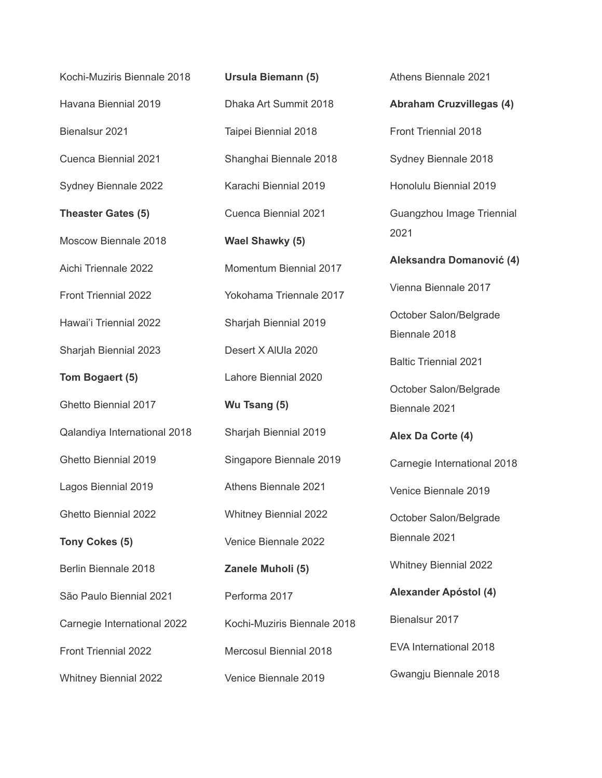Kochi-Muziris Biennale 2018 Havana Biennial 2019 Bienalsur 2021 Cuenca Biennial 2021 Sydney Biennale 2022 **Theaster Gates (5)** Moscow Biennale 2018 Aichi Triennale 2022 Front Triennial 2022 Hawai'i Triennial 2022 Sharjah Biennial 2023 **Tom Bogaert (5)** Ghetto Biennial 2017 Qalandiya International 2018 Ghetto Biennial 2019 Lagos Biennial 2019 Ghetto Biennial 2022 **Tony Cokes (5)** Berlin Biennale 2018 São Paulo Biennial 2021 Carnegie International 2022 Front Triennial 2022 Whitney Biennial 2022

**Ursula Biemann (5)** Dhaka Art Summit 2018 Taipei Biennial 2018 Shanghai Biennale 2018 Karachi Biennial 2019 Cuenca Biennial 2021 **Wael Shawky (5)** Momentum Biennial 2017 Yokohama Triennale 2017 Sharjah Biennial 2019 Desert X AlUla 2020 Lahore Biennial 2020 **Wu Tsang (5)** Sharjah Biennial 2019 Singapore Biennale 2019 Athens Biennale 2021 Whitney Biennial 2022 Venice Biennale 2022 **Zanele Muholi (5)** Performa 2017 Kochi-Muziris Biennale 2018 Mercosul Biennial 2018 Venice Biennale 2019

Athens Biennale 2021 **Abraham Cruzvillegas (4)** Front Triennial 2018 Sydney Biennale 2018 Honolulu Biennial 2019 Guangzhou Image Triennial 2021 **Aleksandra Domanović (4)** Vienna Biennale 2017 October Salon/Belgrade Biennale 2018 Baltic Triennial 2021 October Salon/Belgrade Biennale 2021 **Alex Da Corte (4)** Carnegie International 2018 Venice Biennale 2019 October Salon/Belgrade Biennale 2021 Whitney Biennial 2022 **Alexander Apóstol (4)** Bienalsur 2017 EVA International 2018 Gwangju Biennale 2018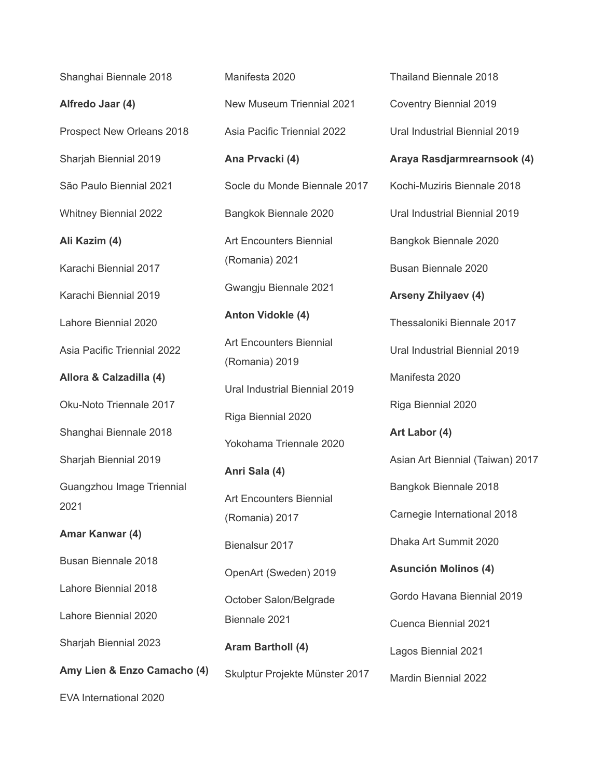Shanghai Biennale 2018 **Alfredo Jaar (4)** Prospect New Orleans 2018 Sharjah Biennial 2019 São Paulo Biennial 2021 Whitney Biennial 2022 **Ali Kazim (4)** Karachi Biennial 2017 Karachi Biennial 2019 Lahore Biennial 2020 Asia Pacific Triennial 2022 **Allora & Calzadilla (4)** Oku-Noto Triennale 2017 Shanghai Biennale 2018 Sharjah Biennial 2019 Guangzhou Image Triennial 2021 **Amar Kanwar (4)** Busan Biennale 2018 Lahore Biennial 2018 Lahore Biennial 2020 Sharjah Biennial 2023 **Amy Lien & Enzo Camacho (4)** EVA International 2020

Manifesta 2020 New Museum Triennial 2021 Asia Pacific Triennial 2022 **Ana Prvacki (4)** Socle du Monde Biennale 2017 Bangkok Biennale 2020 Art Encounters Biennial (Romania) 2021 Gwangju Biennale 2021 **Anton Vidokle (4)** Art Encounters Biennial (Romania) 2019 Ural Industrial Biennial 2019 Riga Biennial 2020 Yokohama Triennale 2020 **Anri Sala (4)** Art Encounters Biennial (Romania) 2017 Bienalsur 2017 OpenArt (Sweden) 2019 October Salon/Belgrade Biennale 2021 **Aram Bartholl (4)** Skulptur Projekte Münster 2017

Thailand Biennale 2018 Coventry Biennial 2019 Ural Industrial Biennial 2019 **Araya Rasdjarmrearnsook (4)** Kochi-Muziris Biennale 2018 Ural Industrial Biennial 2019 Bangkok Biennale 2020 Busan Biennale 2020 **Arseny Zhilyaev (4)** Thessaloniki Biennale 2017 Ural Industrial Biennial 2019 Manifesta 2020 Riga Biennial 2020 **Art Labor (4)** Asian Art Biennial (Taiwan) 2017 Bangkok Biennale 2018 Carnegie International 2018 Dhaka Art Summit 2020 **Asunción Molinos (4)** Gordo Havana Biennial 2019 Cuenca Biennial 2021 Lagos Biennial 2021 Mardin Biennial 2022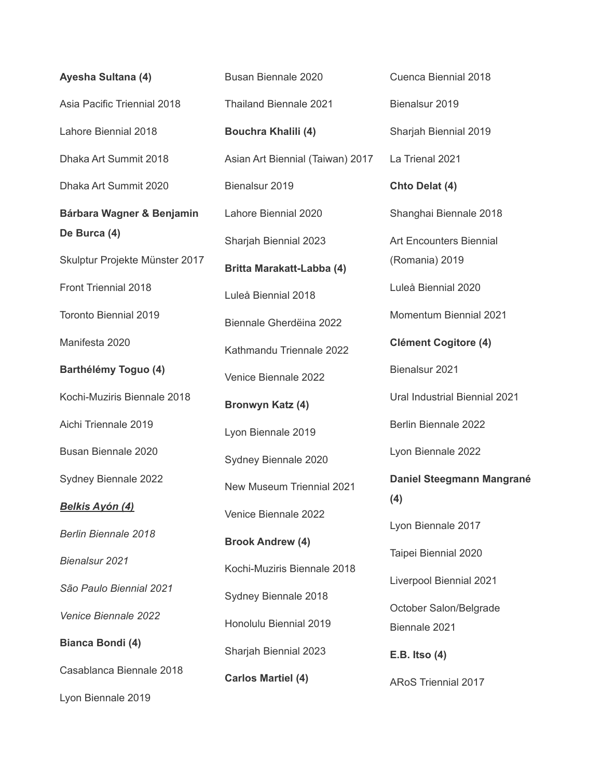**Ayesha Sultana (4)** Asia Pacific Triennial 2018 Lahore Biennial 2018 Dhaka Art Summit 2018 Dhaka Art Summit 2020 **Bárbara Wagner & Benjamin De Burca (4)** Skulptur Projekte Münster 2017 Front Triennial 2018 Toronto Biennial 2019 Manifesta 2020 **Barthélémy Toguo (4)** Kochi-Muziris Biennale 2018 Aichi Triennale 2019 Busan Biennale 2020 Sydney Biennale 2022 *Belkis Ayón (4) Berlin Biennale 2018 Bienalsur 2021 São Paulo Biennial 2021 Venice Biennale 2022* **Bianca Bondi (4)** Casablanca Biennale 2018 Lyon Biennale 2019

Busan Biennale 2020 Thailand Biennale 2021 **Bouchra Khalili (4)** Asian Art Biennial (Taiwan) 2017 Bienalsur 2019 Lahore Biennial 2020 Sharjah Biennial 2023 **Britta Marakatt-Labba (4)** Luleå Biennial 2018 Biennale Gherdëina 2022 Kathmandu Triennale 2022 Venice Biennale 2022 **Bronwyn Katz (4)** Lyon Biennale 2019 Sydney Biennale 2020 New Museum Triennial 2021 Venice Biennale 2022 **Brook Andrew (4)** Kochi-Muziris Biennale 2018 Sydney Biennale 2018 Honolulu Biennial 2019 Sharjah Biennial 2023 **Carlos Martiel (4)**

Cuenca Biennial 2018 Bienalsur 2019 Sharjah Biennial 2019 La Trienal 2021 **Chto Delat (4)** Shanghai Biennale 2018 Art Encounters Biennial (Romania) 2019 Luleå Biennial 2020 Momentum Biennial 2021 **Clément Cogitore (4)** Bienalsur 2021 Ural Industrial Biennial 2021 Berlin Biennale 2022 Lyon Biennale 2022 **Daniel Steegmann Mangrané (4)** Lyon Biennale 2017 Taipei Biennial 2020 Liverpool Biennial 2021 October Salon/Belgrade Biennale 2021 **E.B. Itso (4)** ARoS Triennial 2017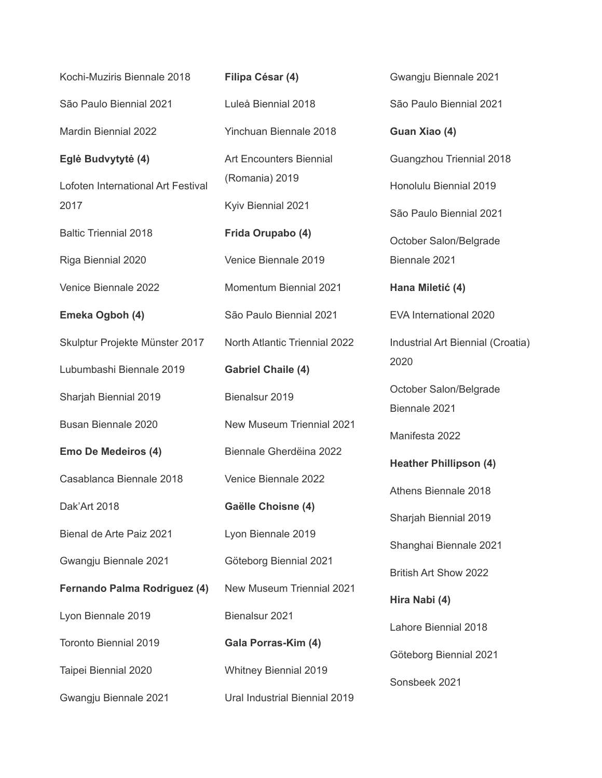| Kochi-Muziris Biennale 2018        | Filipa César (4)                     |
|------------------------------------|--------------------------------------|
| São Paulo Biennial 2021            | Luleå Biennial 2018                  |
| <b>Mardin Biennial 2022</b>        | <b>Yinchuan Biennale 2018</b>        |
| Eglė Budvytytė (4)                 | <b>Art Encounters Biennial</b>       |
| Lofoten International Art Festival | (Romania) 2019                       |
| 2017                               | Kyiv Biennial 2021                   |
| <b>Baltic Triennial 2018</b>       | Frida Orupabo (4)                    |
| Riga Biennial 2020                 | Venice Biennale 2019                 |
| Venice Biennale 2022               | Momentum Biennial 2021               |
| Emeka Ogboh (4)                    | São Paulo Biennial 2021              |
| Skulptur Projekte Münster 2017     | <b>North Atlantic Triennial 2022</b> |
| Lubumbashi Biennale 2019           | <b>Gabriel Chaile (4)</b>            |
| Sharjah Biennial 2019              | Bienalsur 2019                       |
| Busan Biennale 2020                | <b>New Museum Triennial 2021</b>     |
| Emo De Medeiros (4)                | Biennale Gherdeina 2022              |
| Casablanca Biennale 2018           | Venice Biennale 2022                 |
| Dak'Art 2018                       | Gaëlle Choisne (4)                   |
| Bienal de Arte Paiz 2021           | Lyon Biennale 2019                   |
| Gwangju Biennale 2021              | Göteborg Biennial 2021               |
| Fernando Palma Rodriguez (4)       | <b>New Museum Triennial 2021</b>     |
| Lyon Biennale 2019                 | Bienalsur 2021                       |
| <b>Toronto Biennial 2019</b>       | Gala Porras-Kim (4)                  |
| Taipei Biennial 2020               | <b>Whitney Biennial 2019</b>         |
| Gwangju Biennale 2021              | Ural Industrial Biennial 2019        |

Gwangju Biennale 2021 São Paulo Biennial 2021 **Guan Xiao (4)** Guangzhou Triennial 2018 Honolulu Biennial 2019 São Paulo Biennial 2021 October Salon/Belgrade Biennale 2021 **Hana Miletić (4)** EVA International 2020 Industrial Art Biennial (Croatia) 2020 October Salon/Belgrade Biennale 2021 Manifesta 2022 **Heather Phillipson (4)** Athens Biennale 2018 Sharjah Biennial 2019 Shanghai Biennale 2021 British Art Show 2022 **Hira Nabi (4)** Lahore Biennial 2018 Göteborg Biennial 2021 Sonsbeek 2021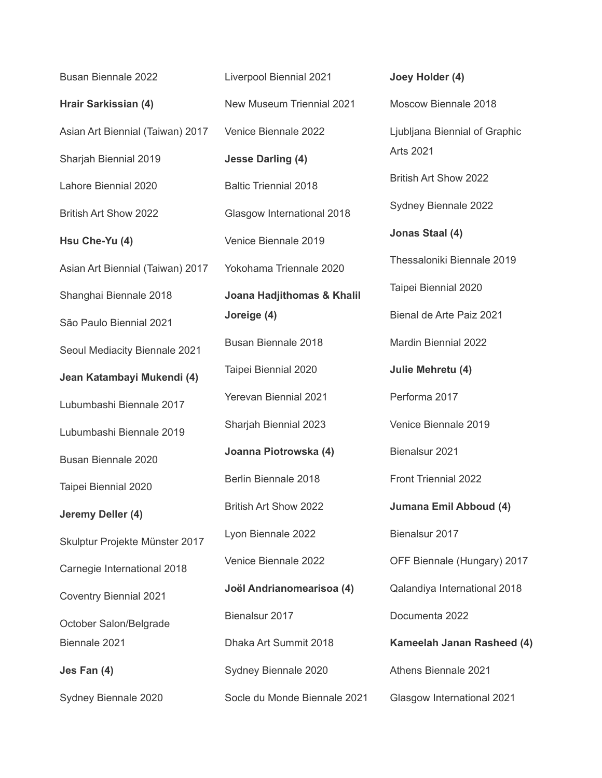Busan Biennale 2022 **Hrair Sarkissian (4)** Asian Art Biennial (Taiwan) 2017 Sharjah Biennial 2019 Lahore Biennial 2020 British Art Show 2022 **Hsu Che-Yu (4)** Asian Art Biennial (Taiwan) 2017 Shanghai Biennale 2018 São Paulo Biennial 2021 Seoul Mediacity Biennale 2021 **Jean Katambayi Mukendi (4)** Lubumbashi Biennale 2017 Lubumbashi Biennale 2019 Busan Biennale 2020 Taipei Biennial 2020 **Jeremy Deller (4)** Skulptur Projekte Münster 2017 Carnegie International 2018 Coventry Biennial 2021 October Salon/Belgrade Biennale 2021 **Jes Fan (4)** Sydney Biennale 2020

Liverpool Biennial 2021 New Museum Triennial 2021 Venice Biennale 2022 **Jesse Darling (4)** Baltic Triennial 2018 Glasgow International 2018 Venice Biennale 2019 Yokohama Triennale 2020 **Joana Hadjithomas & Khalil Joreige (4)** Busan Biennale 2018 Taipei Biennial 2020 Yerevan Biennial 2021 Sharjah Biennial 2023 **Joanna Piotrowska (4)** Berlin Biennale 2018 British Art Show 2022 Lyon Biennale 2022 Venice Biennale 2022 **Joël Andrianomearisoa (4)** Bienalsur 2017 Dhaka Art Summit 2018 Sydney Biennale 2020 Socle du Monde Biennale 2021 **Joey Holder (4)** Moscow Biennale 2018 Ljubljana Biennial of Graphic Arts 2021 British Art Show 2022 Sydney Biennale 2022 **Jonas Staal (4)** Thessaloniki Biennale 2019 Taipei Biennial 2020 Bienal de Arte Paiz 2021 Mardin Biennial 2022 **Julie Mehretu (4)** Performa 2017 Venice Biennale 2019 Bienalsur 2021 Front Triennial 2022 **Jumana Emil Abboud (4)** Bienalsur 2017 OFF Biennale (Hungary) 2017 Qalandiya International 2018 Documenta 2022 **Kameelah Janan Rasheed (4)** Athens Biennale 2021 Glasgow International 2021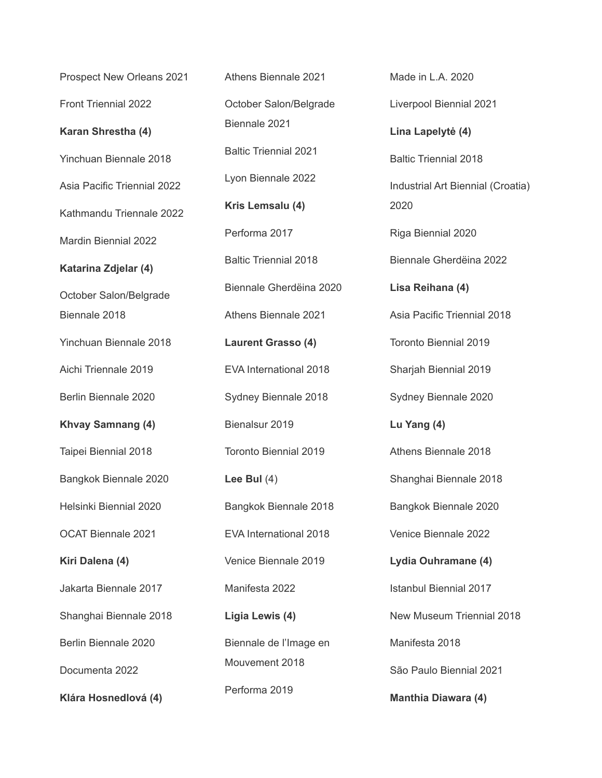Prospect New Orleans 2021 Front Triennial 2022 **Karan Shrestha (4)** Yinchuan Biennale 2018 Asia Pacific Triennial 2022 Kathmandu Triennale 2022 Mardin Biennial 2022 **Katarina Zdjelar (4)** October Salon/Belgrade Biennale 2018 Yinchuan Biennale 2018 Aichi Triennale 2019 Berlin Biennale 2020 **Khvay Samnang (4)** Taipei Biennial 2018 Bangkok Biennale 2020 Helsinki Biennial 2020 OCAT Biennale 2021 **Kiri Dalena (4)** Jakarta Biennale 2017 Shanghai Biennale 2018 Berlin Biennale 2020 Documenta 2022 **Klára Hosnedlová (4)**

Athens Biennale 2021 October Salon/Belgrade Biennale 2021 Baltic Triennial 2021 Lyon Biennale 2022 **Kris Lemsalu (4)** Performa 2017 Baltic Triennial 2018 Biennale Gherdëina 2020 Athens Biennale 2021 **Laurent Grasso (4)** EVA International 2018 Sydney Biennale 2018 Bienalsur 2019 Toronto Biennial 2019 **Lee Bul** (4) Bangkok Biennale 2018 EVA International 2018 Venice Biennale 2019 Manifesta 2022 **Ligia Lewis (4)** Biennale de l'Image en Mouvement 2018 Performa 2019

Liverpool Biennial 2021 **Lina Lapelytė (4)** Baltic Triennial 2018 Industrial Art Biennial (Croatia) 2020 Riga Biennial 2020 Biennale Gherdëina 2022 **Lisa Reihana (4)** Asia Pacific Triennial 2018 Toronto Biennial 2019 Sharjah Biennial 2019 Sydney Biennale 2020 **Lu Yang (4)** Athens Biennale 2018 Shanghai Biennale 2018 Bangkok Biennale 2020 Venice Biennale 2022 **Lydia Ouhramane (4)** Istanbul Biennial 2017 New Museum Triennial 2018 Manifesta 2018 São Paulo Biennial 2021 **Manthia Diawara (4)**

Made in L.A. 2020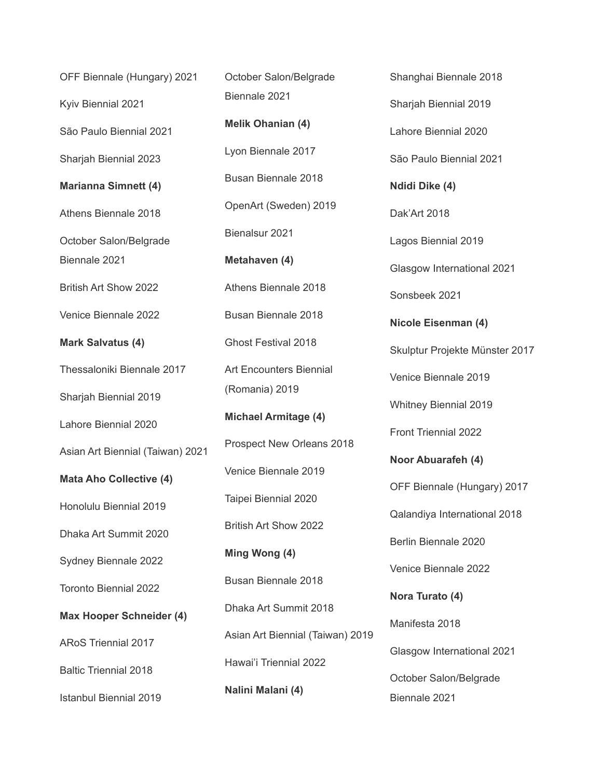OFF Biennale (Hungary) 2021 Kyiv Biennial 2021 São Paulo Biennial 2021 Sharjah Biennial 2023 **Marianna Simnett (4)** Athens Biennale 2018 October Salon/Belgrade Biennale 2021 British Art Show 2022 Venice Biennale 2022 **Mark Salvatus (4)** Thessaloniki Biennale 2017 Sharjah Biennial 2019 Lahore Biennial 2020 Asian Art Biennial (Taiwan) 2021 **Mata Aho Collective (4)** Honolulu Biennial 2019 Dhaka Art Summit 2020 Sydney Biennale 2022 Toronto Biennial 2022 **Max Hooper Schneider (4)** ARoS Triennial 2017 Baltic Triennial 2018 Istanbul Biennial 2019

October Salon/Belgrade Biennale 2021 **Melik Ohanian (4)** Lyon Biennale 2017 Busan Biennale 2018 OpenArt (Sweden) 2019 Bienalsur 2021 **Metahaven (4)** Athens Biennale 2018 Busan Biennale 2018 Ghost Festival 2018 Art Encounters Biennial (Romania) 2019 **Michael Armitage (4)** Prospect New Orleans 2018 Venice Biennale 2019 Taipei Biennial 2020 British Art Show 2022 **Ming Wong (4)** Busan Biennale 2018 Dhaka Art Summit 2018 Asian Art Biennial (Taiwan) 2019 Hawai'i Triennial 2022 **Nalini Malani (4)**

Sharjah Biennial 2019 Lahore Biennial 2020 São Paulo Biennial 2021 **Ndidi Dike (4)** Dak'Art 2018 Lagos Biennial 2019 Glasgow International 2021 Sonsbeek 2021 **Nicole Eisenman (4)** Skulptur Projekte Münster 2017 Venice Biennale 2019 Whitney Biennial 2019 Front Triennial 2022 **Noor Abuarafeh (4)** OFF Biennale (Hungary) 2017 Qalandiya International 2018 Berlin Biennale 2020 Venice Biennale 2022 **Nora Turato (4)** Manifesta 2018 Glasgow International 2021 October Salon/Belgrade Biennale 2021

Shanghai Biennale 2018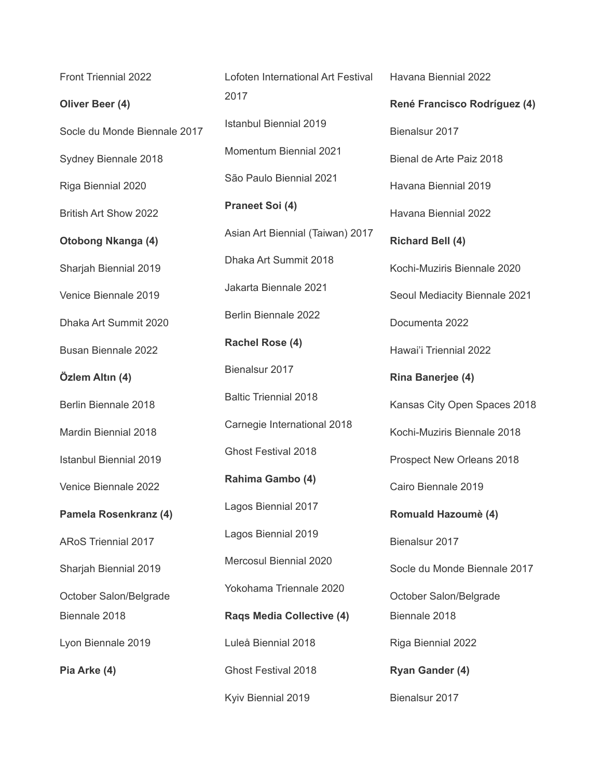Front Triennial 2022 **Oliver Beer (4)** Socle du Monde Biennale 2017 Sydney Biennale 2018 Riga Biennial 2020 British Art Show 2022 **Otobong Nkanga (4)** Sharjah Biennial 2019 Venice Biennale 2019 Dhaka Art Summit 2020 Busan Biennale 2022 **Özlem Altın (4)** Berlin Biennale 2018 Mardin Biennial 2018 Istanbul Biennial 2019 Venice Biennale 2022 **Pamela Rosenkranz (4)** ARoS Triennial 2017 Sharjah Biennial 2019 October Salon/Belgrade Biennale 2018 Lyon Biennale 2019 **Pia Arke (4)**

Lofoten International Art Festival 2017 Istanbul Biennial 2019 Momentum Biennial 2021 São Paulo Biennial 2021 **Praneet Soi (4)** Asian Art Biennial (Taiwan) 2017 Dhaka Art Summit 2018 Jakarta Biennale 2021 Berlin Biennale 2022 **Rachel Rose (4)** Bienalsur 2017 Baltic Triennial 2018 Carnegie International 2018 Ghost Festival 2018 **Rahima Gambo (4)** Lagos Biennial 2017 Lagos Biennial 2019 Mercosul Biennial 2020 Yokohama Triennale 2020 **Raqs Media Collective (4)** Luleå Biennial 2018 Ghost Festival 2018 Kyiv Biennial 2019

**René Francisco Rodríguez (4)** Bienalsur 2017 Bienal de Arte Paiz 2018 Havana Biennial 2019 Havana Biennial 2022 **Richard Bell (4)** Kochi-Muziris Biennale 2020 Seoul Mediacity Biennale 2021 Documenta 2022 Hawai'i Triennial 2022 **Rina Banerjee (4)** Kansas City Open Spaces 2018 Kochi-Muziris Biennale 2018 Prospect New Orleans 2018 Cairo Biennale 2019 **Romuald Hazoumè (4)** Bienalsur 2017 Socle du Monde Biennale 2017 October Salon/Belgrade Biennale 2018 Riga Biennial 2022 **Ryan Gander (4)** Bienalsur 2017

Havana Biennial 2022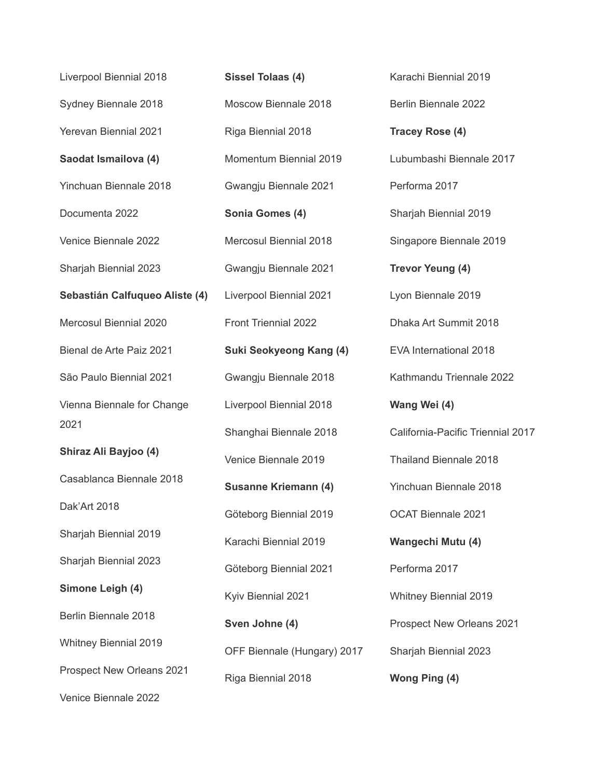| Liverpool Biennial 2018        | <b>Sissel Tolaas (4)</b>       | Karachi Biennial 2019             |
|--------------------------------|--------------------------------|-----------------------------------|
| Sydney Biennale 2018           | Moscow Biennale 2018           | Berlin Biennale 2022              |
| <b>Yerevan Biennial 2021</b>   | Riga Biennial 2018             | <b>Tracey Rose (4)</b>            |
| Saodat Ismailova (4)           | Momentum Biennial 2019         | Lubumbashi Biennale 2017          |
| Yinchuan Biennale 2018         | Gwangju Biennale 2021          | Performa 2017                     |
| Documenta 2022                 | Sonia Gomes (4)                | Sharjah Biennial 2019             |
| Venice Biennale 2022           | Mercosul Biennial 2018         | Singapore Biennale 2019           |
| Sharjah Biennial 2023          | Gwangju Biennale 2021          | <b>Trevor Yeung (4)</b>           |
| Sebastián Calfuqueo Aliste (4) | Liverpool Biennial 2021        | Lyon Biennale 2019                |
| Mercosul Biennial 2020         | Front Triennial 2022           | Dhaka Art Summit 2018             |
| Bienal de Arte Paiz 2021       | <b>Suki Seokyeong Kang (4)</b> | EVA International 2018            |
| São Paulo Biennial 2021        | Gwangju Biennale 2018          | Kathmandu Triennale 2022          |
| Vienna Biennale for Change     | Liverpool Biennial 2018        | Wang Wei (4)                      |
| 2021                           |                                | California-Pacific Triennial 2017 |
|                                | Shanghai Biennale 2018         |                                   |
| Shiraz Ali Bayjoo (4)          | Venice Biennale 2019           | <b>Thailand Biennale 2018</b>     |
| Casablanca Biennale 2018       | <b>Susanne Kriemann (4)</b>    | Yinchuan Biennale 2018            |
| Dak'Art 2018                   | Göteborg Biennial 2019         | <b>OCAT Biennale 2021</b>         |
| Sharjah Biennial 2019          | Karachi Biennial 2019          | Wangechi Mutu (4)                 |
| Sharjah Biennial 2023          | Göteborg Biennial 2021         | Performa 2017                     |
| Simone Leigh (4)               | Kyiv Biennial 2021             | <b>Whitney Biennial 2019</b>      |
| Berlin Biennale 2018           | Sven Johne (4)                 | Prospect New Orleans 2021         |
| <b>Whitney Biennial 2019</b>   | OFF Biennale (Hungary) 2017    | Sharjah Biennial 2023             |
| Prospect New Orleans 2021      | Riga Biennial 2018             | Wong Ping (4)                     |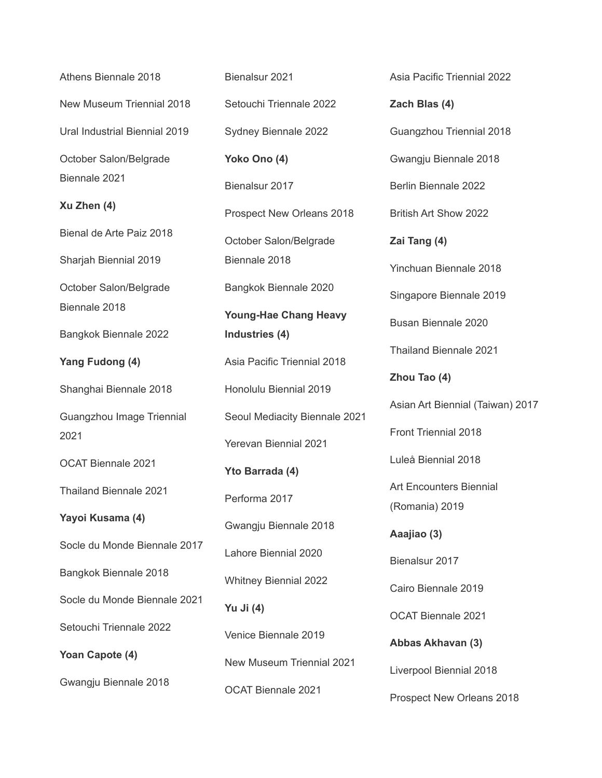Athens Biennale 2018 New Museum Triennial 2018 Ural Industrial Biennial 2019 October Salon/Belgrade Biennale 2021 **Xu Zhen (4)** Bienal de Arte Paiz 2018 Sharjah Biennial 2019 October Salon/Belgrade Biennale 2018 Bangkok Biennale 2022 **Yang Fudong (4)** Shanghai Biennale 2018 Guangzhou Image Triennial 2021 OCAT Biennale 2021 Thailand Biennale 2021 **Yayoi Kusama (4)** Socle du Monde Biennale 2017 Bangkok Biennale 2018 Socle du Monde Biennale 2021 Setouchi Triennale 2022 **Yoan Capote (4)** Gwangju Biennale 2018

Bienalsur 2021 Setouchi Triennale 2022 Sydney Biennale 2022 **Yoko Ono (4)** Bienalsur 2017 Prospect New Orleans 2018 October Salon/Belgrade Biennale 2018 Bangkok Biennale 2020 **Young-Hae Chang Heavy Industries (4)** Asia Pacific Triennial 2018 Honolulu Biennial 2019 Seoul Mediacity Biennale 2021 Yerevan Biennial 2021 **Yto Barrada (4)** Performa 2017 Gwangju Biennale 2018 Lahore Biennial 2020 Whitney Biennial 2022 **Yu Ji (4)** Venice Biennale 2019 New Museum Triennial 2021 OCAT Biennale 2021

Asia Pacific Triennial 2022 **Zach Blas (4)** Guangzhou Triennial 2018 Gwangju Biennale 2018 Berlin Biennale 2022 British Art Show 2022 **Zai Tang (4)** Yinchuan Biennale 2018 Singapore Biennale 2019 Busan Biennale 2020 Thailand Biennale 2021 **Zhou Tao (4)** Asian Art Biennial (Taiwan) 2017 Front Triennial 2018 Luleå Biennial 2018 Art Encounters Biennial (Romania) 2019 **Aaajiao (3)** Bienalsur 2017 Cairo Biennale 2019 OCAT Biennale 2021 **Abbas Akhavan (3)** Liverpool Biennial 2018 Prospect New Orleans 2018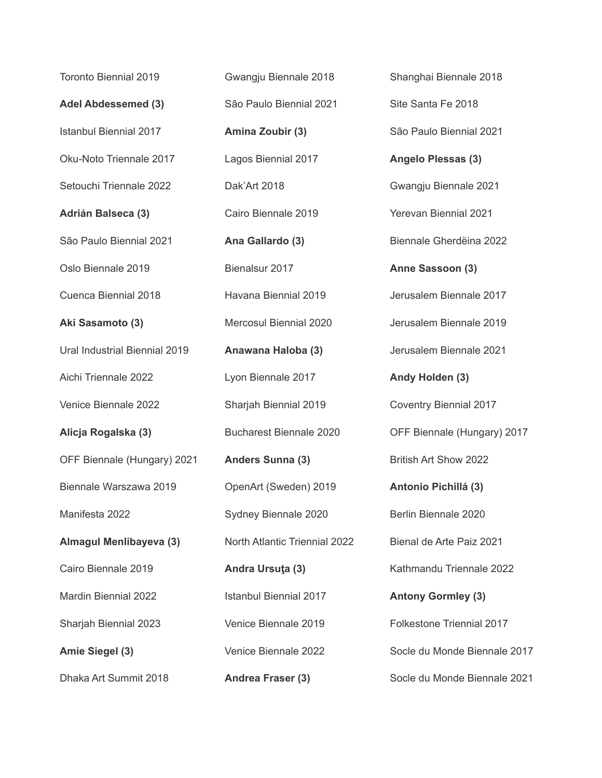Toronto Biennial 2019 **Adel Abdessemed (3)** Istanbul Biennial 2017 Oku-Noto Triennale 2017 Setouchi Triennale 2022 **Adrián Balseca (3)** São Paulo Biennial 2021 Oslo Biennale 2019 Cuenca Biennial 2018 **Aki Sasamoto (3)** Ural Industrial Biennial 2019 Aichi Triennale 2022 Venice Biennale 2022 **Alicja Rogalska (3)** OFF Biennale (Hungary) 2021 Biennale Warszawa 2019 Manifesta 2022 **Almagul Menlibayeva (3)** Cairo Biennale 2019 Mardin Biennial 2022 Sharjah Biennial 2023 **Amie Siegel (3)** Dhaka Art Summit 2018

Gwangju Biennale 2018 São Paulo Biennial 2021 **Amina Zoubir (3)** Lagos Biennial 2017 Dak'Art 2018 Cairo Biennale 2019 **Ana Gallardo (3)** Bienalsur 2017 Havana Biennial 2019 Mercosul Biennial 2020 **Anawana Haloba (3)** Lyon Biennale 2017 Sharjah Biennial 2019 Bucharest Biennale 2020 **Anders Sunna (3)** OpenArt (Sweden) 2019 Sydney Biennale 2020 North Atlantic Triennial 2022 **Andra Ursuţa (3)** Istanbul Biennial 2017 Venice Biennale 2019 Venice Biennale 2022 **Andrea Fraser (3)**

Shanghai Biennale 2018 Site Santa Fe 2018 São Paulo Biennial 2021 **Angelo Plessas (3)** Gwangju Biennale 2021 Yerevan Biennial 2021 Biennale Gherdëina 2022 **Anne Sassoon (3)** Jerusalem Biennale 2017 Jerusalem Biennale 2019 Jerusalem Biennale 2021 **Andy Holden (3)** Coventry Biennial 2017 OFF Biennale (Hungary) 2017 British Art Show 2022 **Antonio Pichillá (3)** Berlin Biennale 2020 Bienal de Arte Paiz 2021 Kathmandu Triennale 2022 **Antony Gormley (3)** Folkestone Triennial 2017 Socle du Monde Biennale 2017 Socle du Monde Biennale 2021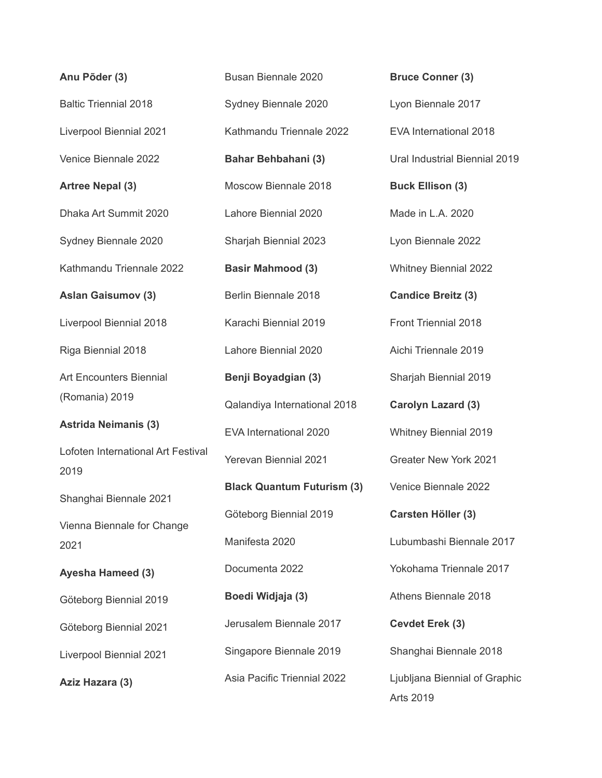| Anu Põder (3)                              | Busan Biennale 2020               | <b>Bruce Conner (3)</b>                    |
|--------------------------------------------|-----------------------------------|--------------------------------------------|
| <b>Baltic Triennial 2018</b>               | Sydney Biennale 2020              | Lyon Biennale 2017                         |
| Liverpool Biennial 2021                    | Kathmandu Triennale 2022          | EVA International 2018                     |
| Venice Biennale 2022                       | <b>Bahar Behbahani (3)</b>        | Ural Industrial Biennial 2019              |
| <b>Artree Nepal (3)</b>                    | Moscow Biennale 2018              | <b>Buck Ellison (3)</b>                    |
| Dhaka Art Summit 2020                      | Lahore Biennial 2020              | Made in L.A. 2020                          |
| Sydney Biennale 2020                       | Sharjah Biennial 2023             | Lyon Biennale 2022                         |
| Kathmandu Triennale 2022                   | <b>Basir Mahmood (3)</b>          | <b>Whitney Biennial 2022</b>               |
| <b>Aslan Gaisumov (3)</b>                  | Berlin Biennale 2018              | <b>Candice Breitz (3)</b>                  |
| Liverpool Biennial 2018                    | Karachi Biennial 2019             | <b>Front Triennial 2018</b>                |
| Riga Biennial 2018                         | Lahore Biennial 2020              | Aichi Triennale 2019                       |
| <b>Art Encounters Biennial</b>             | Benji Boyadgian (3)               | Sharjah Biennial 2019                      |
| (Romania) 2019                             | Qalandiya International 2018      | <b>Carolyn Lazard (3)</b>                  |
| <b>Astrida Neimanis (3)</b>                | EVA International 2020            | <b>Whitney Biennial 2019</b>               |
| Lofoten International Art Festival<br>2019 | <b>Yerevan Biennial 2021</b>      | Greater New York 2021                      |
| Shanghai Biennale 2021                     | <b>Black Quantum Futurism (3)</b> | Venice Biennale 2022                       |
| Vienna Biennale for Change                 | Göteborg Biennial 2019            | Carsten Höller (3)                         |
| 2021                                       | Manifesta 2020                    | Lubumbashi Biennale 2017                   |
| Ayesha Hameed (3)                          | Documenta 2022                    | Yokohama Triennale 2017                    |
| Göteborg Biennial 2019                     | Boedi Widjaja (3)                 | Athens Biennale 2018                       |
| Göteborg Biennial 2021                     | Jerusalem Biennale 2017           | Cevdet Erek (3)                            |
| Liverpool Biennial 2021                    | Singapore Biennale 2019           | Shanghai Biennale 2018                     |
| Aziz Hazara (3)                            | Asia Pacific Triennial 2022       | Ljubljana Biennial of Graphic<br>Arts 2019 |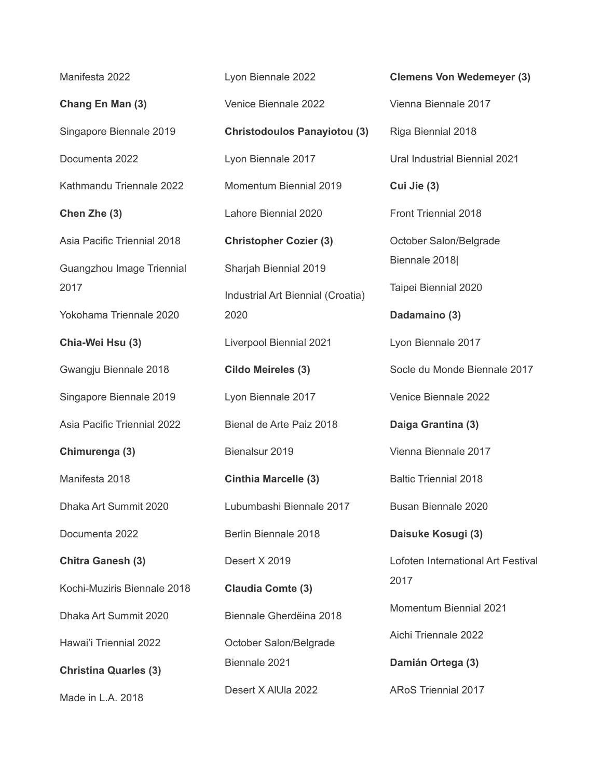Manifesta 2022 **Chang En Man (3)** Singapore Biennale 2019 Documenta 2022 Kathmandu Triennale 2022 **Chen Zhe (3)** Asia Pacific Triennial 2018 Guangzhou Image Triennial 2017 Yokohama Triennale 2020 **Chia-Wei Hsu (3)** Gwangju Biennale 2018 Singapore Biennale 2019 Asia Pacific Triennial 2022 **Chimurenga (3)** Manifesta 2018 Dhaka Art Summit 2020 Documenta 2022 **Chitra Ganesh (3)** Kochi-Muziris Biennale 2018 Dhaka Art Summit 2020 Hawai'i Triennial 2022 **Christina Quarles (3)**

Made in L.A. 2018

Lyon Biennale 2022 Venice Biennale 2022 **Christodoulos Panayiotou (3)** Lyon Biennale 2017 Momentum Biennial 2019 Lahore Biennial 2020 **Christopher Cozier (3)** Sharjah Biennial 2019 Industrial Art Biennial (Croatia) 2020 Liverpool Biennial 2021 **Cildo Meireles (3)** Lyon Biennale 2017 Bienal de Arte Paiz 2018 Bienalsur 2019 **Cinthia Marcelle (3)** Lubumbashi Biennale 2017 Berlin Biennale 2018 Desert X 2019 **Claudia Comte (3)** Biennale Gherdëina 2018 October Salon/Belgrade Biennale 2021 Desert X AlUla 2022

**Clemens Von Wedemeyer (3)** Vienna Biennale 2017 Riga Biennial 2018 Ural Industrial Biennial 2021 **Cui Jie (3)** Front Triennial 2018 October Salon/Belgrade Biennale 2018| Taipei Biennial 2020 **Dadamaino (3)** Lyon Biennale 2017 Socle du Monde Biennale 2017 Venice Biennale 2022 **Daiga Grantina (3)** Vienna Biennale 2017 Baltic Triennial 2018 Busan Biennale 2020 **Daisuke Kosugi (3)** Lofoten International Art Festival 2017 Momentum Biennial 2021 Aichi Triennale 2022 **Damián Ortega (3)** ARoS Triennial 2017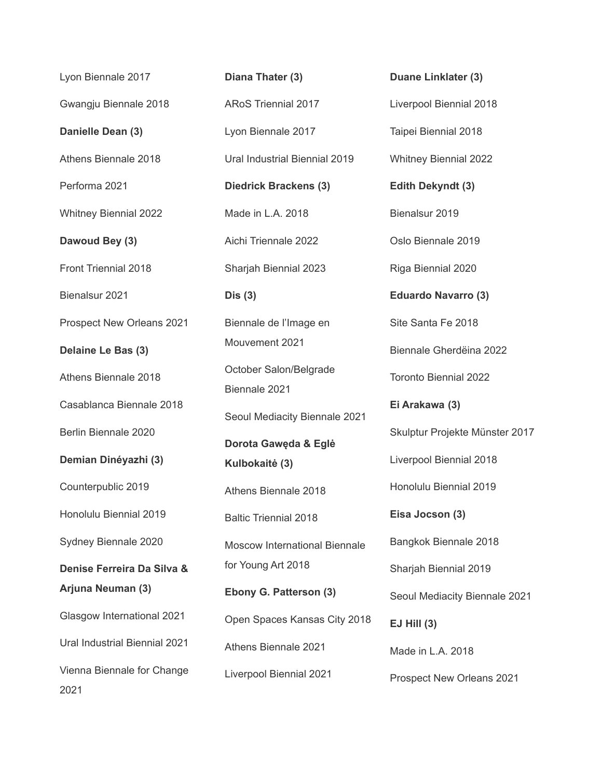Lyon Biennale 2017 Gwangju Biennale 2018 **Danielle Dean (3)** Athens Biennale 2018 Performa 2021 Whitney Biennial 2022 **Dawoud Bey (3)** Front Triennial 2018 Bienalsur 2021 Prospect New Orleans 2021 **Delaine Le Bas (3)** Athens Biennale 2018 Casablanca Biennale 2018 Berlin Biennale 2020 **Demian Dinéyazhi (3)** Counterpublic 2019 Honolulu Biennial 2019 Sydney Biennale 2020 **Denise Ferreira Da Silva & Arjuna Neuman (3)** Glasgow International 2021 Ural Industrial Biennial 2021 Vienna Biennale for Change 2021

**Diana Thater (3)** ARoS Triennial 2017 Lyon Biennale 2017 Ural Industrial Biennial 2019 **Diedrick Brackens (3)** Made in L.A. 2018 Aichi Triennale 2022 Sharjah Biennial 2023 **Dis (3)** Biennale de l'Image en Mouvement 2021 October Salon/Belgrade Biennale 2021 Seoul Mediacity Biennale 2021 **Dorota Gawęda & Eglė Kulbokaitė (3)** Athens Biennale 2018 Baltic Triennial 2018 Moscow International Biennale for Young Art 2018 **Ebony G. Patterson (3)** Open Spaces Kansas City 2018 Athens Biennale 2021 Liverpool Biennial 2021

Liverpool Biennial 2018 Taipei Biennial 2018 Whitney Biennial 2022 **Edith Dekyndt (3)** Bienalsur 2019 Oslo Biennale 2019 Riga Biennial 2020 **Eduardo Navarro (3)** Site Santa Fe 2018 Biennale Gherdëina 2022 Toronto Biennial 2022 **Ei Arakawa (3)** Skulptur Projekte Münster 2017 Liverpool Biennial 2018 Honolulu Biennial 2019 **Eisa Jocson (3)** Bangkok Biennale 2018 Sharjah Biennial 2019 Seoul Mediacity Biennale 2021 **EJ Hill (3)** Made in L.A. 2018 Prospect New Orleans 2021

**Duane Linklater (3)**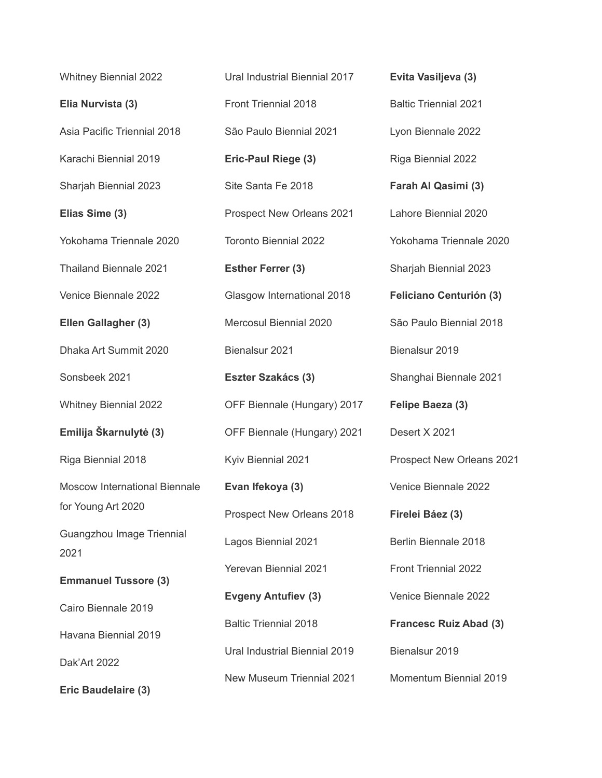Whitney Biennial 2022 **Elia Nurvista (3)** Asia Pacific Triennial 2018 Karachi Biennial 2019 Sharjah Biennial 2023 **Elias Sime (3)** Yokohama Triennale 2020 Thailand Biennale 2021 Venice Biennale 2022 **Ellen Gallagher (3)** Dhaka Art Summit 2020 Sonsbeek 2021 Whitney Biennial 2022 **Emilija Škarnulytė (3)** Riga Biennial 2018 Moscow International Biennale for Young Art 2020 Guangzhou Image Triennial 2021 **Emmanuel Tussore (3)** Cairo Biennale 2019 Havana Biennial 2019 Dak'Art 2022 **Eric Baudelaire (3)**

Ural Industrial Biennial 2017 Front Triennial 2018 São Paulo Biennial 2021 **Eric-Paul Riege (3)** Site Santa Fe 2018 Prospect New Orleans 2021 Toronto Biennial 2022 **Esther Ferrer (3)** Glasgow International 2018 Mercosul Biennial 2020 Bienalsur 2021 **Eszter Szakács (3)** OFF Biennale (Hungary) 2017 OFF Biennale (Hungary) 2021 Kyiv Biennial 2021 **Evan Ifekoya (3)** Prospect New Orleans 2018 Lagos Biennial 2021 Yerevan Biennial 2021 **Evgeny Antufiev (3)** Baltic Triennial 2018 Ural Industrial Biennial 2019 New Museum Triennial 2021

**Evita Vasiljeva (3)** Baltic Triennial 2021 Lyon Biennale 2022 Riga Biennial 2022 **Farah Al Qasimi (3)** Lahore Biennial 2020 Yokohama Triennale 2020 Sharjah Biennial 2023 **Feliciano Centurión (3)** São Paulo Biennial 2018 Bienalsur 2019 Shanghai Biennale 2021 **Felipe Baeza (3)** Desert X 2021 Prospect New Orleans 2021 Venice Biennale 2022 **Firelei Báez (3)** Berlin Biennale 2018 Front Triennial 2022 Venice Biennale 2022 **Francesc Ruiz Abad (3)** Bienalsur 2019 Momentum Biennial 2019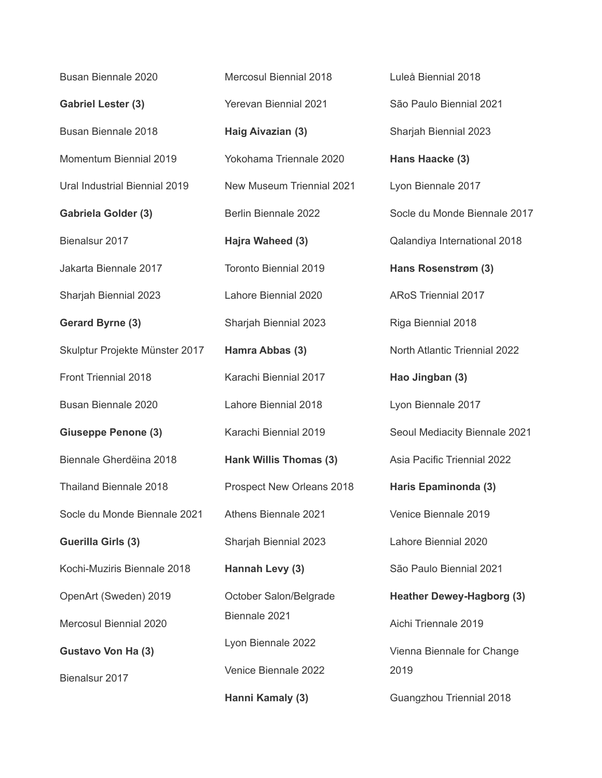Busan Biennale 2020 **Gabriel Lester (3)** Busan Biennale 2018 Momentum Biennial 2019 Ural Industrial Biennial 2019 **Gabriela Golder (3)** Bienalsur 2017 Jakarta Biennale 2017 Sharjah Biennial 2023 **Gerard Byrne (3)** Skulptur Projekte Münster 2017 Front Triennial 2018 Busan Biennale 2020 **Giuseppe Penone (3)** Biennale Gherdëina 2018 Thailand Biennale 2018 Socle du Monde Biennale 2021 **Guerilla Girls (3)** Kochi-Muziris Biennale 2018 OpenArt (Sweden) 2019 Mercosul Biennial 2020 **Gustavo Von Ha (3)** Bienalsur 2017

Mercosul Biennial 2018 Yerevan Biennial 2021 **Haig Aivazian (3)** Yokohama Triennale 2020 New Museum Triennial 2021 Berlin Biennale 2022 **Hajra Waheed (3)** Toronto Biennial 2019 Lahore Biennial 2020 Sharjah Biennial 2023 **Hamra Abbas (3)** Karachi Biennial 2017 Lahore Biennial 2018 Karachi Biennial 2019 **Hank Willis Thomas (3)** Prospect New Orleans 2018 Athens Biennale 2021 Sharjah Biennial 2023 **Hannah Levy (3)** October Salon/Belgrade Biennale 2021 Lyon Biennale 2022 Venice Biennale 2022 **Hanni Kamaly (3)**

Luleå Biennial 2018 São Paulo Biennial 2021 Sharjah Biennial 2023 **Hans Haacke (3)** Lyon Biennale 2017 Socle du Monde Biennale 2017 Qalandiya International 2018 **Hans Rosenstrøm (3)** ARoS Triennial 2017 Riga Biennial 2018 North Atlantic Triennial 2022 **Hao Jingban (3)** Lyon Biennale 2017 Seoul Mediacity Biennale 2021 Asia Pacific Triennial 2022 **Haris Epaminonda (3)** Venice Biennale 2019 Lahore Biennial 2020 São Paulo Biennial 2021 **Heather Dewey-Hagborg (3)** Aichi Triennale 2019 Vienna Biennale for Change 2019 Guangzhou Triennial 2018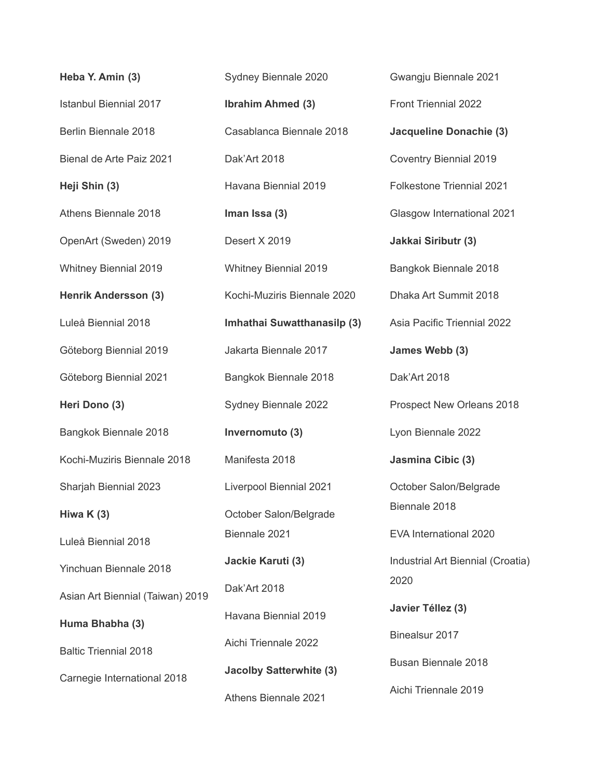| Heba Y. Amin (3)                 | S)             |
|----------------------------------|----------------|
| <b>Istanbul Biennial 2017</b>    | lb             |
| Berlin Biennale 2018             | C              |
| Bienal de Arte Paiz 2021         | Di             |
| Heji Shin (3)                    | H              |
| Athens Biennale 2018             | In             |
| OpenArt (Sweden) 2019            | D              |
| <b>Whitney Biennial 2019</b>     | W              |
| <b>Henrik Andersson (3)</b>      | K <sup></sup>  |
| Luleå Biennial 2018              | In             |
| Göteborg Biennial 2019           | Jε             |
| Göteborg Biennial 2021           | B              |
| Heri Dono (3)                    | S <sub>1</sub> |
| Bangkok Biennale 2018            | In             |
| Kochi-Muziris Biennale 2018      | M              |
| Sharjah Biennial 2023            | Li             |
| Hiwa $K(3)$                      | O              |
| Luleå Biennial 2018              | Bi             |
| Yinchuan Biennale 2018           | Ja             |
| Asian Art Biennial (Taiwan) 2019 | D              |
| Huma Bhabha (3)                  | H              |
| <b>Baltic Triennial 2018</b>     | Ai             |
| Carnegie International 2018      | Ja             |
|                                  | Al             |

ydney Biennale 2020 **Ibrahim Ahmed (3)** Casablanca Biennale 2018 ak'Art 2018 avana Biennial 2019 **Iman Issa (3)** esert X 2019 hitney Biennial 2019 Kochi-Muziris Biennale 2020 **Imhathai Suwatthanasilp (3)** akarta Biennale 2017 Bangkok Biennale 2018 ydney Biennale 2022 **Invernomuto (3)** anifesta 2018 Liverpool Biennial 2021 ctober Salon/Belgrade Biennale 2021 **Jackie Karuti (3)** ak'Art 2018 avana Biennial 2019 chi Triennale 2022 **Jacolby Satterwhite (3)** thens Biennale 2021

Gwangju Biennale 2021 Front Triennial 2022 **Jacqueline Donachie (3)** Coventry Biennial 2019 Folkestone Triennial 2021 Glasgow International 2021 **Jakkai Siributr (3)** Bangkok Biennale 2018 Dhaka Art Summit 2018 Asia Pacific Triennial 2022 **James Webb (3)** Dak'Art 2018 Prospect New Orleans 2018 Lyon Biennale 2022 **Jasmina Cibic (3)** October Salon/Belgrade Biennale 2018 EVA International 2020 Industrial Art Biennial (Croatia) 2020 **Javier Téllez (3)** Binealsur 2017 Busan Biennale 2018 Aichi Triennale 2019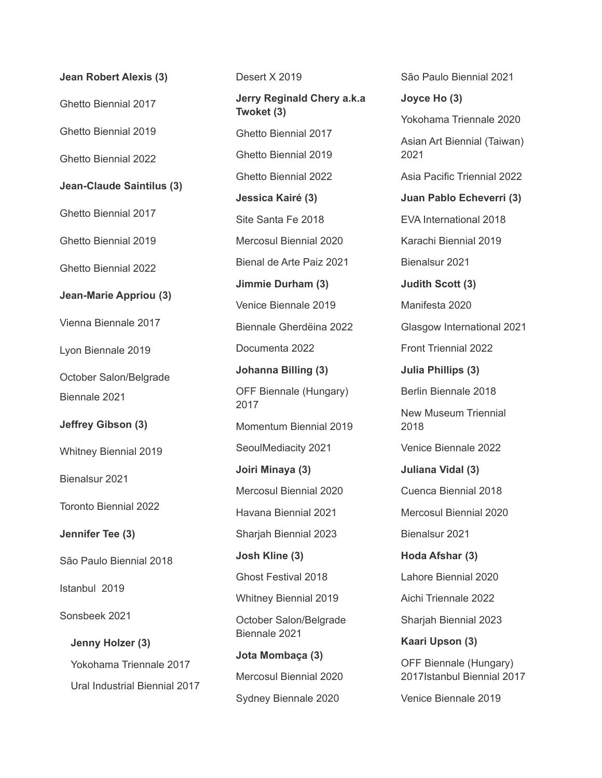| <b>Jean Robert Alexis (3)</b> |
|-------------------------------|
| <b>Ghetto Biennial 2017</b>   |
| Ghetto Biennial 2019          |
| <b>Ghetto Biennial 2022</b>   |
| Jean-Claude Saintilus (3)     |
| <b>Ghetto Biennial 2017</b>   |
| Ghetto Biennial 2019          |
| <b>Ghetto Biennial 2022</b>   |
| <b>Jean-Marie Appriou (3)</b> |
| Vienna Biennale 2017          |
| Lyon Biennale 2019            |
| October Salon/Belgrade        |
| Biennale 2021                 |
| Jeffrey Gibson (3)            |
| <b>Whitney Biennial 2019</b>  |
| Bienalsur 2021                |
| <b>Toronto Biennial 2022</b>  |
| Jennifer Tee (3)              |
| São Paulo Biennial 2018       |
| Istanbul 2019                 |
| Sonsbeek 2021                 |
| Jenny Holzer (3)              |
| Yokohama Triennale 2017       |
| Ural Industrial Biennial 2017 |
|                               |

Desert X 2019 **Jerry Reginald Chery a.k.a Twoket (3)** Ghetto Biennial 2017 Ghetto Biennial 2019 Ghetto Biennial 2022 **Jessica Kairé (3)** Site Santa Fe 2018 Mercosul Biennial 2020 Bienal de Arte Paiz 2021 **Jimmie Durham (3)** Venice Biennale 2019 Biennale Gherdëina 2022 Documenta 2022 **Johanna Billing (3)** OFF Biennale (Hungary) 2017 Momentum Biennial 2019 SeoulMediacity 2021 **Joiri Minaya (3)** Mercosul Biennial 2020 Havana Biennial 2021 Sharjah Biennial 2023 **Josh Kline (3)** Ghost Festival 2018 Whitney Biennial 2019 October Salon/Belgrade Biennale 2021 **Jota Mombaça (3)** Mercosul Biennial 2020 Sydney Biennale 2020

**Joyce Ho (3)** Yokohama Triennale 2020 Asian Art Biennial (Taiwan) 2021 Asia Pacific Triennial 2022 **Juan Pablo Echeverri (3)** EVA International 2018 Karachi Biennial 2019 Bienalsur 2021 **Judith Scott (3)** Manifesta 2020 Glasgow International 2021 Front Triennial 2022 **Julia Phillips (3)** Berlin Biennale 2018 New Museum Triennial 2018 Venice Biennale 2022 **Juliana Vidal (3)** Cuenca Biennial 2018 Mercosul Biennial 2020 Bienalsur 2021 **Hoda Afshar (3)** Lahore Biennial 2020 Aichi Triennale 2022 Sharjah Biennial 2023 **Kaari Upson (3)** OFF Biennale (Hungary) 2017Istanbul Biennial 2017

São Paulo Biennial 2021

Venice Biennale 2019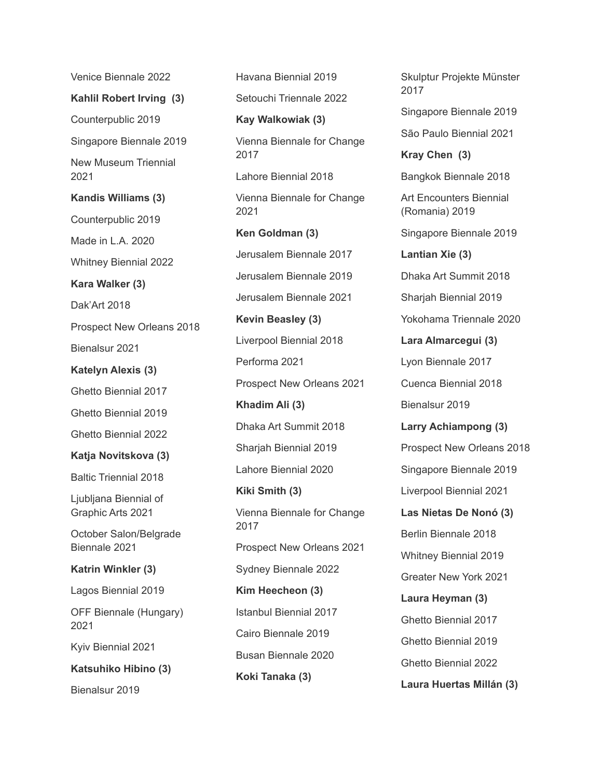Venice Biennale 2022

**Kahlil Robert Irving (3)**

Counterpublic 2019

Singapore Biennale 2019

New Museum Triennial 2021

**Kandis Williams (3)**

Counterpublic 2019

Made in L.A. 2020

Whitney Biennial 2022

**Kara Walker (3)**

Dak'Art 2018

Prospect New Orleans 2018

Bienalsur 2021

**Katelyn Alexis (3)**

Ghetto Biennial 2017

Ghetto Biennial 2019

Ghetto Biennial 2022

**Katja Novitskova (3)**

Baltic Triennial 2018

Ljubljana Biennial of Graphic Arts 2021

October Salon/Belgrade Biennale 2021

**Katrin Winkler (3)**

Lagos Biennial 2019

OFF Biennale (Hungary) 2021

Kyiv Biennial 2021

**Katsuhiko Hibino (3)**

Bienalsur 2019

Havana Biennial 2019 Setouchi Triennale 2022 **Kay Walkowiak (3)** Vienna Biennale for Change 2017 Lahore Biennial 2018 Vienna Biennale for Change 2021 **Ken Goldman (3)** Jerusalem Biennale 2017 Jerusalem Biennale 2019 Jerusalem Biennale 2021 **Kevin Beasley (3)** Liverpool Biennial 2018 Performa 2021 Prospect New Orleans 2021 **Khadim Ali (3)** Dhaka Art Summit 2018 Sharjah Biennial 2019 Lahore Biennial 2020 **Kiki Smith (3)** Vienna Biennale for Change 2017 Prospect New Orleans 2021 Sydney Biennale 2022 **Kim Heecheon (3)** Istanbul Biennial 2017 Cairo Biennale 2019 Busan Biennale 2020 **Koki Tanaka (3)**

Skulptur Projekte Münster 2017 Singapore Biennale 2019 São Paulo Biennial 2021 **Kray Chen (3)** Bangkok Biennale 2018 Art Encounters Biennial (Romania) 2019 Singapore Biennale 2019 **Lantian Xie (3)** Dhaka Art Summit 2018 Sharjah Biennial 2019 Yokohama Triennale 2020 **Lara Almarcegui (3)** Lyon Biennale 2017 Cuenca Biennial 2018 Bienalsur 2019 **Larry Achiampong (3)** Prospect New Orleans 2018 Singapore Biennale 2019 Liverpool Biennial 2021 **Las Nietas De Nonó (3)** Berlin Biennale 2018 Whitney Biennial 2019 Greater New York 2021 **Laura Heyman (3)** Ghetto Biennial 2017 Ghetto Biennial 2019 Ghetto Biennial 2022

**Laura Huertas Millán (3)**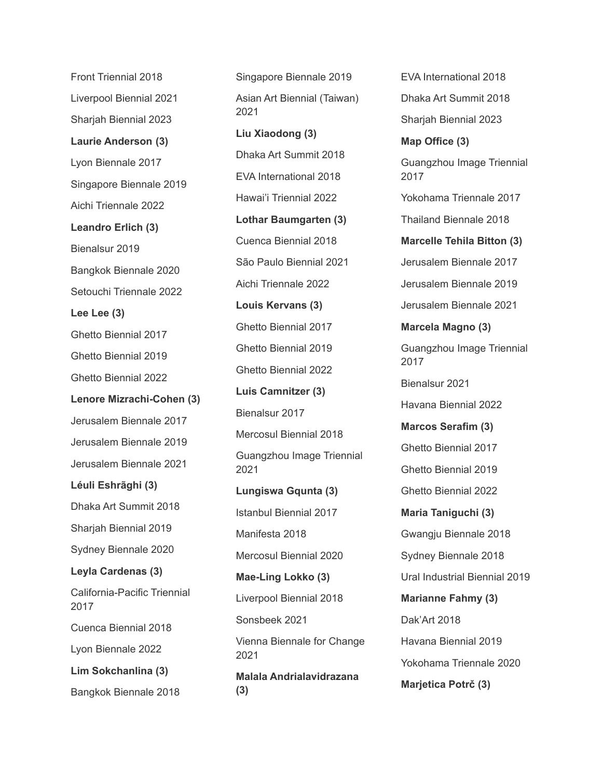Front Triennial 2018 Liverpool Biennial 2021 Sharjah Biennial 2023 **Laurie Anderson (3)** Lyon Biennale 2017 Singapore Biennale 2019 Aichi Triennale 2022 **Leandro Erlich (3)** Bienalsur 2019 Bangkok Biennale 2020 Setouchi Triennale 2022 **Lee Lee (3)** Ghetto Biennial 2017 Ghetto Biennial 2019 Ghetto Biennial 2022 **Lenore Mizrachi-Cohen (3)** Jerusalem Biennale 2017 Jerusalem Biennale 2019 Jerusalem Biennale 2021 **Léuli Eshrãghi (3)** Dhaka Art Summit 2018 Sharjah Biennial 2019 Sydney Biennale 2020 **Leyla Cardenas (3)** California-Pacific Triennial 2017 Cuenca Biennial 2018 Lyon Biennale 2022 **Lim Sokchanlina (3)** Bangkok Biennale 2018

Singapore Biennale 2019 Asian Art Biennial (Taiwan) 2021 **Liu Xiaodong (3)** Dhaka Art Summit 2018 EVA International 2018 Hawai'i Triennial 2022 **Lothar Baumgarten (3)** Cuenca Biennial 2018 São Paulo Biennial 2021 Aichi Triennale 2022 **Louis Kervans (3)** Ghetto Biennial 2017 Ghetto Biennial 2019 Ghetto Biennial 2022 **Luis Camnitzer (3)** Bienalsur 2017 Mercosul Biennial 2018 Guangzhou Image Triennial 2021 **Lungiswa Gqunta (3)** Istanbul Biennial 2017 Manifesta 2018 Mercosul Biennial 2020 **Mae-Ling Lokko (3)** Liverpool Biennial 2018 Sonsbeek 2021 Vienna Biennale for Change 2021 **Malala Andrialavidrazana (3)**

EVA International 2018 Dhaka Art Summit 2018 Sharjah Biennial 2023 **Map Office (3)** Guangzhou Image Triennial 2017 Yokohama Triennale 2017 Thailand Biennale 2018 **Marcelle Tehila Bitton (3)** Jerusalem Biennale 2017 Jerusalem Biennale 2019 Jerusalem Biennale 2021 **Marcela Magno (3)** Guangzhou Image Triennial 2017 Bienalsur 2021 Havana Biennial 2022 **Marcos Serafim (3)** Ghetto Biennial 2017 Ghetto Biennial 2019 Ghetto Biennial 2022 **Maria Taniguchi (3)** Gwangju Biennale 2018 Sydney Biennale 2018 Ural Industrial Biennial 2019 **Marianne Fahmy (3)** Dak'Art 2018 Havana Biennial 2019 Yokohama Triennale 2020 **Marjetica Potrč (3)**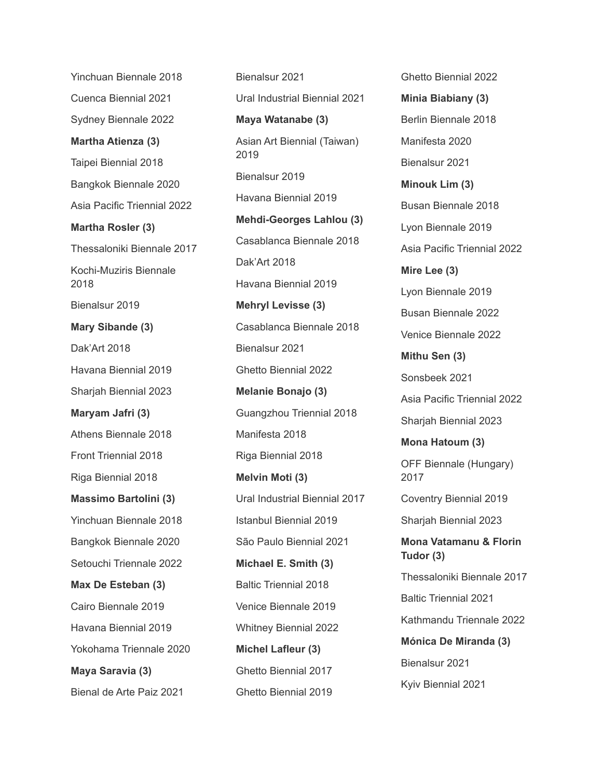Yinchuan Biennale 2018 Cuenca Biennial 2021 Sydney Biennale 2022 **Martha Atienza (3)** Taipei Biennial 2018 Bangkok Biennale 2020 Asia Pacific Triennial 2022 **Martha Rosler (3)** Thessaloniki Biennale 2017 Kochi-Muziris Biennale 2018 Bienalsur 2019 **Mary Sibande (3)** Dak'Art 2018 Havana Biennial 2019 Sharjah Biennial 2023 **Maryam Jafri (3)** Athens Biennale 2018 Front Triennial 2018 Riga Biennial 2018 **Massimo Bartolini (3)** Yinchuan Biennale 2018 Bangkok Biennale 2020 Setouchi Triennale 2022 **Max De Esteban (3)** Cairo Biennale 2019 Havana Biennial 2019 Yokohama Triennale 2020 **Maya Saravia (3)** Bienal de Arte Paiz 2021

Bienalsur 2021 Ural Industrial Biennial 2021 **Maya Watanabe (3)** Asian Art Biennial (Taiwan) 2019 Bienalsur 2019 Havana Biennial 2019 **Mehdi-Georges Lahlou (3)** Casablanca Biennale 2018 Dak'Art 2018 Havana Biennial 2019 **Mehryl Levisse (3)** Casablanca Biennale 2018 Bienalsur 2021 Ghetto Biennial 2022 **Melanie Bonajo (3)** Guangzhou Triennial 2018 Manifesta 2018 Riga Biennial 2018 **Melvin Moti (3)** Ural Industrial Biennial 2017 Istanbul Biennial 2019 São Paulo Biennial 2021 **Michael E. Smith (3)** Baltic Triennial 2018 Venice Biennale 2019 Whitney Biennial 2022 **Michel Lafleur (3)** Ghetto Biennial 2017 Ghetto Biennial 2019

Ghetto Biennial 2022 **Minia Biabiany (3)** Berlin Biennale 2018 Manifesta 2020 Bienalsur 2021 **Minouk Lim (3)** Busan Biennale 2018 Lyon Biennale 2019 Asia Pacific Triennial 2022 **Mire Lee (3)** Lyon Biennale 2019 Busan Biennale 2022 Venice Biennale 2022 **Mithu Sen (3)** Sonsbeek 2021 Asia Pacific Triennial 2022 Sharjah Biennial 2023 **Mona Hatoum (3)** OFF Biennale (Hungary) 2017 Coventry Biennial 2019 Sharjah Biennial 2023 **Mona Vatamanu & Florin Tudor (3)** Thessaloniki Biennale 2017 Baltic Triennial 2021 Kathmandu Triennale 2022 **Mónica De Miranda (3)** Bienalsur 2021 Kyiv Biennial 2021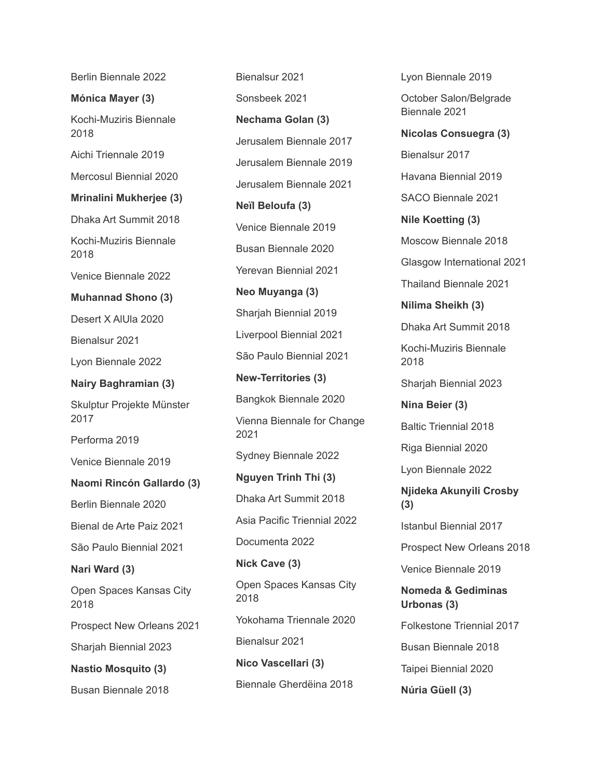Berlin Biennale 2022

**Mónica Mayer (3)**

Kochi-Muziris Biennale 2018

Aichi Triennale 2019

Mercosul Biennial 2020

**Mrinalini Mukherjee (3)**

Dhaka Art Summit 2018

Kochi-Muziris Biennale 2018

Venice Biennale 2022

**Muhannad Shono (3)**

Desert X AlUla 2020

Bienalsur 2021

Lyon Biennale 2022

**Nairy Baghramian (3)**

Skulptur Projekte Münster 2017

Performa 2019

Venice Biennale 2019

#### **Naomi Rincón Gallardo (3)**

Berlin Biennale 2020

Bienal de Arte Paiz 2021

São Paulo Biennial 2021

**Nari Ward (3)**

Open Spaces Kansas City 2018

Prospect New Orleans 2021

Sharjah Biennial 2023

**Nastio Mosquito (3)**

Busan Biennale 2018

Bienalsur 2021 Sonsbeek 2021 **Nechama Golan (3)** Jerusalem Biennale 2017 Jerusalem Biennale 2019 Jerusalem Biennale 2021 **Neïl Beloufa (3)** Venice Biennale 2019 Busan Biennale 2020 Yerevan Biennial 2021 **Neo Muyanga (3)** Sharjah Biennial 2019 Liverpool Biennial 2021 São Paulo Biennial 2021 **New-Territories (3)** Bangkok Biennale 2020 Vienna Biennale for Change 2021 Sydney Biennale 2022 **Nguyen Trinh Thi (3)** Dhaka Art Summit 2018 Asia Pacific Triennial 2022 Documenta 2022 **Nick Cave (3)** Open Spaces Kansas City 2018 Yokohama Triennale 2020 Bienalsur 2021 **Nico Vascellari (3)** Biennale Gherdëina 2018

Lyon Biennale 2019 October Salon/Belgrade Biennale 2021 **Nicolas Consuegra (3)** Bienalsur 2017 Havana Biennial 2019 SACO Biennale 2021 **Nile Koetting (3)** Moscow Biennale 2018 Glasgow International 2021 Thailand Biennale 2021 **Nilima Sheikh (3)** Dhaka Art Summit 2018 Kochi-Muziris Biennale 2018 Sharjah Biennial 2023 **Nina Beier (3)** Baltic Triennial 2018 Riga Biennial 2020 Lyon Biennale 2022 **Njideka Akunyili Crosby (3)** Istanbul Biennial 2017 Prospect New Orleans 2018 Venice Biennale 2019 **Nomeda & Gediminas Urbonas (3)** Folkestone Triennial 2017 Busan Biennale 2018 Taipei Biennial 2020

**Núria Güell (3)**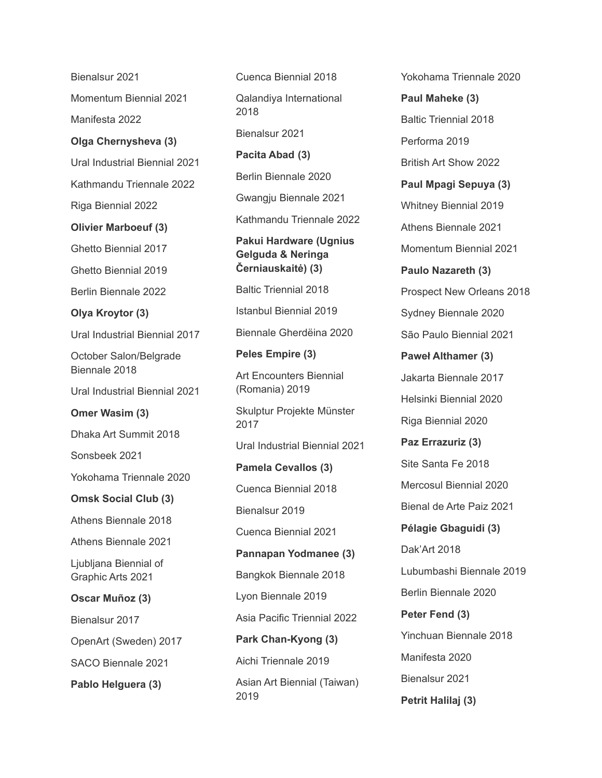Bienalsur 2021 Momentum Biennial 2021 Manifesta 2022 **Olga Chernysheva (3)** Ural Industrial Biennial 2021 Kathmandu Triennale 2022 Riga Biennial 2022 **Olivier Marboeuf (3)** Ghetto Biennial 2017 Ghetto Biennial 2019 Berlin Biennale 2022 **Olya Kroytor (3)** Ural Industrial Biennial 2017 October Salon/Belgrade Biennale 2018 Ural Industrial Biennial 2021 **Omer Wasim (3)** Dhaka Art Summit 2018 Sonsbeek 2021 Yokohama Triennale 2020 **Omsk Social Club (3)** Athens Biennale 2018 Athens Biennale 2021 Ljubljana Biennial of Graphic Arts 2021 **Oscar Muñoz (3)** Bienalsur 2017 OpenArt (Sweden) 2017 SACO Biennale 2021 **Pablo Helguera (3)**

Cuenca Biennial 2018 Qalandiya International 2018 Bienalsur 2021 **Pacita Abad (3)** Berlin Biennale 2020 Gwangju Biennale 2021 Kathmandu Triennale 2022 **Pakui Hardware (Ugnius Gelguda & Neringa Černiauskaitė) (3)** Baltic Triennial 2018 Istanbul Biennial 2019 Biennale Gherdëina 2020 **Peles Empire (3)** Art Encounters Biennial (Romania) 2019 Skulptur Projekte Münster 2017 Ural Industrial Biennial 2021 **Pamela Cevallos (3)** Cuenca Biennial 2018 Bienalsur 2019 Cuenca Biennial 2021 **Pannapan Yodmanee (3)** Bangkok Biennale 2018 Lyon Biennale 2019

Asia Pacific Triennial 2022

Asian Art Biennial (Taiwan)

**Park Chan-Kyong (3)**

Aichi Triennale 2019

2019

**Paul Maheke (3)** Baltic Triennial 2018 Performa 2019 British Art Show 2022 **Paul Mpagi Sepuya (3)** Whitney Biennial 2019 Athens Biennale 2021 Momentum Biennial 2021 **Paulo Nazareth (3)** Prospect New Orleans 2018 Sydney Biennale 2020 São Paulo Biennial 2021 **Paweł Althamer (3)** Jakarta Biennale 2017 Helsinki Biennial 2020 Riga Biennial 2020 **Paz Errazuriz (3)** Site Santa Fe 2018 Mercosul Biennial 2020 Bienal de Arte Paiz 2021 **Pélagie Gbaguidi (3)** Dak'Art 2018 Lubumbashi Biennale 2019 Berlin Biennale 2020 **Peter Fend (3)** Yinchuan Biennale 2018 Manifesta 2020 Bienalsur 2021 **Petrit Halilaj (3)**

Yokohama Triennale 2020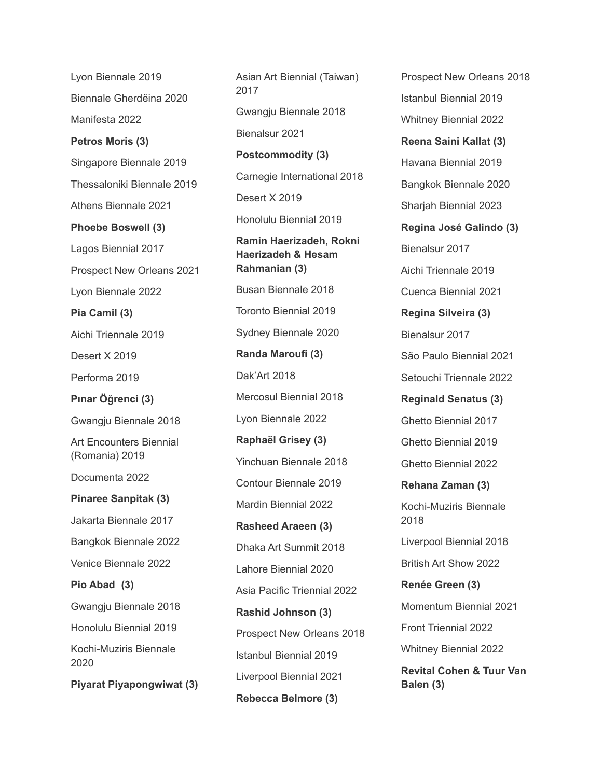Lyon Biennale 2019 Biennale Gherdëina 2020 Manifesta 2022 **Petros Moris (3)** Singapore Biennale 2019 Thessaloniki Biennale 2019 Athens Biennale 2021 **Phoebe Boswell (3)** Lagos Biennial 2017 Prospect New Orleans 2021 Lyon Biennale 2022 **Pia Camil (3)** Aichi Triennale 2019 Desert X 2019 Performa 2019 **Pınar Öğrenci (3)** Gwangju Biennale 2018 Art Encounters Biennial (Romania) 2019 Documenta 2022 **Pinaree Sanpitak (3)** Jakarta Biennale 2017 Bangkok Biennale 2022 Venice Biennale 2022 **Pio Abad (3)** Gwangju Biennale 2018 Honolulu Biennial 2019 Kochi-Muziris Biennale 2020 **Piyarat Piyapongwiwat (3)** Asian Art Biennial (Taiwan) 2017 Gwangju Biennale 2018 Bienalsur 2021 **Postcommodity (3)** Carnegie International 2018 Desert X 2019 Honolulu Biennial 2019 **Ramin Haerizadeh, Rokni Haerizadeh & Hesam Rahmanian (3)** Busan Biennale 2018 Toronto Biennial 2019 Sydney Biennale 2020 **Randa Maroufi (3)** Dak'Art 2018 Mercosul Biennial 2018 Lyon Biennale 2022 **Raphaël Grisey (3)** Yinchuan Biennale 2018 Contour Biennale 2019 Mardin Biennial 2022 **Rasheed Araeen (3)** Dhaka Art Summit 2018 Lahore Biennial 2020 Asia Pacific Triennial 2022 **Rashid Johnson (3)** Prospect New Orleans 2018 Istanbul Biennial 2019 Liverpool Biennial 2021 **Rebecca Belmore (3)**

Prospect New Orleans 2018 Istanbul Biennial 2019 Whitney Biennial 2022 **Reena Saini Kallat (3)** Havana Biennial 2019 Bangkok Biennale 2020 Sharjah Biennial 2023 **Regina José Galindo (3)** Bienalsur 2017 Aichi Triennale 2019 Cuenca Biennial 2021 **Regina Silveira (3)** Bienalsur 2017 São Paulo Biennial 2021 Setouchi Triennale 2022 **Reginald Senatus (3)** Ghetto Biennial 2017 Ghetto Biennial 2019 Ghetto Biennial 2022 **Rehana Zaman (3)** Kochi-Muziris Biennale 2018 Liverpool Biennial 2018 British Art Show 2022 **Renée Green (3)** Momentum Biennial 2021 Front Triennial 2022 Whitney Biennial 2022 **Revital Cohen & Tuur Van Balen (3)**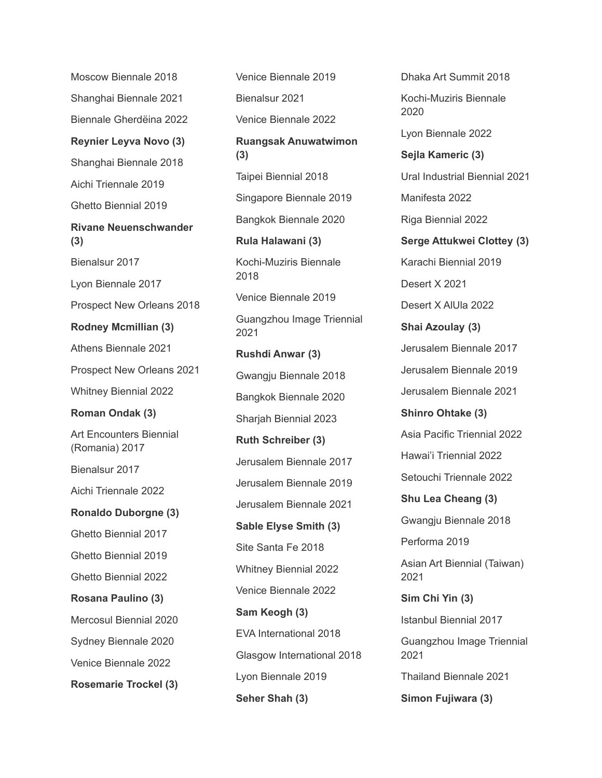Moscow Biennale 2018 Shanghai Biennale 2021 Biennale Gherdëina 2022 **Reynier Leyva Novo (3)** Shanghai Biennale 2018 Aichi Triennale 2019 Ghetto Biennial 2019 **Rivane Neuenschwander (3)** Bienalsur 2017 Lyon Biennale 2017 Prospect New Orleans 2018 **Rodney Mcmillian (3)** Athens Biennale 2021 Prospect New Orleans 2021 Whitney Biennial 2022 **Roman Ondak (3)** Art Encounters Biennial (Romania) 2017 Bienalsur 2017 Aichi Triennale 2022 **Ronaldo Duborgne (3)** Ghetto Biennial 2017 Ghetto Biennial 2019 Ghetto Biennial 2022 **Rosana Paulino (3)** Mercosul Biennial 2020 Sydney Biennale 2020 Venice Biennale 2022 **Rosemarie Trockel (3)**

Venice Biennale 2019 Bienalsur 2021 Venice Biennale 2022 **Ruangsak Anuwatwimon (3)** Taipei Biennial 2018 Singapore Biennale 2019 Bangkok Biennale 2020 **Rula Halawani (3)** Kochi-Muziris Biennale 2018 Venice Biennale 2019 Guangzhou Image Triennial 2021 **Rushdi Anwar (3)** Gwangju Biennale 2018 Bangkok Biennale 2020 Sharjah Biennial 2023 **Ruth Schreiber (3)** Jerusalem Biennale 2017 Jerusalem Biennale 2019 Jerusalem Biennale 2021 **Sable Elyse Smith (3)** Site Santa Fe 2018 Whitney Biennial 2022 Venice Biennale 2022 **Sam Keogh (3)** EVA International 2018 Glasgow International 2018 Lyon Biennale 2019 **Seher Shah (3)**

Dhaka Art Summit 2018 Kochi-Muziris Biennale 2020 Lyon Biennale 2022 **Sejla Kameric (3)** Ural Industrial Biennial 2021 Manifesta 2022 Riga Biennial 2022 **Serge Attukwei Clottey (3)** Karachi Biennial 2019 Desert X 2021 Desert X AlUla 2022 **Shai Azoulay (3)** Jerusalem Biennale 2017 Jerusalem Biennale 2019 Jerusalem Biennale 2021 **Shinro Ohtake (3)** Asia Pacific Triennial 2022 Hawai'i Triennial 2022 Setouchi Triennale 2022 **Shu Lea Cheang (3)** Gwangju Biennale 2018 Performa 2019 Asian Art Biennial (Taiwan) 2021 **Sim Chi Yin (3)** Istanbul Biennial 2017 Guangzhou Image Triennial 2021 Thailand Biennale 2021 **Simon Fujiwara (3)**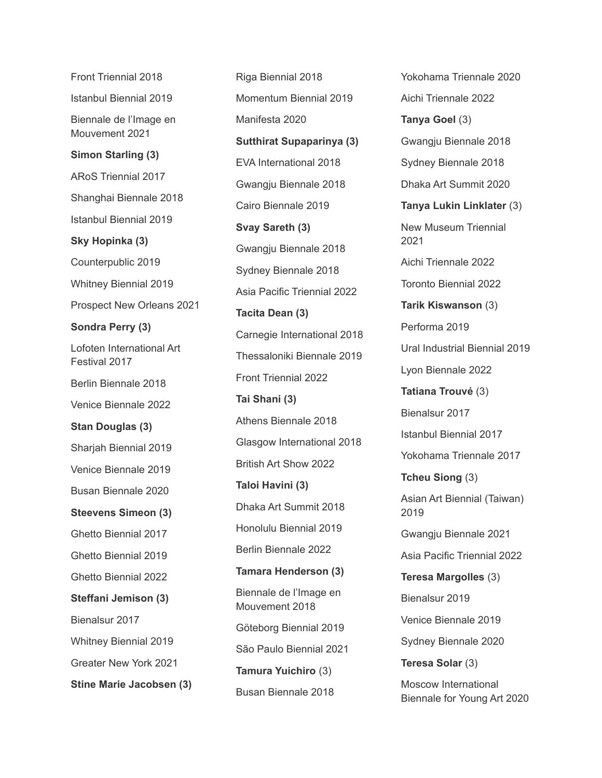Front Triennial 2018 Istanbul Biennial 2019 Biennale de l'Image en Mouvement 2021 **Simon Starling (3)** ARoS Triennial 2017 Shanghai Biennale 2018 Istanbul Biennial 2019 **Sky Hopinka (3)** Counterpublic 2019 Whitney Biennial 2019 Prospect New Orleans 2021 **Sondra Perry (3)** Lofoten International Art Festival 2017 Berlin Biennale 2018 Venice Biennale 2022 **Stan Douglas (3)** Sharjah Biennial 2019 Venice Biennale 2019 Busan Biennale 2020 **Steevens Simeon (3)** Ghetto Biennial 2017 Ghetto Biennial 2019 Ghetto Biennial 2022 **Steffani Jemison (3)** Bienalsur 2017 Whitney Biennial 2019 Greater New York 2021 **Stine Marie Jacobsen (3)**

Riga Biennial 2018 Momentum Biennial 2019 Manifesta 2020 **Sutthirat Supaparinya (3)** EVA International 2018 Gwangju Biennale 2018 Cairo Biennale 2019 **Svay Sareth (3)** Gwangju Biennale 2018 Sydney Biennale 2018 Asia Pacific Triennial 2022 **Tacita Dean (3)** Carnegie International 2018 Thessaloniki Biennale 2019 Front Triennial 2022 **Tai Shani (3)** Athens Biennale 2018 Glasgow International 2018 British Art Show 2022 **Taloi Havini (3)** Dhaka Art Summit 2018 Honolulu Biennial 2019 Berlin Biennale 2022 **Tamara Henderson (3)** Biennale de l'Image en Mouvement 2018 Göteborg Biennial 2019 São Paulo Biennial 2021 **Tamura Yuichiro** (3) Busan Biennale 2018

Yokohama Triennale 2020 Aichi Triennale 2022 **Tanya Goel** (3) Gwangju Biennale 2018 Sydney Biennale 2018 Dhaka Art Summit 2020 **Tanya Lukin Linklater** (3) New Museum Triennial 2021 Aichi Triennale 2022 Toronto Biennial 2022 **Tarik Kiswanson** (3) Performa 2019 Ural Industrial Biennial 2019 Lyon Biennale 2022 **Tatiana Trouvé** (3) Bienalsur 2017 Istanbul Biennial 2017 Yokohama Triennale 2017 **Tcheu Siong** (3) Asian Art Biennial (Taiwan) 2019 Gwangju Biennale 2021 Asia Pacific Triennial 2022 **Teresa Margolles** (3) Bienalsur 2019 Venice Biennale 2019 Sydney Biennale 2020 **Teresa Solar** (3) Moscow International Biennale for Young Art 2020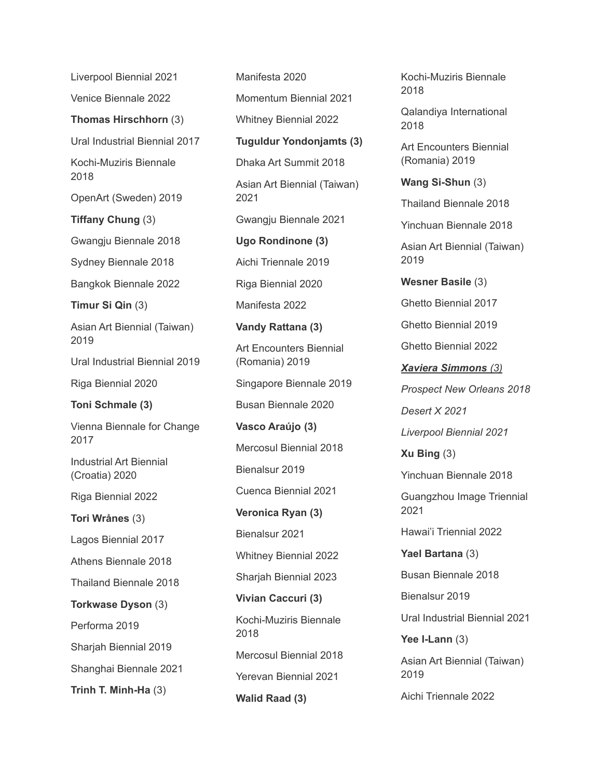Liverpool Biennial 2021

Venice Biennale 2022

**Thomas Hirschhorn** (3)

Ural Industrial Biennial 2017

Kochi-Muziris Biennale 2018

OpenArt (Sweden) 2019

**Tiffany Chung** (3)

Gwangju Biennale 2018

Sydney Biennale 2018

Bangkok Biennale 2022

**Timur Si Qin** (3)

Asian Art Biennial (Taiwan) 2019

Ural Industrial Biennial 2019

Riga Biennial 2020

**Toni Schmale (3)**

Vienna Biennale for Change 2017

Industrial Art Biennial (Croatia) 2020

Riga Biennial 2022

**Tori Wrånes** (3)

Lagos Biennial 2017

Athens Biennale 2018

Thailand Biennale 2018

**Torkwase Dyson** (3)

Performa 2019

Sharjah Biennial 2019

Shanghai Biennale 2021

**Trinh T. Minh-Ha** (3)

Manifesta 2020 Momentum Biennial 2021 Whitney Biennial 2022 **Tuguldur Yondonjamts (3)** Dhaka Art Summit 2018 Asian Art Biennial (Taiwan) 2021 Gwangju Biennale 2021 **Ugo Rondinone (3)** Aichi Triennale 2019 Riga Biennial 2020 Manifesta 2022 **Vandy Rattana (3)** Art Encounters Biennial (Romania) 2019 Singapore Biennale 2019 Busan Biennale 2020 **Vasco Araújo (3)** Mercosul Biennial 2018 Bienalsur 2019 Cuenca Biennial 2021 **Veronica Ryan (3)** Bienalsur 2021 Whitney Biennial 2022 Sharjah Biennial 2023 **Vivian Caccuri (3)** Kochi-Muziris Biennale 2018 Mercosul Biennial 2018 Yerevan Biennial 2021 **Walid Raad (3)**

Kochi-Muziris Biennale 2018

Qalandiya International 2018

Art Encounters Biennial (Romania) 2019

**Wang Si-Shun** (3)

Thailand Biennale 2018

Yinchuan Biennale 2018

Asian Art Biennial (Taiwan) 2019

**Wesner Basile** (3)

Ghetto Biennial 2017

Ghetto Biennial 2019

Ghetto Biennial 2022

*Xaviera Simmons (3) Prospect New Orleans 2018*

*Desert X 2021*

*Liverpool Biennial 2021*

**Xu Bing** (3)

Yinchuan Biennale 2018

Guangzhou Image Triennial 2021

Hawai'i Triennial 2022

**Yael Bartana** (3) Busan Biennale 2018

Bienalsur 2019

Ural Industrial Biennial 2021

**Yee I-Lann** (3)

Asian Art Biennial (Taiwan) 2019

Aichi Triennale 2022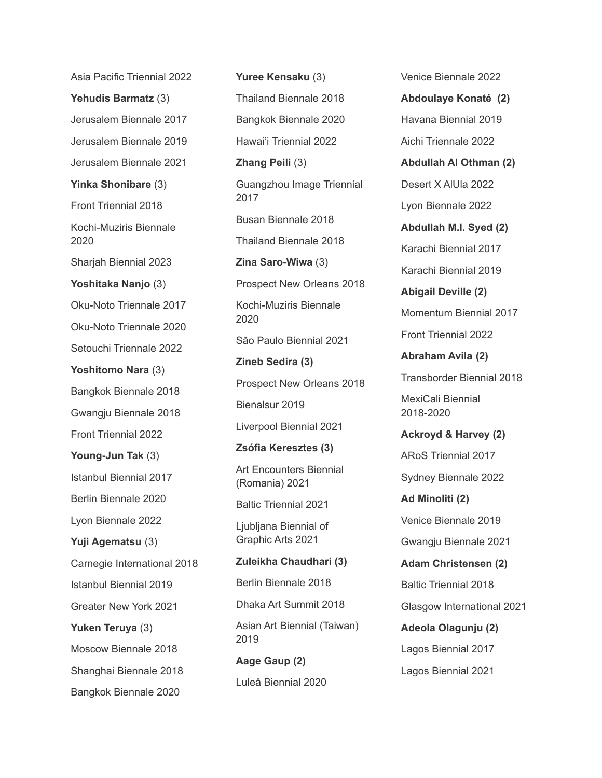Asia Pacific Triennial 2022 **Yehudis Barmatz** (3) Jerusalem Biennale 2017 Jerusalem Biennale 2019 Jerusalem Biennale 2021 **Yinka Shonibare** (3) Front Triennial 2018 Kochi-Muziris Biennale 2020 Sharjah Biennial 2023 **Yoshitaka Nanjo** (3) Oku-Noto Triennale 2017 Oku-Noto Triennale 2020 Setouchi Triennale 2022 **Yoshitomo Nara** (3) Bangkok Biennale 2018 Gwangju Biennale 2018 Front Triennial 2022 **Young-Jun Tak** (3) Istanbul Biennial 2017 Berlin Biennale 2020 Lyon Biennale 2022 **Yuji Agematsu** (3) Carnegie International 2018 Istanbul Biennial 2019 Greater New York 2021 **Yuken Teruya** (3) Moscow Biennale 2018 Shanghai Biennale 2018 Bangkok Biennale 2020

**Yuree Kensaku** (3) Thailand Biennale 2018 Bangkok Biennale 2020 Hawai'i Triennial 2022 **Zhang Peili** (3) Guangzhou Image Triennial 2017 Busan Biennale 2018 Thailand Biennale 2018 **Zina Saro-Wiwa** (3) Prospect New Orleans 2018 Kochi-Muziris Biennale 2020 São Paulo Biennial 2021 **Zineb Sedira (3)** Prospect New Orleans 2018 Bienalsur 2019 Liverpool Biennial 2021 **Zsófia Keresztes (3)** Art Encounters Biennial (Romania) 2021 Baltic Triennial 2021 Ljubljana Biennial of Graphic Arts 2021 **Zuleikha Chaudhari (3)** Berlin Biennale 2018 Dhaka Art Summit 2018 Asian Art Biennial (Taiwan) 2019 **Aage Gaup (2)** Luleå Biennial 2020

Venice Biennale 2022 **Abdoulaye Konaté (2)** Havana Biennial 2019 Aichi Triennale 2022 **Abdullah Al Othman (2)** Desert X AlUla 2022 Lyon Biennale 2022 **Abdullah M.I. Syed (2)** Karachi Biennial 2017 Karachi Biennial 2019 **Abigail Deville (2)** Momentum Biennial 2017 Front Triennial 2022 **Abraham Avila (2)** Transborder Biennial 2018 MexiCali Biennial 2018-2020 **Ackroyd & Harvey (2)** ARoS Triennial 2017 Sydney Biennale 2022 **Ad Minoliti (2)** Venice Biennale 2019 Gwangju Biennale 2021 **Adam Christensen (2)** Baltic Triennial 2018 Glasgow International 2021

**Adeola Olagunju (2)** Lagos Biennial 2017 Lagos Biennial 2021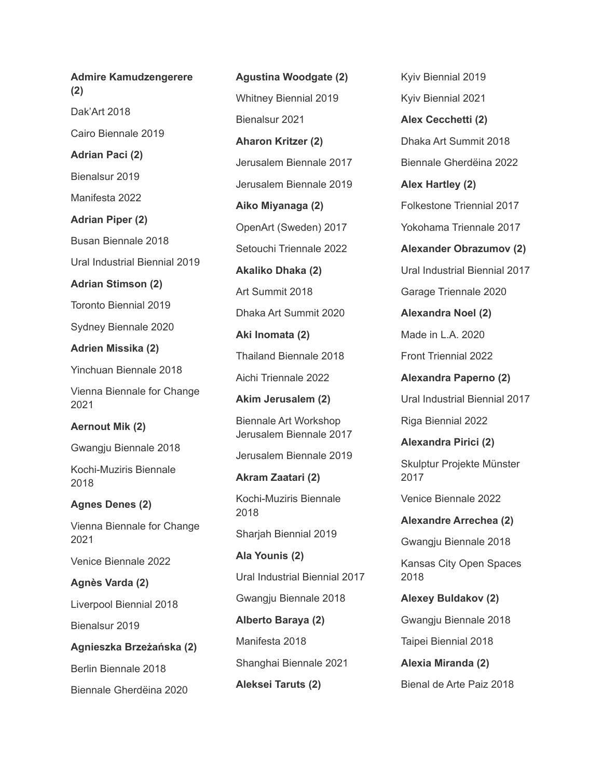**Admire Kamudzengerere (2)** Dak'Art 2018 Cairo Biennale 2019 **Adrian Paci (2)** Bienalsur 2019 Manifesta 2022 **Adrian Piper (2)** Busan Biennale 2018 Ural Industrial Biennial 2019 **Adrian Stimson (2)** Toronto Biennial 2019 Sydney Biennale 2020 **Adrien Missika (2)** Yinchuan Biennale 2018 Vienna Biennale for Change 2021 **Aernout Mik (2)** Gwangju Biennale 2018 Kochi-Muziris Biennale 2018 **Agnes Denes (2)** Vienna Biennale for Change 2021 Venice Biennale 2022 **Agnès Varda (2)** Liverpool Biennial 2018 Bienalsur 2019 **Agnieszka Brzeżańska (2)** Berlin Biennale 2018 Biennale Gherdëina 2020

**Agustina Woodgate (2)** Whitney Biennial 2019 Bienalsur 2021 **Aharon Kritzer (2)** Jerusalem Biennale 2017 Jerusalem Biennale 2019 **Aiko Miyanaga (2)** OpenArt (Sweden) 2017 Setouchi Triennale 2022 **Akaliko Dhaka (2)** Art Summit 2018 Dhaka Art Summit 2020 **Aki Inomata (2)** Thailand Biennale 2018 Aichi Triennale 2022 **Akim Jerusalem (2)** Biennale Art Workshop Jerusalem Biennale 2017 Jerusalem Biennale 2019 **Akram Zaatari (2)** Kochi-Muziris Biennale 2018 Sharjah Biennial 2019 **Ala Younis (2)** Ural Industrial Biennial 2017 Gwangju Biennale 2018 **Alberto Baraya (2)** Manifesta 2018 Shanghai Biennale 2021 **Aleksei Taruts (2)**

Kyiv Biennial 2019 Kyiv Biennial 2021 **Alex Cecchetti (2)** Dhaka Art Summit 2018 Biennale Gherdëina 2022 **Alex Hartley (2)** Folkestone Triennial 2017 Yokohama Triennale 2017 **Alexander Obrazumov (2)** Ural Industrial Biennial 2017 Garage Triennale 2020 **Alexandra Noel (2)** Made in L.A. 2020 Front Triennial 2022 **Alexandra Paperno (2)** Ural Industrial Biennial 2017 Riga Biennial 2022 **Alexandra Pirici (2)** Skulptur Projekte Münster 2017 Venice Biennale 2022 **Alexandre Arrechea (2)** Gwangju Biennale 2018 Kansas City Open Spaces 2018 **Alexey Buldakov (2)** Gwangju Biennale 2018 Taipei Biennial 2018 **Alexia Miranda (2)** Bienal de Arte Paiz 2018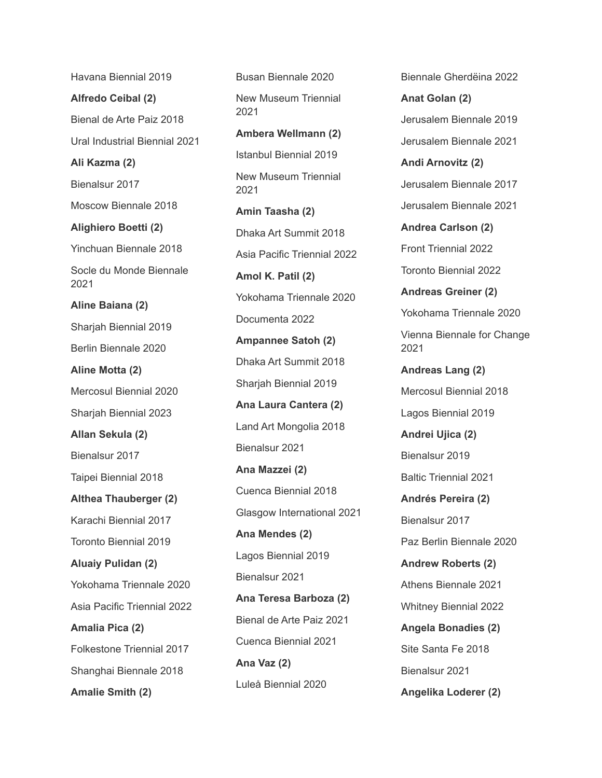**Alfredo Ceibal (2)** Bienal de Arte Paiz 2018 Ural Industrial Biennial 2021 **Ali Kazma (2)** Bienalsur 2017 Moscow Biennale 2018 **Alighiero Boetti (2)** Yinchuan Biennale 2018 Socle du Monde Biennale 2021 **Aline Baiana (2)** Sharjah Biennial 2019 Berlin Biennale 2020 **Aline Motta (2)** Mercosul Biennial 2020 Sharjah Biennial 2023 **Allan Sekula (2)** Bienalsur 2017 Taipei Biennial 2018 **Althea Thauberger (2)** Karachi Biennial 2017 Toronto Biennial 2019 **Aluaiy Pulidan (2)** Yokohama Triennale 2020 Asia Pacific Triennial 2022 **Amalia Pica (2)** Folkestone Triennial 2017

Havana Biennial 2019

Shanghai Biennale 2018

**Amalie Smith (2)**

Busan Biennale 2020 New Museum Triennial 2021 **Ambera Wellmann (2)**

Istanbul Biennial 2019 New Museum Triennial 2021

**Amin Taasha (2)** Dhaka Art Summit 2018 Asia Pacific Triennial 2022 **Amol K. Patil (2)** Yokohama Triennale 2020 Documenta 2022 **Ampannee Satoh (2)** Dhaka Art Summit 2018 Sharjah Biennial 2019 **Ana Laura Cantera (2)** Land Art Mongolia 2018 Bienalsur 2021 **Ana Mazzei (2)** Cuenca Biennial 2018 Glasgow International 2021 **Ana Mendes (2)** Lagos Biennial 2019 Bienalsur 2021 **Ana Teresa Barboza (2)** Bienal de Arte Paiz 2021 Cuenca Biennial 2021 **Ana Vaz (2)** Luleå Biennial 2020

Biennale Gherdëina 2022

**Anat Golan (2)** Jerusalem Biennale 2019 Jerusalem Biennale 2021

**Andi Arnovitz (2)** Jerusalem Biennale 2017 Jerusalem Biennale 2021

**Andrea Carlson (2)** Front Triennial 2022 Toronto Biennial 2022 **Andreas Greiner (2)** Yokohama Triennale 2020

Vienna Biennale for Change 2021

**Andreas Lang (2)** Mercosul Biennial 2018 Lagos Biennial 2019

**Andrei Ujica (2)** Bienalsur 2019 Baltic Triennial 2021

**Andrés Pereira (2)** Bienalsur 2017 Paz Berlin Biennale 2020

**Andrew Roberts (2)** Athens Biennale 2021 Whitney Biennial 2022 **Angela Bonadies (2)** Site Santa Fe 2018

Bienalsur 2021

**Angelika Loderer (2)**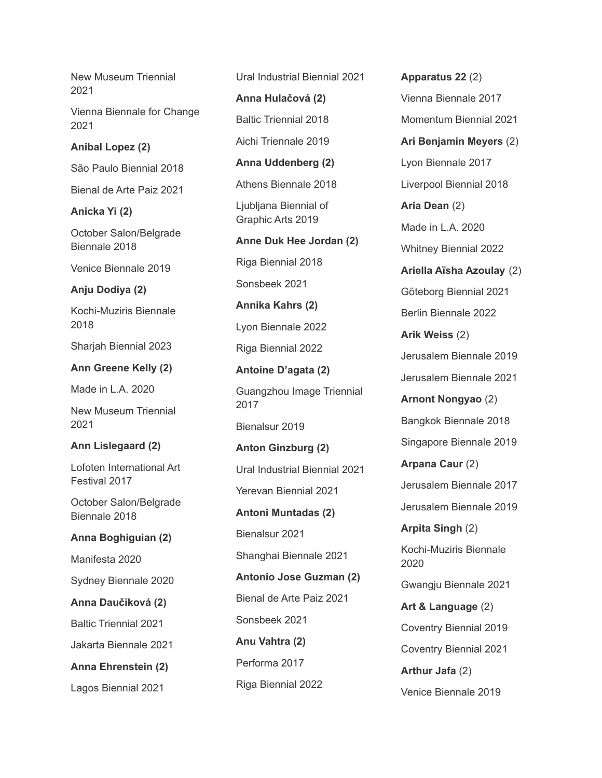New Museum Triennial 2021

Vienna Biennale for Change 2021

#### **Anibal Lopez (2)**

São Paulo Biennial 2018

Bienal de Arte Paiz 2021

**Anicka Yi (2)**

October Salon/Belgrade Biennale 2018

Venice Biennale 2019

#### **Anju Dodiya (2)**

Kochi-Muziris Biennale 2018

Sharjah Biennial 2023

### **Ann Greene Kelly (2)**

Made in L.A. 2020

New Museum Triennial 2021

#### **Ann Lislegaard (2)**

Lofoten International Art Festival 2017

October Salon/Belgrade Biennale 2018

**Anna Boghiguian (2)**

Manifesta 2020

Sydney Biennale 2020

**Anna Daučíková (2)**

Baltic Triennial 2021

Jakarta Biennale 2021

**Anna Ehrenstein (2)**

Lagos Biennial 2021

Ural Industrial Biennial 2021

**Anna Hulačová (2)**

Baltic Triennial 2018

Aichi Triennale 2019

**Anna Uddenberg (2)**

Athens Biennale 2018

Ljubljana Biennial of Graphic Arts 2019

**Anne Duk Hee Jordan (2)** Riga Biennial 2018

Sonsbeek 2021

**Annika Kahrs (2)**

Lyon Biennale 2022

Riga Biennial 2022

**Antoine D'agata (2)** Guangzhou Image Triennial 2017

Bienalsur 2019

**Anton Ginzburg (2)** Ural Industrial Biennial 2021 Yerevan Biennial 2021 **Antoni Muntadas (2)**

Bienalsur 2021

Shanghai Biennale 2021

**Antonio Jose Guzman (2)** Bienal de Arte Paiz 2021 Sonsbeek 2021

**Anu Vahtra (2)** Performa 2017 Riga Biennial 2022 **Apparatus 22** (2) Vienna Biennale 2017 Momentum Biennial 2021 **Ari Benjamin Meyers** (2) Lyon Biennale 2017 Liverpool Biennial 2018 **Aria Dean** (2) Made in L.A. 2020 Whitney Biennial 2022 **Ariella Aïsha Azoulay** (2) Göteborg Biennial 2021 Berlin Biennale 2022 **Arik Weiss** (2) Jerusalem Biennale 2019 Jerusalem Biennale 2021 **Arnont Nongyao** (2) Bangkok Biennale 2018 Singapore Biennale 2019 **Arpana Caur** (2) Jerusalem Biennale 2017 Jerusalem Biennale 2019 **Arpita Singh** (2) Kochi-Muziris Biennale 2020 Gwangju Biennale 2021 **Art & Language** (2) Coventry Biennial 2019 Coventry Biennial 2021 **Arthur Jafa** (2)

Venice Biennale 2019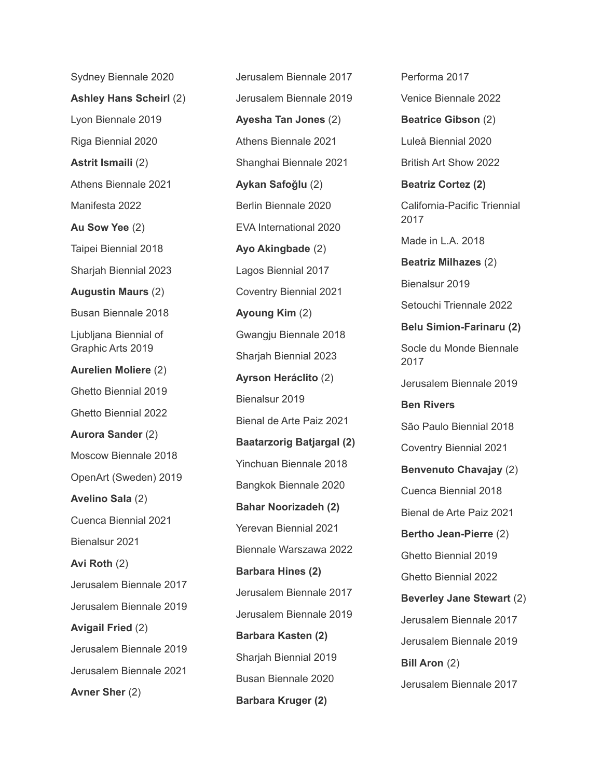Sydney Biennale 2020 **Ashley Hans Scheirl** (2) Lyon Biennale 2019 Riga Biennial 2020 **Astrit Ismaili** (2) Athens Biennale 2021 Manifesta 2022 **Au Sow Yee** (2) Taipei Biennial 2018 Sharjah Biennial 2023 **Augustin Maurs** (2) Busan Biennale 2018 Ljubljana Biennial of Graphic Arts 2019 **Aurelien Moliere** (2) Ghetto Biennial 2019 Ghetto Biennial 2022 **Aurora Sander** (2) Moscow Biennale 2018 OpenArt (Sweden) 2019 **Avelino Sala** (2) Cuenca Biennial 2021 Bienalsur 2021 **Avi Roth** (2) Jerusalem Biennale 2017 Jerusalem Biennale 2019 **Avigail Fried** (2) Jerusalem Biennale 2019 Jerusalem Biennale 2021 **Avner Sher** (2)

Jerusalem Biennale 2017 Jerusalem Biennale 2019 **Ayesha Tan Jones** (2) Athens Biennale 2021 Shanghai Biennale 2021 **Aykan Safoğlu** (2) Berlin Biennale 2020 EVA International 2020 **Ayo Akingbade** (2) Lagos Biennial 2017 Coventry Biennial 2021 **Ayoung Kim** (2) Gwangju Biennale 2018 Sharjah Biennial 2023 **Ayrson Heráclito** (2) Bienalsur 2019 Bienal de Arte Paiz 2021 **Baatarzorig Batjargal (2)** Yinchuan Biennale 2018 Bangkok Biennale 2020 **Bahar Noorizadeh (2)** Yerevan Biennial 2021 Biennale Warszawa 2022 **Barbara Hines (2)** Jerusalem Biennale 2017 Jerusalem Biennale 2019 **Barbara Kasten (2)** Sharjah Biennial 2019 Busan Biennale 2020 **Barbara Kruger (2)**

Performa 2017 Venice Biennale 2022 **Beatrice Gibson** (2) Luleå Biennial 2020 British Art Show 2022 **Beatriz Cortez (2)** California-Pacific Triennial 2017 Made in L.A. 2018 **Beatriz Milhazes** (2) Bienalsur 2019 Setouchi Triennale 2022 **Belu Simion-Farinaru (2)** Socle du Monde Biennale 2017 Jerusalem Biennale 2019 **Ben Rivers** São Paulo Biennial 2018 Coventry Biennial 2021 **Benvenuto Chavajay** (2) Cuenca Biennial 2018 Bienal de Arte Paiz 2021 **Bertho Jean-Pierre** (2) Ghetto Biennial 2019 Ghetto Biennial 2022 **Beverley Jane Stewart** (2) Jerusalem Biennale 2017 Jerusalem Biennale 2019 **Bill Aron** (2) Jerusalem Biennale 2017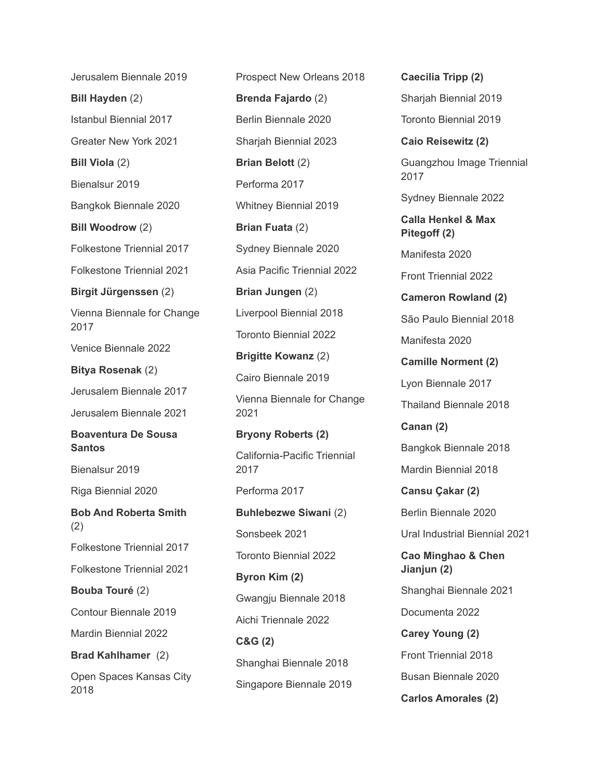Jerusalem Biennale 2019 **Bill Hayden** (2) Istanbul Biennial 2017 Greater New York 2021 **Bill Viola** (2) Bienalsur 2019 Bangkok Biennale 2020 **Bill Woodrow** (2) Folkestone Triennial 2017 Folkestone Triennial 2021 **Birgit Jürgenssen** (2) Vienna Biennale for Change 2017 Venice Biennale 2022 **Bitya Rosenak** (2) Jerusalem Biennale 2017 Jerusalem Biennale 2021 **Boaventura De Sousa Santos** Bienalsur 2019 Riga Biennial 2020 **Bob And Roberta Smith** (2) Folkestone Triennial 2017 Folkestone Triennial 2021 **Bouba Touré** (2) Contour Biennale 2019 Mardin Biennial 2022 **Brad Kahlhamer** (2) Open Spaces Kansas City 2018

Prospect New Orleans 2018 **Brenda Fajardo** (2) Berlin Biennale 2020 Sharjah Biennial 2023 **Brian Belott** (2) Performa 2017 Whitney Biennial 2019 **Brian Fuata** (2) Sydney Biennale 2020 Asia Pacific Triennial 2022 **Brian Jungen** (2) Liverpool Biennial 2018 Toronto Biennial 2022 **Brigitte Kowanz** (2) Cairo Biennale 2019 Vienna Biennale for Change 2021 **Bryony Roberts (2)** California-Pacific Triennial 2017 Performa 2017 **Buhlebezwe Siwani** (2) Sonsbeek 2021 Toronto Biennial 2022 **Byron Kim (2)** Gwangju Biennale 2018 Aichi Triennale 2022 **C&G (2)** Shanghai Biennale 2018 Singapore Biennale 2019

Guangzhou Image Triennial 2017 Sydney Biennale 2022 **Calla Henkel & Max Pitegoff (2)** Manifesta 2020 Front Triennial 2022 **Cameron Rowland (2)** São Paulo Biennial 2018 Manifesta 2020 **Camille Norment (2)** Lyon Biennale 2017 Thailand Biennale 2018 **Canan (2)** Bangkok Biennale 2018 Mardin Biennial 2018 **Cansu Çakar (2)** Berlin Biennale 2020 Ural Industrial Biennial 2021 **Cao Minghao & Chen Jianjun (2)** Shanghai Biennale 2021 Documenta 2022 **Carey Young (2)** Front Triennial 2018 Busan Biennale 2020 **Carlos Amorales (2)**

**Caecilia Tripp (2)**

Sharjah Biennial 2019

Toronto Biennial 2019

**Caio Reisewitz (2)**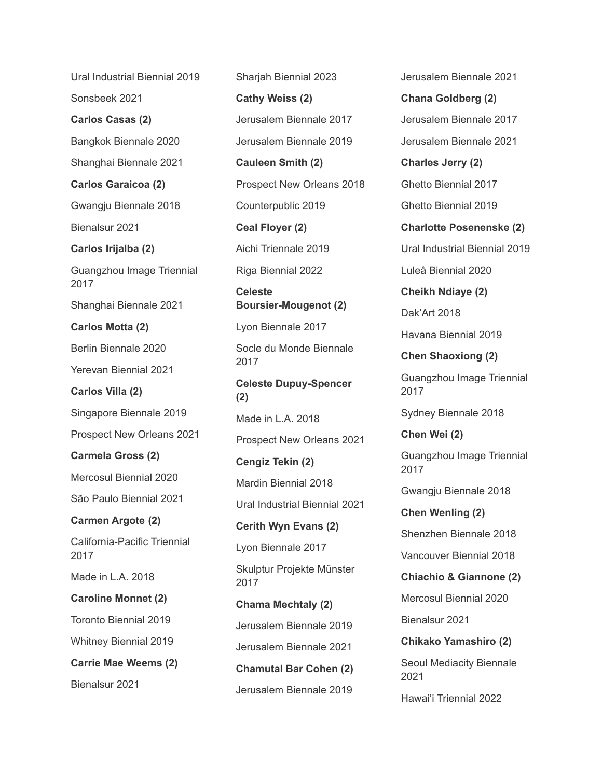Ural Industrial Biennial 2019

Sonsbeek 2021

**Carlos Casas (2)**

Bangkok Biennale 2020

Shanghai Biennale 2021

**Carlos Garaicoa (2)**

Gwangju Biennale 2018

Bienalsur 2021

**Carlos Irijalba (2)**

Guangzhou Image Triennial 2017

Shanghai Biennale 2021

**Carlos Motta (2)**

Berlin Biennale 2020

Yerevan Biennial 2021

**Carlos Villa (2)**

Singapore Biennale 2019

Prospect New Orleans 2021

**Carmela Gross (2)**

Mercosul Biennial 2020

São Paulo Biennial 2021

**Carmen Argote (2)**

California-Pacific Triennial 2017

Made in L.A. 2018

**Caroline Monnet (2)**

Toronto Biennial 2019

Whitney Biennial 2019

**Carrie Mae Weems (2)**

Bienalsur 2021

Sharjah Biennial 2023 **Cathy Weiss (2)** Jerusalem Biennale 2017 Jerusalem Biennale 2019 **Cauleen Smith (2)** Prospect New Orleans 2018 Counterpublic 2019 **Ceal Floyer (2)** Aichi Triennale 2019 Riga Biennial 2022 **Celeste Boursier-Mougenot (2)** Lyon Biennale 2017 Socle du Monde Biennale 2017 **Celeste Dupuy-Spencer (2)** Made in L.A. 2018 Prospect New Orleans 2021 **Cengiz Tekin (2)** Mardin Biennial 2018 Ural Industrial Biennial 2021 **Cerith Wyn Evans (2)** Lyon Biennale 2017 Skulptur Projekte Münster 2017 **Chama Mechtaly (2)** Jerusalem Biennale 2019 Jerusalem Biennale 2021 **Chamutal Bar Cohen (2)**

Jerusalem Biennale 2019

Jerusalem Biennale 2021

**Chana Goldberg (2)** Jerusalem Biennale 2017 Jerusalem Biennale 2021

**Charles Jerry (2)** Ghetto Biennial 2017 Ghetto Biennial 2019

**Charlotte Posenenske (2)** Ural Industrial Biennial 2019 Luleå Biennial 2020

**Cheikh Ndiaye (2)**

Dak'Art 2018

Havana Biennial 2019

**Chen Shaoxiong (2)**

Guangzhou Image Triennial 2017

Sydney Biennale 2018

**Chen Wei (2)**

Guangzhou Image Triennial 2017

Gwangju Biennale 2018

**Chen Wenling (2)** Shenzhen Biennale 2018 Vancouver Biennial 2018

**Chiachio & Giannone (2)**

Mercosul Biennial 2020

Bienalsur 2021

**Chikako Yamashiro (2)**

Seoul Mediacity Biennale 2021

Hawai'i Triennial 2022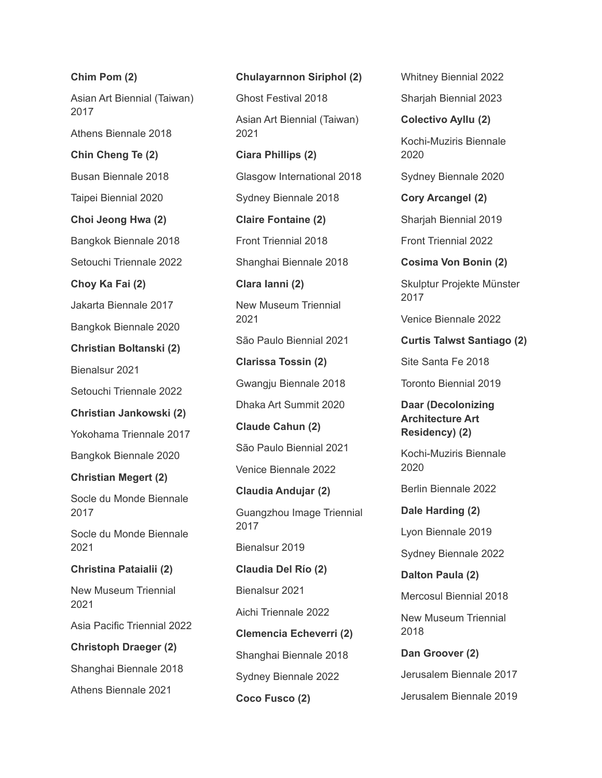**Chim Pom (2)** Asian Art Biennial (Taiwan) 2017 Athens Biennale 2018 **Chin Cheng Te (2)** Busan Biennale 2018 Taipei Biennial 2020 **Choi Jeong Hwa (2)** Bangkok Biennale 2018 Setouchi Triennale 2022 **Choy Ka Fai (2)** Jakarta Biennale 2017 Bangkok Biennale 2020 **Christian Boltanski (2)** Bienalsur 2021 Setouchi Triennale 2022 **Christian Jankowski (2)** Yokohama Triennale 2017 Bangkok Biennale 2020 **Christian Megert (2)** Socle du Monde Biennale 2017 Socle du Monde Biennale 2021 **Christina Pataialii (2)** New Museum Triennial 2021 Asia Pacific Triennial 2022 **Christoph Draeger (2)** Shanghai Biennale 2018 Athens Biennale 2021

**Chulayarnnon Siriphol (2)** Ghost Festival 2018 Asian Art Biennial (Taiwan) 2021 **Ciara Phillips (2)** Glasgow International 2018 Sydney Biennale 2018 **Claire Fontaine (2)** Front Triennial 2018 Shanghai Biennale 2018 **Clara Ianni (2)** New Museum Triennial 2021 São Paulo Biennial 2021 **Clarissa Tossin (2)** Gwangju Biennale 2018 Dhaka Art Summit 2020 **Claude Cahun (2)** São Paulo Biennial 2021 Venice Biennale 2022 **Claudia Andujar (2)** Guangzhou Image Triennial 2017 Bienalsur 2019 **Claudia Del Río (2)** Bienalsur 2021 Aichi Triennale 2022 **Clemencia Echeverri (2)** Shanghai Biennale 2018 Sydney Biennale 2022 **Coco Fusco (2)**

Whitney Biennial 2022

Sharjah Biennial 2023

**Colectivo Ayllu (2)** Kochi-Muziris Biennale

2020

Sydney Biennale 2020

**Cory Arcangel (2)**

Sharjah Biennial 2019

Front Triennial 2022

**Cosima Von Bonin (2)**

Skulptur Projekte Münster 2017

Venice Biennale 2022

**Curtis Talwst Santiago (2)**

Site Santa Fe 2018

Toronto Biennial 2019

**Daar (Decolonizing Architecture Art Residency) (2)**

Kochi-Muziris Biennale 2020

Berlin Biennale 2022

**Dale Harding (2)** Lyon Biennale 2019 Sydney Biennale 2022 **Dalton Paula (2)** Mercosul Biennial 2018

New Museum Triennial 2018

**Dan Groover (2)** Jerusalem Biennale 2017 Jerusalem Biennale 2019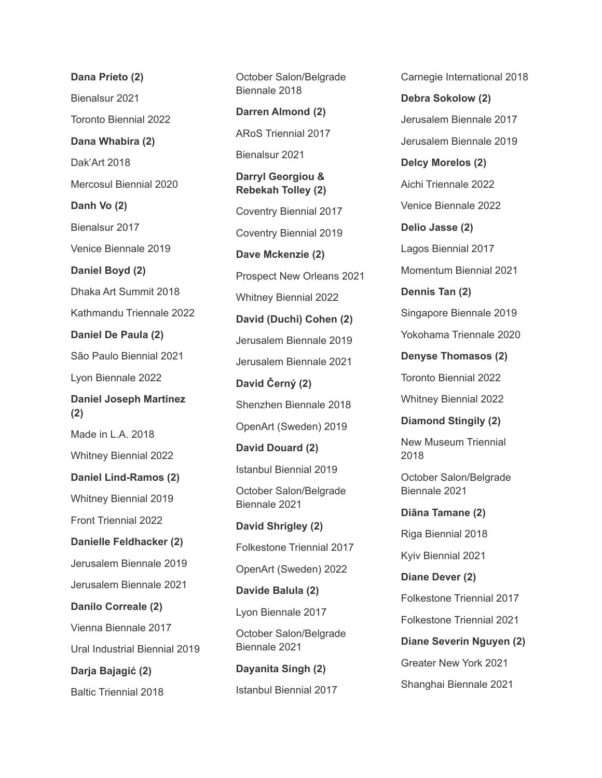**Dana Prieto (2)** Bienalsur 2021 Toronto Biennial 2022 **Dana Whabira (2)** Dak'Art 2018 Mercosul Biennial 2020 **Danh Vo (2)** Bienalsur 2017 Venice Biennale 2019 **Daniel Boyd (2)** Dhaka Art Summit 2018 Kathmandu Triennale 2022 **Daniel De Paula (2)** São Paulo Biennial 2021 Lyon Biennale 2022 **Daniel Joseph Martinez (2)** Made in L.A. 2018 Whitney Biennial 2022 **Daniel Lind-Ramos (2)** Whitney Biennial 2019 Front Triennial 2022 **Danielle Feldhacker (2)** Jerusalem Biennale 2019 Jerusalem Biennale 2021 **Danilo Correale (2)** Vienna Biennale 2017 Ural Industrial Biennial 2019 **Darja Bajagić (2)** Baltic Triennial 2018

October Salon/Belgrade Biennale 2018 **Darren Almond (2)** ARoS Triennial 2017 Bienalsur 2021 **Darryl Georgiou & Rebekah Tolley (2)** Coventry Biennial 2017 Coventry Biennial 2019 **Dave Mckenzie (2)** Prospect New Orleans 2021 Whitney Biennial 2022 **David (Duchi) Cohen (2)** Jerusalem Biennale 2019 Jerusalem Biennale 2021 **David Černý (2)** Shenzhen Biennale 2018 OpenArt (Sweden) 2019 **David Douard (2)** Istanbul Biennial 2019 October Salon/Belgrade Biennale 2021 **David Shrigley (2)** Folkestone Triennial 2017 OpenArt (Sweden) 2022 **Davide Balula (2)** Lyon Biennale 2017 October Salon/Belgrade Biennale 2021 **Dayanita Singh (2)** Istanbul Biennial 2017

Carnegie International 2018 **Debra Sokolow (2)** Jerusalem Biennale 2017 Jerusalem Biennale 2019 **Delcy Morelos (2)** Aichi Triennale 2022 Venice Biennale 2022 **Delio Jasse (2)** Lagos Biennial 2017 Momentum Biennial 2021 **Dennis Tan (2)** Singapore Biennale 2019 Yokohama Triennale 2020 **Denyse Thomasos (2)** Toronto Biennial 2022 Whitney Biennial 2022 **Diamond Stingily (2)** New Museum Triennial 2018 October Salon/Belgrade Biennale 2021 **Diāna Tamane (2)** Riga Biennial 2018 Kyiv Biennial 2021 **Diane Dever (2)** Folkestone Triennial 2017 Folkestone Triennial 2021 **Diane Severin Nguyen (2)** Greater New York 2021 Shanghai Biennale 2021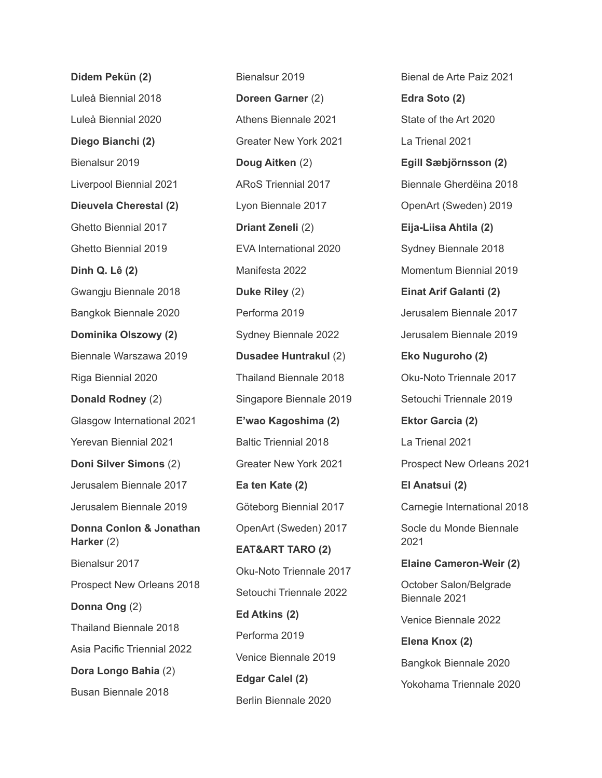**Didem Pekün (2)** Luleå Biennial 2018 Luleå Biennial 2020 **Diego Bianchi (2)** Bienalsur 2019 Liverpool Biennial 2021 **Dieuvela Cherestal (2)** Ghetto Biennial 2017 Ghetto Biennial 2019 **Dinh Q. Lê (2)** Gwangju Biennale 2018 Bangkok Biennale 2020 **Dominika Olszowy (2)** Biennale Warszawa 2019 Riga Biennial 2020 **Donald Rodney** (2) Glasgow International 2021 Yerevan Biennial 2021 **Doni Silver Simons** (2) Jerusalem Biennale 2017 Jerusalem Biennale 2019 **Donna Conlon & Jonathan Harker** (2) Bienalsur 2017 Prospect New Orleans 2018 **Donna Ong** (2) Thailand Biennale 2018 Asia Pacific Triennial 2022 **Dora Longo Bahia** (2) Busan Biennale 2018

Bienalsur 2019 **Doreen Garner** (2) Athens Biennale 2021 Greater New York 2021 **Doug Aitken** (2) ARoS Triennial 2017 Lyon Biennale 2017 **Driant Zeneli** (2) EVA International 2020 Manifesta 2022 **Duke Riley** (2) Performa 2019 Sydney Biennale 2022 **Dusadee Huntrakul** (2) Thailand Biennale 2018 Singapore Biennale 2019 **E'wao Kagoshima (2)** Baltic Triennial 2018 Greater New York 2021 **Ea ten Kate (2)** Göteborg Biennial 2017 OpenArt (Sweden) 2017 **EAT&ART TARO (2)** Oku-Noto Triennale 2017 Setouchi Triennale 2022 **Ed Atkins (2)** Performa 2019 Venice Biennale 2019 **Edgar Calel (2)** Berlin Biennale 2020

Bienal de Arte Paiz 2021 **Edra Soto (2)** State of the Art 2020 La Trienal 2021 **Egill Sæbjörnsson (2)** Biennale Gherdëina 2018 OpenArt (Sweden) 2019 **Eija-Liisa Ahtila (2)** Sydney Biennale 2018 Momentum Biennial 2019 **Einat Arif Galanti (2)** Jerusalem Biennale 2017 Jerusalem Biennale 2019 **Eko Nuguroho (2)** Oku-Noto Triennale 2017 Setouchi Triennale 2019 **Ektor Garcia (2)** La Trienal 2021 Prospect New Orleans 2021 **El Anatsui (2)** Carnegie International 2018 Socle du Monde Biennale 2021 **Elaine Cameron-Weir (2)** October Salon/Belgrade Biennale 2021 Venice Biennale 2022 **Elena Knox (2)** Bangkok Biennale 2020 Yokohama Triennale 2020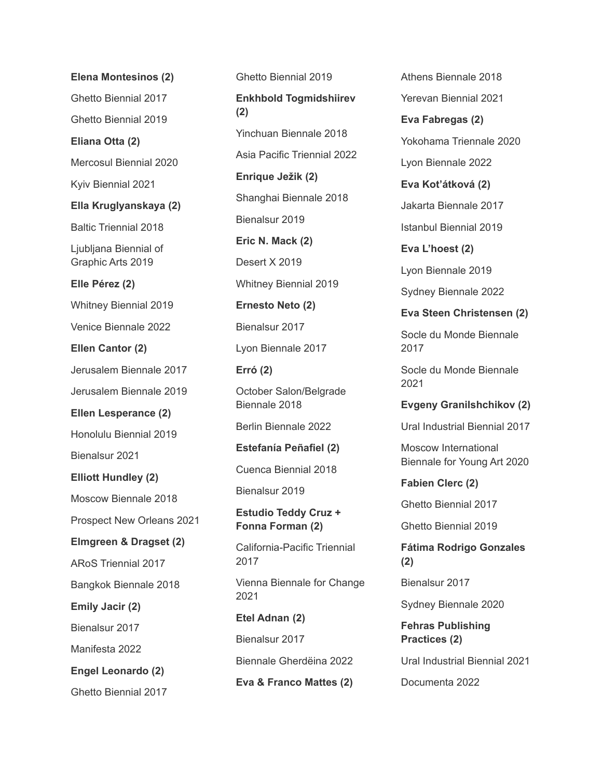**Elena Montesinos (2)** Ghetto Biennial 2017 Ghetto Biennial 2019 **Eliana Otta (2)** Mercosul Biennial 2020 Kyiv Biennial 2021 **Ella Kruglyanskaya (2)** Baltic Triennial 2018 Ljubljana Biennial of Graphic Arts 2019 **Elle Pérez (2)** Whitney Biennial 2019 Venice Biennale 2022 **Ellen Cantor (2)** Jerusalem Biennale 2017 Jerusalem Biennale 2019 **Ellen Lesperance (2)** Honolulu Biennial 2019 Bienalsur 2021 **Elliott Hundley (2)** Moscow Biennale 2018 Prospect New Orleans 2021 **Elmgreen & Dragset (2)** ARoS Triennial 2017 Bangkok Biennale 2018 **Emily Jacir (2)** Bienalsur 2017 Manifesta 2022 **Engel Leonardo (2)** Ghetto Biennial 2017

Ghetto Biennial 2019 **Enkhbold Togmidshiirev (2)** Yinchuan Biennale 2018 Asia Pacific Triennial 2022 **Enrique Ježik (2)** Shanghai Biennale 2018 Bienalsur 2019 **Eric N. Mack (2)** Desert X 2019 Whitney Biennial 2019 **Ernesto Neto (2)** Bienalsur 2017 Lyon Biennale 2017 **Erró (2)** October Salon/Belgrade Biennale 2018 Berlin Biennale 2022 **Estefanía Peñafiel (2)** Cuenca Biennial 2018 Bienalsur 2019 **Estudio Teddy Cruz + Fonna Forman (2)** California-Pacific Triennial 2017 Vienna Biennale for Change 2021 **Etel Adnan (2)** Bienalsur 2017 Biennale Gherdëina 2022 **Eva & Franco Mattes (2)**

Athens Biennale 2018 Yerevan Biennial 2021 **Eva Fabregas (2)** Yokohama Triennale 2020 Lyon Biennale 2022 **Eva Kot'átková (2)** Jakarta Biennale 2017 Istanbul Biennial 2019 **Eva L'hoest (2)** Lyon Biennale 2019 Sydney Biennale 2022 **Eva Steen Christensen (2)** Socle du Monde Biennale 2017 Socle du Monde Biennale 2021 **Evgeny Granilshchikov (2)** Ural Industrial Biennial 2017 Moscow International Biennale for Young Art 2020 **Fabien Clerc (2)** Ghetto Biennial 2017 Ghetto Biennial 2019

**Fátima Rodrigo Gonzales (2)**

Bienalsur 2017

Sydney Biennale 2020

**Fehras Publishing Practices (2)**

Ural Industrial Biennial 2021

Documenta 2022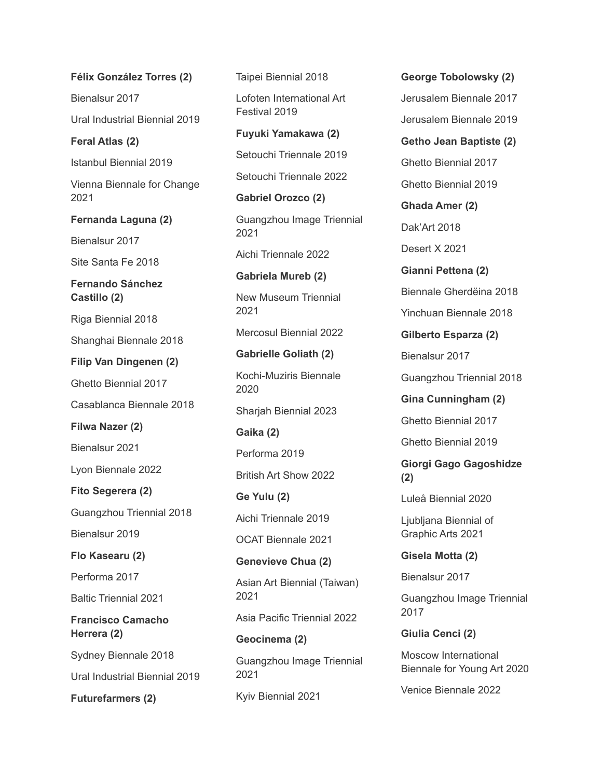**Félix González Torres (2)** Bienalsur 2017 Ural Industrial Biennial 2019 **Feral Atlas (2)** Istanbul Biennial 2019 Vienna Biennale for Change 2021 **Fernanda Laguna (2)** Bienalsur 2017 Site Santa Fe 2018 **Fernando Sánchez Castillo (2)** Riga Biennial 2018 Shanghai Biennale 2018 **Filip Van Dingenen (2)** Ghetto Biennial 2017 Casablanca Biennale 2018 **Filwa Nazer (2)** Bienalsur 2021 Lyon Biennale 2022 **Fito Segerera (2)** Guangzhou Triennial 2018 Bienalsur 2019 **Flo Kasearu (2)** Performa 2017 Baltic Triennial 2021 **Francisco Camacho Herrera (2)** Sydney Biennale 2018 Ural Industrial Biennial 2019

**Futurefarmers (2)**

Taipei Biennial 2018 Lofoten International Art Festival 2019 **Fuyuki Yamakawa (2)** Setouchi Triennale 2019 Setouchi Triennale 2022 **Gabriel Orozco (2)** Guangzhou Image Triennial 2021 Aichi Triennale 2022 **Gabriela Mureb (2)** New Museum Triennial 2021 Mercosul Biennial 2022 **Gabrielle Goliath (2)** Kochi-Muziris Biennale 2020 Sharjah Biennial 2023 **Gaika (2)** Performa 2019 British Art Show 2022 **Ge Yulu (2)** Aichi Triennale 2019 OCAT Biennale 2021 **Genevieve Chua (2)** Asian Art Biennial (Taiwan) 2021 Asia Pacific Triennial 2022 **Geocinema (2)**

Guangzhou Image Triennial 2021

Kyiv Biennial 2021

**George Tobolowsky (2)** Jerusalem Biennale 2017 Jerusalem Biennale 2019 **Getho Jean Baptiste (2)** Ghetto Biennial 2017 Ghetto Biennial 2019 **Ghada Amer (2)** Dak'Art 2018 Desert X 2021 **Gianni Pettena (2)** Biennale Gherdëina 2018 Yinchuan Biennale 2018 **Gilberto Esparza (2)** Bienalsur 2017 Guangzhou Triennial 2018 **Gina Cunningham (2)** Ghetto Biennial 2017 Ghetto Biennial 2019 **Giorgi Gago Gagoshidze (2)** Luleå Biennial 2020 Ljubljana Biennial of Graphic Arts 2021 **Gisela Motta (2)**

Bienalsur 2017

Guangzhou Image Triennial 2017

**Giulia Cenci (2)**

Moscow International Biennale for Young Art 2020

Venice Biennale 2022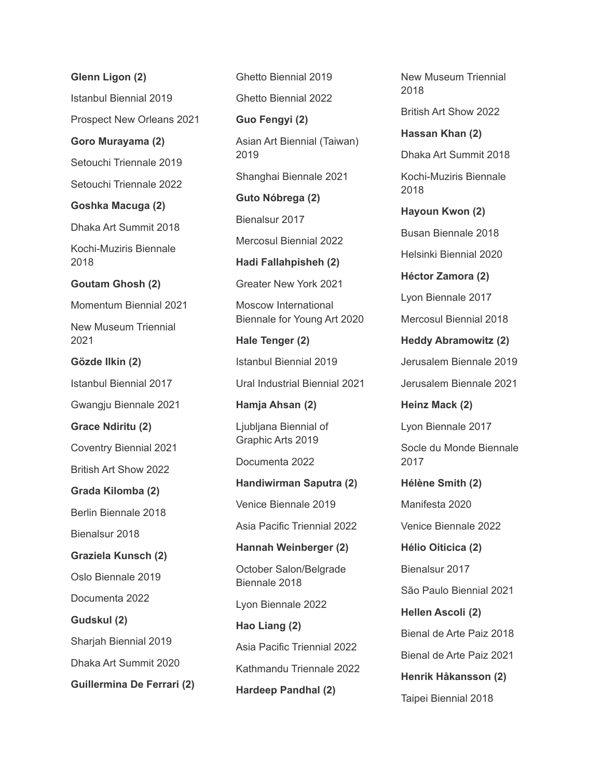**Glenn Ligon (2)**

Istanbul Biennial 2019

Prospect New Orleans 2021

**Goro Murayama (2)**

Setouchi Triennale 2019

Setouchi Triennale 2022

**Goshka Macuga (2)**

Dhaka Art Summit 2018

Kochi-Muziris Biennale 2018

#### **Goutam Ghosh (2)**

Momentum Biennial 2021

New Museum Triennial 2021

**Gözde Ilkin (2)**

Istanbul Biennial 2017

Gwangju Biennale 2021

**Grace Ndiritu (2)**

Coventry Biennial 2021

British Art Show 2022

**Grada Kilomba (2)**

Berlin Biennale 2018

Bienalsur 2018

**Graziela Kunsch (2)**

Oslo Biennale 2019

Documenta 2022

**Gudskul (2)**

Sharjah Biennial 2019

Dhaka Art Summit 2020

**Guillermina De Ferrari (2)**

Ghetto Biennial 2019

Ghetto Biennial 2022

**Guo Fengyi (2)**

Asian Art Biennial (Taiwan) 2019

Shanghai Biennale 2021

**Guto Nóbrega (2)** Bienalsur 2017 Mercosul Biennial 2022 **Hadi Fallahpisheh (2)**

Greater New York 2021

Moscow International Biennale for Young Art 2020

**Hale Tenger (2)** Istanbul Biennial 2019 Ural Industrial Biennial 2021

**Hamja Ahsan (2)**

Ljubljana Biennial of Graphic Arts 2019

Documenta 2022

**Handiwirman Saputra (2)** Venice Biennale 2019 Asia Pacific Triennial 2022

**Hannah Weinberger (2)** October Salon/Belgrade

Biennale 2018

Lyon Biennale 2022

**Hao Liang (2)** Asia Pacific Triennial 2022 Kathmandu Triennale 2022 **Hardeep Pandhal (2)**

New Museum Triennial 2018

British Art Show 2022

**Hassan Khan (2)** Dhaka Art Summit 2018

Kochi-Muziris Biennale 2018

**Hayoun Kwon (2)** Busan Biennale 2018

Helsinki Biennial 2020

**Héctor Zamora (2)**

Lyon Biennale 2017

Mercosul Biennial 2018

**Heddy Abramowitz (2)** Jerusalem Biennale 2019 Jerusalem Biennale 2021

**Heinz Mack (2)** Lyon Biennale 2017 Socle du Monde Biennale 2017

**Hélène Smith (2)** Manifesta 2020 Venice Biennale 2022 **Hélio Oiticica (2)** Bienalsur 2017 São Paulo Biennial 2021 **Hellen Ascoli (2)** Bienal de Arte Paiz 2018 Bienal de Arte Paiz 2021 **Henrik Håkansson (2)**

Taipei Biennial 2018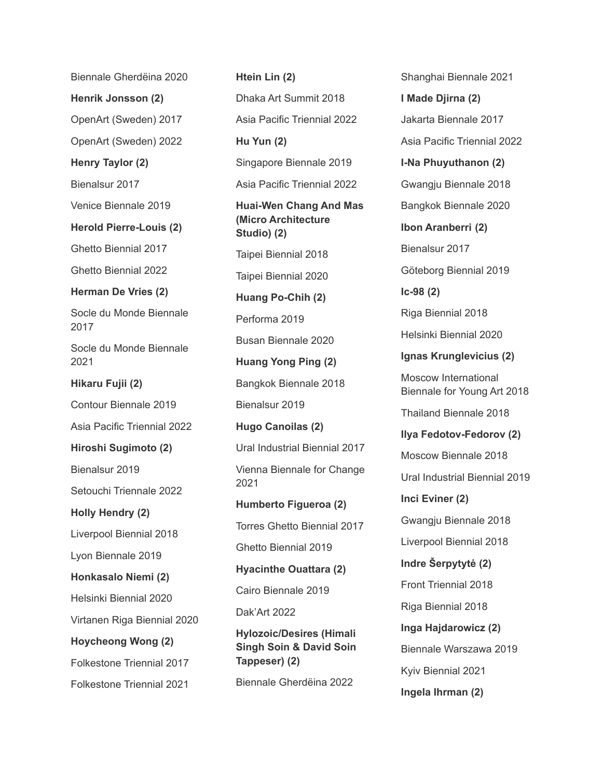Biennale Gherdëina 2020

**Henrik Jonsson (2)**

OpenArt (Sweden) 2017

OpenArt (Sweden) 2022

**Henry Taylor (2)**

Bienalsur 2017

Venice Biennale 2019

**Herold Pierre-Louis (2)**

Ghetto Biennial 2017 Ghetto Biennial 2022

**Herman De Vries (2)**

Socle du Monde Biennale 2017

Socle du Monde Biennale 2021

**Hikaru Fujii (2)**

Contour Biennale 2019

Asia Pacific Triennial 2022

**Hiroshi Sugimoto (2)**

Bienalsur 2019

Setouchi Triennale 2022

**Holly Hendry (2)**

Liverpool Biennial 2018

Lyon Biennale 2019

**Honkasalo Niemi (2)**

Helsinki Biennial 2020

Virtanen Riga Biennial 2020

**Hoycheong Wong (2)**

Folkestone Triennial 2017

Folkestone Triennial 2021

**Htein Lin (2)** Dhaka Art Summit 2018 Asia Pacific Triennial 2022 **Hu Yun (2)** Singapore Biennale 2019 Asia Pacific Triennial 2022 **Huai-Wen Chang And Mas (Micro Architecture Studio) (2)** Taipei Biennial 2018 Taipei Biennial 2020 **Huang Po-Chih (2)** Performa 2019 Busan Biennale 2020 **Huang Yong Ping (2)** Bangkok Biennale 2018 Bienalsur 2019 **Hugo Canoilas (2)** Ural Industrial Biennial 2017 Vienna Biennale for Change 2021 **Humberto Figueroa (2)** Torres Ghetto Biennial 2017 Ghetto Biennial 2019 **Hyacinthe Ouattara (2)** Cairo Biennale 2019 Dak'Art 2022 **Hylozoic/Desires (Himali Singh Soin & David Soin Tappeser) (2)**

Biennale Gherdëina 2022

Shanghai Biennale 2021 **I Made Djirna (2)** Jakarta Biennale 2017 Asia Pacific Triennial 2022 **I-Na Phuyuthanon (2)** Gwangju Biennale 2018 Bangkok Biennale 2020 **Ibon Aranberri (2)** Bienalsur 2017 Göteborg Biennial 2019 **Ic-98 (2)** Riga Biennial 2018 Helsinki Biennial 2020 **Ignas Krunglevicius (2)** Moscow International Biennale for Young Art 2018 Thailand Biennale 2018 **Ilya Fedotov-Fedorov (2)** Moscow Biennale 2018 Ural Industrial Biennial 2019 **Inci Eviner (2)** Gwangju Biennale 2018 Liverpool Biennial 2018 **Indre Šerpytytė (2)** Front Triennial 2018 Riga Biennial 2018 **Inga Hajdarowicz (2)** Biennale Warszawa 2019 Kyiv Biennial 2021 **Ingela Ihrman (2)**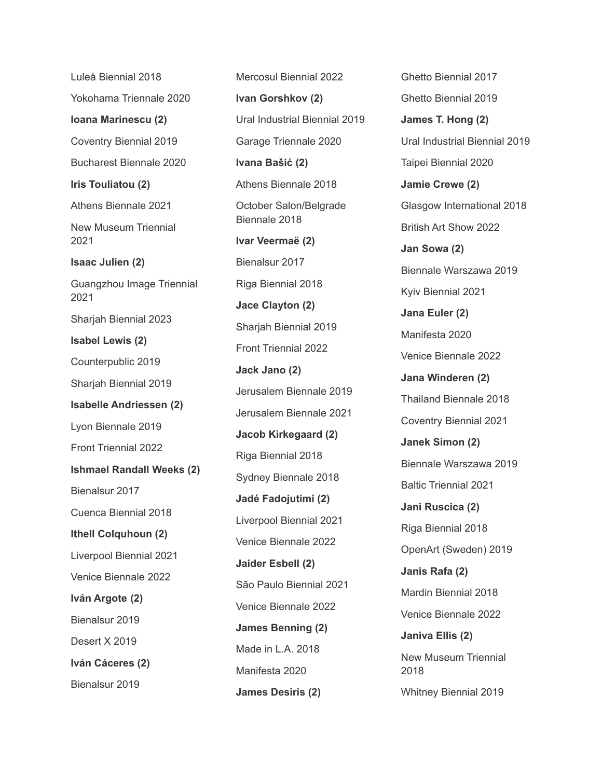Luleå Biennial 2018 Yokohama Triennale 2020 **Ioana Marinescu (2)** Coventry Biennial 2019 Bucharest Biennale 2020 **Iris Touliatou (2)** Athens Biennale 2021 New Museum Triennial 2021 **Isaac Julien (2)** Guangzhou Image Triennial 2021 Sharjah Biennial 2023 **Isabel Lewis (2)** Counterpublic 2019 Sharjah Biennial 2019 **Isabelle Andriessen (2)** Lyon Biennale 2019 Front Triennial 2022 **Ishmael Randall Weeks (2)** Bienalsur 2017 Cuenca Biennial 2018 **Ithell Colquhoun (2)** Liverpool Biennial 2021 Venice Biennale 2022 **Iván Argote (2)** Bienalsur 2019 Desert X 2019 **Iván Cáceres (2)** Bienalsur 2019

Mercosul Biennial 2022 **Ivan Gorshkov (2)** Ural Industrial Biennial 2019 Garage Triennale 2020 **Ivana Bašić (2)** Athens Biennale 2018 October Salon/Belgrade Biennale 2018 **Ivar Veermaë (2)** Bienalsur 2017 Riga Biennial 2018 **Jace Clayton (2)** Sharjah Biennial 2019 Front Triennial 2022 **Jack Jano (2)** Jerusalem Biennale 2019 Jerusalem Biennale 2021 **Jacob Kirkegaard (2)** Riga Biennial 2018 Sydney Biennale 2018 **Jadé Fadojutimi (2)** Liverpool Biennial 2021 Venice Biennale 2022 **Jaider Esbell (2)** São Paulo Biennial 2021 Venice Biennale 2022 **James Benning (2)** Made in L.A. 2018 Manifesta 2020 **James Desiris (2)**

Ghetto Biennial 2017 Ghetto Biennial 2019 **James T. Hong (2)** Ural Industrial Biennial 2019 Taipei Biennial 2020 **Jamie Crewe (2)** Glasgow International 2018 British Art Show 2022 **Jan Sowa (2)** Biennale Warszawa 2019 Kyiv Biennial 2021 **Jana Euler (2)** Manifesta 2020 Venice Biennale 2022 **Jana Winderen (2)** Thailand Biennale 2018 Coventry Biennial 2021 **Janek Simon (2)** Biennale Warszawa 2019 Baltic Triennial 2021 **Jani Ruscica (2)** Riga Biennial 2018 OpenArt (Sweden) 2019 **Janis Rafa (2)** Mardin Biennial 2018 Venice Biennale 2022 **Janiva Ellis (2)** New Museum Triennial 2018 Whitney Biennial 2019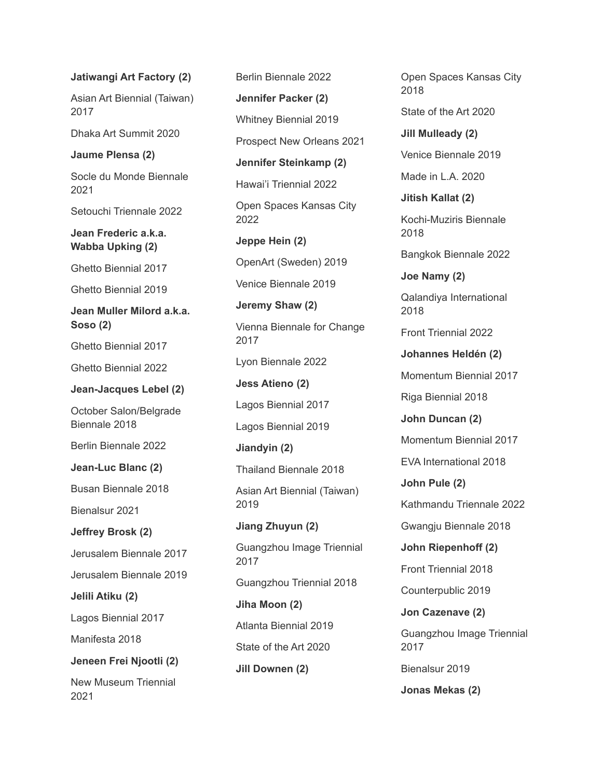## **Jatiwangi Art Factory (2)**

Asian Art Biennial (Taiwan) 2017

Dhaka Art Summit 2020

# **Jaume Plensa (2)**

Socle du Monde Biennale 2021

Setouchi Triennale 2022

**Jean Frederic a.k.a. Wabba Upking (2)**

Ghetto Biennial 2017

Ghetto Biennial 2019

**Jean Muller Milord a.k.a. Soso (2)**

Ghetto Biennial 2017

Ghetto Biennial 2022

**Jean-Jacques Lebel (2)**

October Salon/Belgrade Biennale 2018

Berlin Biennale 2022

**Jean-Luc Blanc (2)**

Busan Biennale 2018

Bienalsur 2021

**Jeffrey Brosk (2)**

Jerusalem Biennale 2017

Jerusalem Biennale 2019

**Jelili Atiku (2)**

Lagos Biennial 2017

Manifesta 2018

**Jeneen Frei Njootli (2)**

New Museum Triennial 2021

Berlin Biennale 2022 **Jennifer Packer (2)** Whitney Biennial 2019 Prospect New Orleans 2021 **Jennifer Steinkamp (2)** Hawai'i Triennial 2022 Open Spaces Kansas City 2022 **Jeppe Hein (2)** OpenArt (Sweden) 2019 Venice Biennale 2019 **Jeremy Shaw (2)** Vienna Biennale for Change 2017 Lyon Biennale 2022 **Jess Atieno (2)** Lagos Biennial 2017 Lagos Biennial 2019 **Jiandyin (2)** Thailand Biennale 2018 Asian Art Biennial (Taiwan) 2019 **Jiang Zhuyun (2)** Guangzhou Image Triennial 2017 Guangzhou Triennial 2018 **Jiha Moon (2)** Atlanta Biennial 2019 State of the Art 2020 **Jill Downen (2)**

Open Spaces Kansas City 2018

State of the Art 2020

**Jill Mulleady (2)** Venice Biennale 2019

Made in L.A. 2020

**Jitish Kallat (2)**

Kochi-Muziris Biennale 2018

Bangkok Biennale 2022

**Joe Namy (2)**

Qalandiya International 2018

Front Triennial 2022

**Johannes Heldén (2)**

Momentum Biennial 2017

Riga Biennial 2018

**John Duncan (2)**

Momentum Biennial 2017

EVA International 2018

**John Pule (2)** Kathmandu Triennale 2022

Gwangju Biennale 2018

**John Riepenhoff (2)** Front Triennial 2018

Counterpublic 2019

**Jon Cazenave (2)** Guangzhou Image Triennial 2017

Bienalsur 2019

**Jonas Mekas (2)**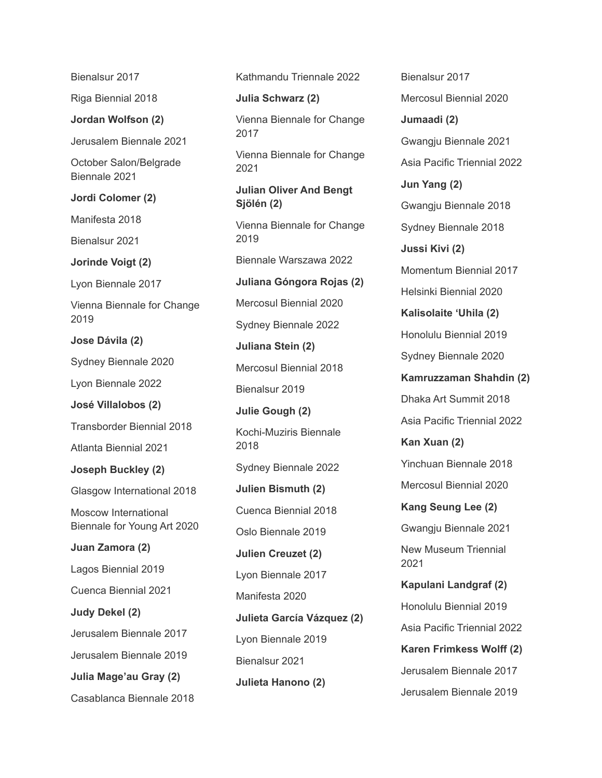Bienalsur 2017

Riga Biennial 2018

**Jordan Wolfson (2)**

Jerusalem Biennale 2021

October Salon/Belgrade Biennale 2021

**Jordi Colomer (2)**

Manifesta 2018

Bienalsur 2021

**Jorinde Voigt (2)**

Lyon Biennale 2017

Vienna Biennale for Change 2019

**Jose Dávila (2)**

Sydney Biennale 2020

Lyon Biennale 2022

**José Villalobos (2)**

Transborder Biennial 2018

Atlanta Biennial 2021

**Joseph Buckley (2)**

Glasgow International 2018

Moscow International Biennale for Young Art 2020

**Juan Zamora (2)**

Lagos Biennial 2019

Cuenca Biennial 2021

**Judy Dekel (2)**

Jerusalem Biennale 2017

Jerusalem Biennale 2019

**Julia Mage'au Gray (2)**

Casablanca Biennale 2018

Kathmandu Triennale 2022

**Julia Schwarz (2)**

Vienna Biennale for Change 2017

Vienna Biennale for Change 2021

**Julian Oliver And Bengt Sjölén (2)**

Vienna Biennale for Change 2019

Biennale Warszawa 2022

**Juliana Góngora Rojas (2)**

Mercosul Biennial 2020

Sydney Biennale 2022

**Juliana Stein (2)**

Mercosul Biennial 2018

Bienalsur 2019

**Julie Gough (2)**

Kochi-Muziris Biennale 2018

Sydney Biennale 2022

**Julien Bismuth (2)**

Cuenca Biennial 2018 Oslo Biennale 2019

**Julien Creuzet (2)**

Lyon Biennale 2017

Manifesta 2020

**Julieta García Vázquez (2)** Lyon Biennale 2019 Bienalsur 2021 **Julieta Hanono (2)**

Bienalsur 2017 Mercosul Biennial 2020 **Jumaadi (2)** Gwangju Biennale 2021 Asia Pacific Triennial 2022 **Jun Yang (2)** Gwangju Biennale 2018 Sydney Biennale 2018 **Jussi Kivi (2)** Momentum Biennial 2017 Helsinki Biennial 2020 **Kalisolaite 'Uhila (2)** Honolulu Biennial 2019 Sydney Biennale 2020 **Kamruzzaman Shahdin (2)** Dhaka Art Summit 2018 Asia Pacific Triennial 2022 **Kan Xuan (2)** Yinchuan Biennale 2018 Mercosul Biennial 2020 **Kang Seung Lee (2)** Gwangju Biennale 2021 New Museum Triennial 2021 **Kapulani Landgraf (2)** Honolulu Biennial 2019 Asia Pacific Triennial 2022 **Karen Frimkess Wolff (2)** Jerusalem Biennale 2017 Jerusalem Biennale 2019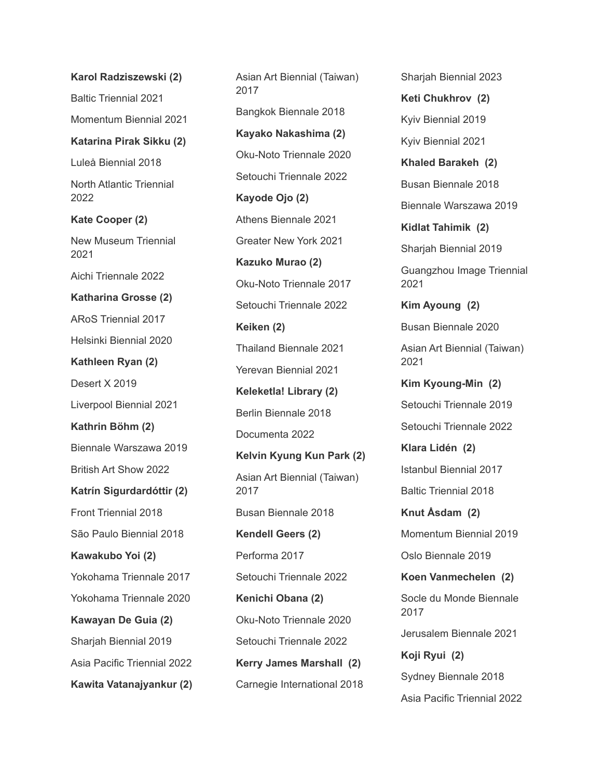**Karol Radziszewski (2)** Baltic Triennial 2021 Momentum Biennial 2021 **Katarina Pirak Sikku (2)** Luleå Biennial 2018 North Atlantic Triennial 2022 **Kate Cooper (2)** New Museum Triennial 2021 Aichi Triennale 2022 **Katharina Grosse (2)** ARoS Triennial 2017 Helsinki Biennial 2020 **Kathleen Ryan (2)** Desert X 2019 Liverpool Biennial 2021 **Kathrin Böhm (2)** Biennale Warszawa 2019 British Art Show 2022 **Katrín Sigurdardóttir (2)** Front Triennial 2018 São Paulo Biennial 2018 **Kawakubo Yoi (2)** Yokohama Triennale 2017 Yokohama Triennale 2020 **Kawayan De Guia (2)** Sharjah Biennial 2019 Asia Pacific Triennial 2022 **Kawita Vatanajyankur (2)** Asian Art Biennial (Taiwan) 2017 Bangkok Biennale 2018 **Kayako Nakashima (2)** Oku-Noto Triennale 2020 Setouchi Triennale 2022 **Kayode Ojo (2)** Athens Biennale 2021 Greater New York 2021 **Kazuko Murao (2)** Oku-Noto Triennale 2017 Setouchi Triennale 2022 **Keiken (2)** Thailand Biennale 2021 Yerevan Biennial 2021 **Keleketla! Library (2)** Berlin Biennale 2018 Documenta 2022 **Kelvin Kyung Kun Park (2)** Asian Art Biennial (Taiwan) 2017 Busan Biennale 2018 **Kendell Geers (2)** Performa 2017 Setouchi Triennale 2022 **Kenichi Obana (2)** Oku-Noto Triennale 2020 Setouchi Triennale 2022 **Kerry James Marshall (2)** Carnegie International 2018

Sharjah Biennial 2023 **Keti Chukhrov (2)** Kyiv Biennial 2019 Kyiv Biennial 2021 **Khaled Barakeh (2)** Busan Biennale 2018 Biennale Warszawa 2019 **Kidlat Tahimik (2)** Sharjah Biennial 2019 Guangzhou Image Triennial 2021 **Kim Ayoung (2)** Busan Biennale 2020 Asian Art Biennial (Taiwan) 2021 **Kim Kyoung-Min (2)** Setouchi Triennale 2019 Setouchi Triennale 2022 **Klara Lidén (2)** Istanbul Biennial 2017 Baltic Triennial 2018 **Knut Åsdam (2)** Momentum Biennial 2019 Oslo Biennale 2019 **Koen Vanmechelen (2)** Socle du Monde Biennale 2017 Jerusalem Biennale 2021 **Koji Ryui (2)** Sydney Biennale 2018 Asia Pacific Triennial 2022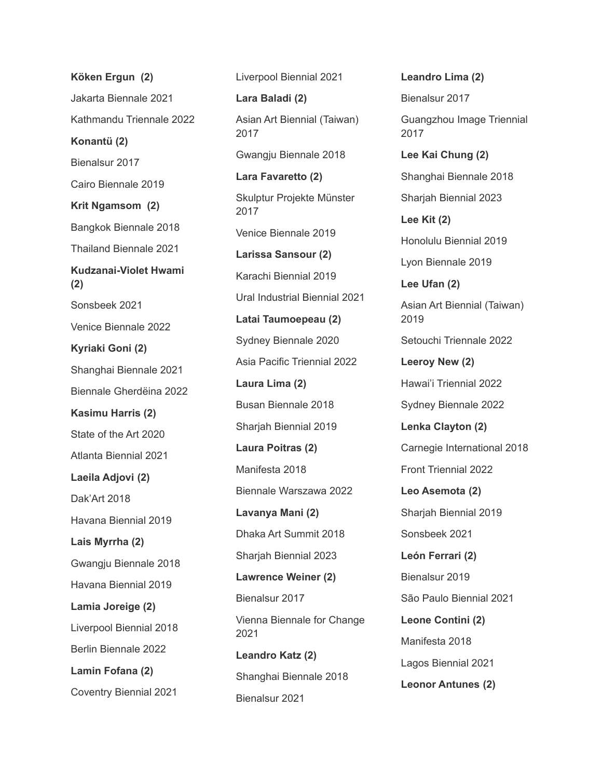**Köken Ergun (2)** Jakarta Biennale 2021 Kathmandu Triennale 2022 **Konantü (2)** Bienalsur 2017 Cairo Biennale 2019 **Krit Ngamsom (2)** Bangkok Biennale 2018 Thailand Biennale 2021 **Kudzanai-Violet Hwami (2)** Sonsbeek 2021 Venice Biennale 2022 **Kyriaki Goni (2)** Shanghai Biennale 2021 Biennale Gherdëina 2022 **Kasimu Harris (2)** State of the Art 2020 Atlanta Biennial 2021 **Laeila Adjovi (2)** Dak'Art 2018 Havana Biennial 2019 **Lais Myrrha (2)** Gwangju Biennale 2018 Havana Biennial 2019 **Lamia Joreige (2)** Liverpool Biennial 2018 Berlin Biennale 2022 **Lamin Fofana (2)** Coventry Biennial 2021

Liverpool Biennial 2021 **Lara Baladi (2)** Asian Art Biennial (Taiwan) 2017 Gwangju Biennale 2018 **Lara Favaretto (2)** Skulptur Projekte Münster 2017 Venice Biennale 2019 **Larissa Sansour (2)** Karachi Biennial 2019 Ural Industrial Biennial 2021 **Latai Taumoepeau (2)** Sydney Biennale 2020 Asia Pacific Triennial 2022 **Laura Lima (2)** Busan Biennale 2018 Sharjah Biennial 2019 **Laura Poitras (2)** Manifesta 2018 Biennale Warszawa 2022 **Lavanya Mani (2)** Dhaka Art Summit 2018 Sharjah Biennial 2023 **Lawrence Weiner (2)** Bienalsur 2017 Vienna Biennale for Change 2021 **Leandro Katz (2)** Shanghai Biennale 2018 Bienalsur 2021

**Leandro Lima (2)** Bienalsur 2017 Guangzhou Image Triennial 2017 **Lee Kai Chung (2)** Shanghai Biennale 2018 Sharjah Biennial 2023 **Lee Kit (2)** Honolulu Biennial 2019 Lyon Biennale 2019 **Lee Ufan (2)** Asian Art Biennial (Taiwan) 2019 Setouchi Triennale 2022 **Leeroy New (2)** Hawai'i Triennial 2022 Sydney Biennale 2022 **Lenka Clayton (2)** Carnegie International 2018 Front Triennial 2022 **Leo Asemota (2)** Sharjah Biennial 2019 Sonsbeek 2021 **León Ferrari (2)** Bienalsur 2019 São Paulo Biennial 2021 **Leone Contini (2)** Manifesta 2018 Lagos Biennial 2021 **Leonor Antunes (2)**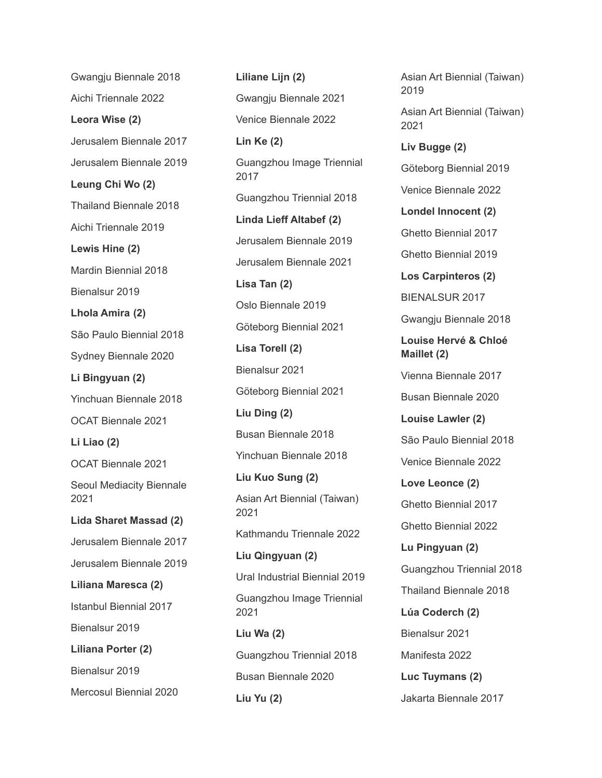Gwangju Biennale 2018 Aichi Triennale 2022 **Leora Wise (2)** Jerusalem Biennale 2017 Jerusalem Biennale 2019 **Leung Chi Wo (2)** Thailand Biennale 2018 Aichi Triennale 2019 **Lewis Hine (2)** Mardin Biennial 2018 Bienalsur 2019 **Lhola Amira (2)** São Paulo Biennial 2018 Sydney Biennale 2020 **Li Bingyuan (2)** Yinchuan Biennale 2018 OCAT Biennale 2021 **Li Liao (2)** OCAT Biennale 2021 Seoul Mediacity Biennale 2021 **Lida Sharet Massad (2)** Jerusalem Biennale 2017 Jerusalem Biennale 2019 **Liliana Maresca (2)** Istanbul Biennial 2017 Bienalsur 2019 **Liliana Porter (2)** Bienalsur 2019 Mercosul Biennial 2020

**Liliane Lijn (2)** Gwangju Biennale 2021 Venice Biennale 2022 **Lin Ke (2)** Guangzhou Image Triennial 2017 Guangzhou Triennial 2018 **Linda Lieff Altabef (2)** Jerusalem Biennale 2019 Jerusalem Biennale 2021 **Lisa Tan (2)** Oslo Biennale 2019 Göteborg Biennial 2021 **Lisa Torell (2)** Bienalsur 2021 Göteborg Biennial 2021 **Liu Ding (2)** Busan Biennale 2018 Yinchuan Biennale 2018 **Liu Kuo Sung (2)** Asian Art Biennial (Taiwan) 2021 Kathmandu Triennale 2022 **Liu Qingyuan (2)** Ural Industrial Biennial 2019 Guangzhou Image Triennial 2021 **Liu Wa (2)** Guangzhou Triennial 2018 Busan Biennale 2020 **Liu Yu (2)**

Asian Art Biennial (Taiwan) 2019 Asian Art Biennial (Taiwan) 2021 **Liv Bugge (2)** Göteborg Biennial 2019 Venice Biennale 2022 **Londel Innocent (2)** Ghetto Biennial 2017 Ghetto Biennial 2019 **Los Carpinteros (2)** BIENALSUR 2017 Gwangju Biennale 2018 **Louise Hervé & Chloé Maillet (2)** Vienna Biennale 2017 Busan Biennale 2020 **Louise Lawler (2)** São Paulo Biennial 2018 Venice Biennale 2022 **Love Leonce (2)** Ghetto Biennial 2017 Ghetto Biennial 2022 **Lu Pingyuan (2)** Guangzhou Triennial 2018 Thailand Biennale 2018 **Lúa Coderch (2)** Bienalsur 2021 Manifesta 2022 **Luc Tuymans (2)** Jakarta Biennale 2017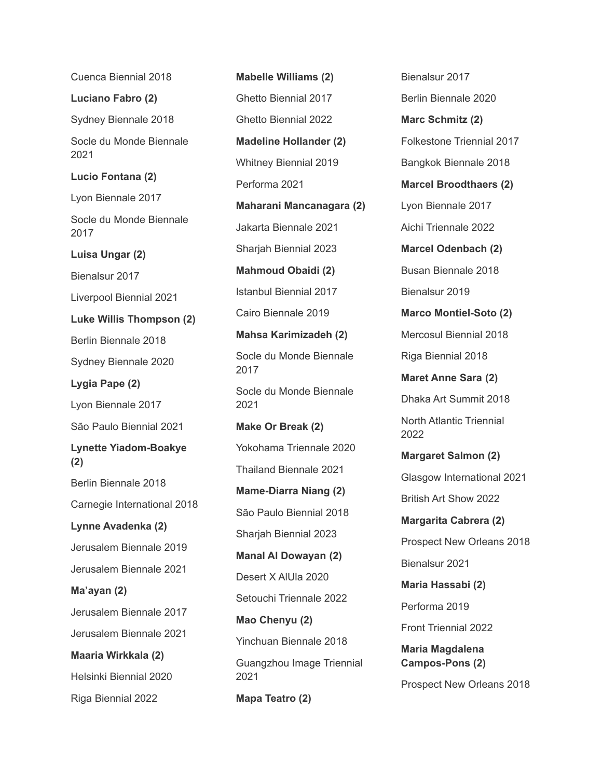Cuenca Biennial 2018 **Luciano Fabro (2)** Sydney Biennale 2018 Socle du Monde Biennale 2021 **Lucio Fontana (2)** Lyon Biennale 2017 Socle du Monde Biennale 2017 **Luisa Ungar (2)** Bienalsur 2017 Liverpool Biennial 2021 **Luke Willis Thompson (2)** Berlin Biennale 2018 Sydney Biennale 2020 **Lygia Pape (2)** Lyon Biennale 2017 São Paulo Biennial 2021 **Lynette Yiadom-Boakye (2)** Berlin Biennale 2018 Carnegie International 2018 **Lynne Avadenka (2)** Jerusalem Biennale 2019 Jerusalem Biennale 2021 **Ma'ayan (2)** Jerusalem Biennale 2017 Jerusalem Biennale 2021 **Maaria Wirkkala (2)** Helsinki Biennial 2020 Riga Biennial 2022

**Mabelle Williams (2)** Ghetto Biennial 2017 Ghetto Biennial 2022 **Madeline Hollander (2)** Whitney Biennial 2019 Performa 2021 **Maharani Mancanagara (2)** Jakarta Biennale 2021 Sharjah Biennial 2023 **Mahmoud Obaidi (2)** Istanbul Biennial 2017 Cairo Biennale 2019 **Mahsa Karimizadeh (2)** Socle du Monde Biennale 2017 Socle du Monde Biennale 2021 **Make Or Break (2)** Yokohama Triennale 2020 Thailand Biennale 2021 **Mame-Diarra Niang (2)** São Paulo Biennial 2018 Sharjah Biennial 2023 **Manal Al Dowayan (2)** Desert X AlUla 2020 Setouchi Triennale 2022 **Mao Chenyu (2)** Yinchuan Biennale 2018 Guangzhou Image Triennial 2021 **Mapa Teatro (2)**

Bienalsur 2017 Berlin Biennale 2020 **Marc Schmitz (2)** Folkestone Triennial 2017 Bangkok Biennale 2018 **Marcel Broodthaers (2)** Lyon Biennale 2017 Aichi Triennale 2022 **Marcel Odenbach (2)** Busan Biennale 2018 Bienalsur 2019 **Marco Montiel-Soto (2)** Mercosul Biennial 2018 Riga Biennial 2018 **Maret Anne Sara (2)** Dhaka Art Summit 2018 North Atlantic Triennial 2022 **Margaret Salmon (2)** Glasgow International 2021 British Art Show 2022 **Margarita Cabrera (2)** Prospect New Orleans 2018 Bienalsur 2021 **Maria Hassabi (2)** Performa 2019 Front Triennial 2022 **Maria Magdalena Campos-Pons (2)**

Prospect New Orleans 2018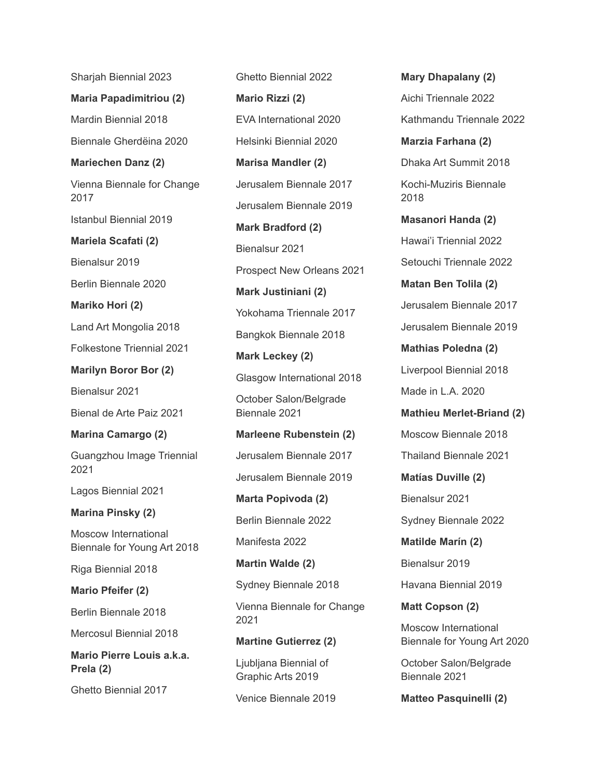Sharjah Biennial 2023

**Maria Papadimitriou (2)** Mardin Biennial 2018

Biennale Gherdëina 2020

**Mariechen Danz (2)**

Vienna Biennale for Change 2017

Istanbul Biennial 2019

**Mariela Scafati (2)**

Bienalsur 2019

Berlin Biennale 2020

**Mariko Hori (2)**

Land Art Mongolia 2018

Folkestone Triennial 2021

**Marilyn Boror Bor (2)**

Bienalsur 2021

Bienal de Arte Paiz 2021

**Marina Camargo (2)**

Guangzhou Image Triennial 2021

Lagos Biennial 2021

**Marina Pinsky (2)**

Moscow International Biennale for Young Art 2018

Riga Biennial 2018

**Mario Pfeifer (2)**

Berlin Biennale 2018

Mercosul Biennial 2018

**Mario Pierre Louis a.k.a. Prela (2)**

Ghetto Biennial 2017

Ghetto Biennial 2022 **Mario Rizzi (2)** EVA International 2020 Helsinki Biennial 2020 **Marisa Mandler (2)** Jerusalem Biennale 2017 Jerusalem Biennale 2019 **Mark Bradford (2)** Bienalsur 2021 Prospect New Orleans 2021 **Mark Justiniani (2)** Yokohama Triennale 2017 Bangkok Biennale 2018 **Mark Leckey (2)** Glasgow International 2018 October Salon/Belgrade Biennale 2021 **Marleene Rubenstein (2)** Jerusalem Biennale 2017 Jerusalem Biennale 2019 **Marta Popivoda (2)** Berlin Biennale 2022 Manifesta 2022

**Martin Walde (2)**

Sydney Biennale 2018

Vienna Biennale for Change 2021

**Martine Gutierrez (2)**

Ljubljana Biennial of Graphic Arts 2019

Venice Biennale 2019

**Mary Dhapalany (2)** Aichi Triennale 2022 Kathmandu Triennale 2022 **Marzia Farhana (2)** Dhaka Art Summit 2018 Kochi-Muziris Biennale 2018 **Masanori Handa (2)** Hawai'i Triennial 2022 Setouchi Triennale 2022 **Matan Ben Tolila (2)** Jerusalem Biennale 2017 Jerusalem Biennale 2019 **Mathias Poledna (2)** Liverpool Biennial 2018 Made in L.A. 2020 **Mathieu Merlet-Briand (2)** Moscow Biennale 2018 Thailand Biennale 2021 **Matías Duville (2)** Bienalsur 2021 Sydney Biennale 2022 **Matilde Marín (2)** Bienalsur 2019 Havana Biennial 2019 **Matt Copson (2)**

Moscow International Biennale for Young Art 2020

October Salon/Belgrade Biennale 2021

**Matteo Pasquinelli (2)**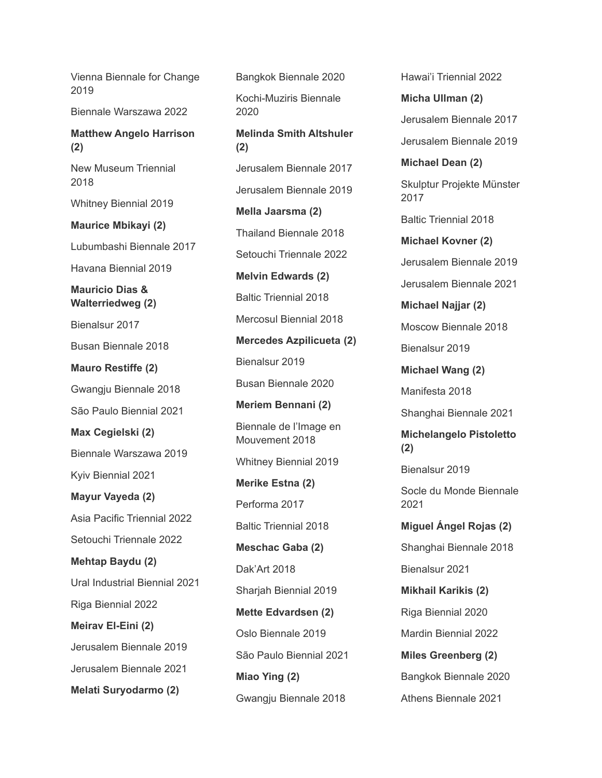Vienna Biennale for Change 2019

Biennale Warszawa 2022

**Matthew Angelo Harrison (2)**

New Museum Triennial 2018

Whitney Biennial 2019

**Maurice Mbikayi (2)**

Lubumbashi Biennale 2017

Havana Biennial 2019

**Mauricio Dias & Walterriedweg (2)**

Bienalsur 2017

Busan Biennale 2018

**Mauro Restiffe (2)**

Gwangju Biennale 2018

São Paulo Biennial 2021

**Max Cegielski (2)**

Biennale Warszawa 2019

Kyiv Biennial 2021

**Mayur Vayeda (2)**

Asia Pacific Triennial 2022 Setouchi Triennale 2022

**Mehtap Baydu (2)**

Ural Industrial Biennial 2021

Riga Biennial 2022

**Meirav El-Eini (2)**

Jerusalem Biennale 2019

Jerusalem Biennale 2021

**Melati Suryodarmo (2)**

Bangkok Biennale 2020 Kochi-Muziris Biennale 2020 **Melinda Smith Altshuler (2)** Jerusalem Biennale 2017 Jerusalem Biennale 2019 **Mella Jaarsma (2)** Thailand Biennale 2018 Setouchi Triennale 2022 **Melvin Edwards (2)** Baltic Triennial 2018 Mercosul Biennial 2018 **Mercedes Azpilicueta (2)** Bienalsur 2019 Busan Biennale 2020 **Meriem Bennani (2)** Biennale de l'Image en Mouvement 2018 Whitney Biennial 2019 **Merike Estna (2)** Performa 2017 Baltic Triennial 2018 **Meschac Gaba (2)** Dak'Art 2018 Sharjah Biennial 2019 **Mette Edvardsen (2)** Oslo Biennale 2019 São Paulo Biennial 2021 **Miao Ying (2)** Gwangju Biennale 2018

Hawai'i Triennial 2022 **Micha Ullman (2)** Jerusalem Biennale 2017 Jerusalem Biennale 2019 **Michael Dean (2)** Skulptur Projekte Münster 2017 Baltic Triennial 2018 **Michael Kovner (2)** Jerusalem Biennale 2019 Jerusalem Biennale 2021 **Michael Najjar (2)** Moscow Biennale 2018 Bienalsur 2019 **Michael Wang (2)** Manifesta 2018 Shanghai Biennale 2021 **Michelangelo Pistoletto (2)** Bienalsur 2019 Socle du Monde Biennale 2021 **Miguel Ángel Rojas (2)** Shanghai Biennale 2018 Bienalsur 2021 **Mikhail Karikis (2)** Riga Biennial 2020 Mardin Biennial 2022 **Miles Greenberg (2)** Bangkok Biennale 2020 Athens Biennale 2021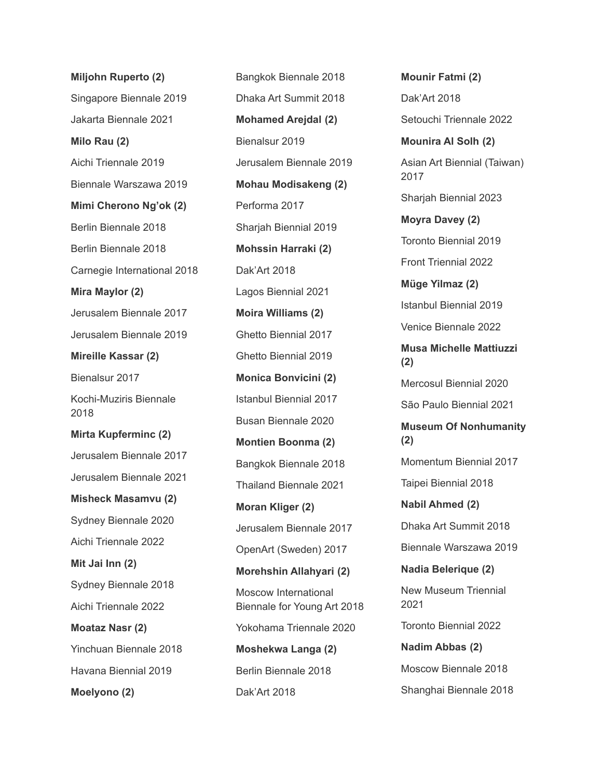**Miljohn Ruperto (2)** Singapore Biennale 2019 Jakarta Biennale 2021 **Milo Rau (2)** Aichi Triennale 2019 Biennale Warszawa 2019 **Mimi Cherono Ng'ok (2)** Berlin Biennale 2018 Berlin Biennale 2018 Carnegie International 2018 **Mira Maylor (2)** Jerusalem Biennale 2017 Jerusalem Biennale 2019 **Mireille Kassar (2)** Bienalsur 2017 Kochi-Muziris Biennale 2018 **Mirta Kupferminc (2)** Jerusalem Biennale 2017 Jerusalem Biennale 2021 **Misheck Masamvu (2)** Sydney Biennale 2020 Aichi Triennale 2022 **Mit Jai Inn (2)** Sydney Biennale 2018 Aichi Triennale 2022 **Moataz Nasr (2)** Yinchuan Biennale 2018 Havana Biennial 2019 **Moelyono (2)**

Bangkok Biennale 2018 Dhaka Art Summit 2018 **Mohamed Arejdal (2)** Bienalsur 2019 Jerusalem Biennale 2019 **Mohau Modisakeng (2)** Performa 2017 Sharjah Biennial 2019 **Mohssin Harraki (2)** Dak'Art 2018 Lagos Biennial 2021 **Moira Williams (2)** Ghetto Biennial 2017 Ghetto Biennial 2019 **Monica Bonvicini (2)** Istanbul Biennial 2017 Busan Biennale 2020 **Montien Boonma (2)** Bangkok Biennale 2018 Thailand Biennale 2021 **Moran Kliger (2)** Jerusalem Biennale 2017 OpenArt (Sweden) 2017 **Morehshin Allahyari (2)** Moscow International Biennale for Young Art 2018 Yokohama Triennale 2020 **Moshekwa Langa (2)** Berlin Biennale 2018 Dak'Art 2018

**Mounir Fatmi (2)** Dak'Art 2018 Setouchi Triennale 2022 **Mounira Al Solh (2)** Asian Art Biennial (Taiwan) 2017 Sharjah Biennial 2023 **Moyra Davey (2)** Toronto Biennial 2019 Front Triennial 2022 **Müge Yilmaz (2)** Istanbul Biennial 2019 Venice Biennale 2022 **Musa Michelle Mattiuzzi (2)** Mercosul Biennial 2020 São Paulo Biennial 2021 **Museum Of Nonhumanity (2)** Momentum Biennial 2017 Taipei Biennial 2018 **Nabil Ahmed (2)** Dhaka Art Summit 2018 Biennale Warszawa 2019 **Nadia Belerique (2)** New Museum Triennial 2021 Toronto Biennial 2022 **Nadim Abbas (2)** Moscow Biennale 2018 Shanghai Biennale 2018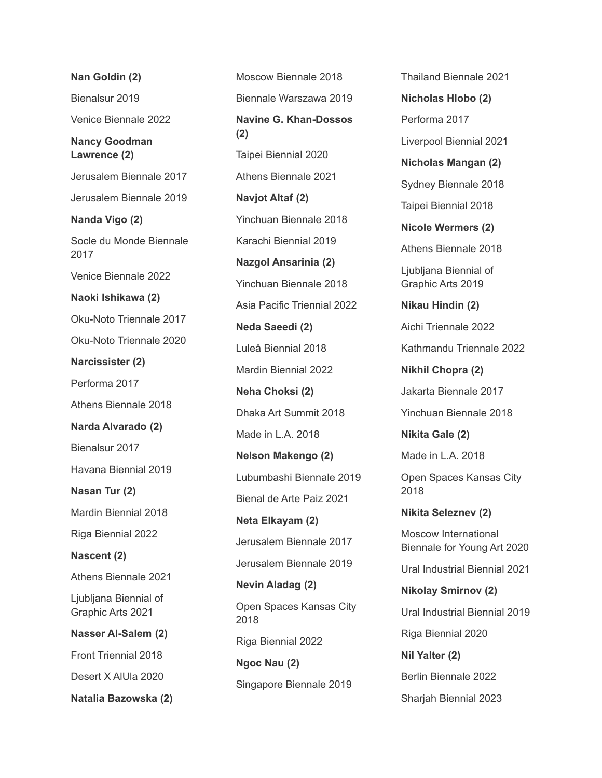**Nan Goldin (2)** Bienalsur 2019 Venice Biennale 2022 **Nancy Goodman Lawrence (2)** Jerusalem Biennale 2017 Jerusalem Biennale 2019 **Nanda Vigo (2)** Socle du Monde Biennale 2017 Venice Biennale 2022 **Naoki Ishikawa (2)** Oku-Noto Triennale 2017 Oku-Noto Triennale 2020 **Narcissister (2)** Performa 2017 Athens Biennale 2018 **Narda Alvarado (2)** Bienalsur 2017 Havana Biennial 2019 **Nasan Tur (2)** Mardin Biennial 2018 Riga Biennial 2022 **Nascent (2)** Athens Biennale 2021 Ljubljana Biennial of Graphic Arts 2021 **Nasser Al-Salem (2)** Front Triennial 2018 Desert X AlUla 2020 **Natalia Bazowska (2)**

Moscow Biennale 2018 Biennale Warszawa 2019 **Navine G. Khan-Dossos (2)** Taipei Biennial 2020 Athens Biennale 2021 **Navjot Altaf (2)** Yinchuan Biennale 2018 Karachi Biennial 2019 **Nazgol Ansarinia (2)** Yinchuan Biennale 2018 Asia Pacific Triennial 2022 **Neda Saeedi (2)** Luleå Biennial 2018 Mardin Biennial 2022 **Neha Choksi (2)** Dhaka Art Summit 2018 Made in L.A. 2018 **Nelson Makengo (2)** Lubumbashi Biennale 2019 Bienal de Arte Paiz 2021 **Neta Elkayam (2)** Jerusalem Biennale 2017 Jerusalem Biennale 2019 **Nevin Aladag (2)** Open Spaces Kansas City 2018 Riga Biennial 2022 **Ngoc Nau (2)** Singapore Biennale 2019

Thailand Biennale 2021 **Nicholas Hlobo (2)** Performa 2017 Liverpool Biennial 2021 **Nicholas Mangan (2)** Sydney Biennale 2018 Taipei Biennial 2018 **Nicole Wermers (2)** Athens Biennale 2018 Ljubljana Biennial of Graphic Arts 2019 **Nikau Hindin (2)** Aichi Triennale 2022 Kathmandu Triennale 2022 **Nikhil Chopra (2)** Jakarta Biennale 2017 Yinchuan Biennale 2018 **Nikita Gale (2)** Made in L.A. 2018 Open Spaces Kansas City 2018 **Nikita Seleznev (2)** Moscow International Biennale for Young Art 2020 Ural Industrial Biennial 2021 **Nikolay Smirnov (2)** Ural Industrial Biennial 2019 Riga Biennial 2020 **Nil Yalter (2)** Berlin Biennale 2022 Sharjah Biennial 2023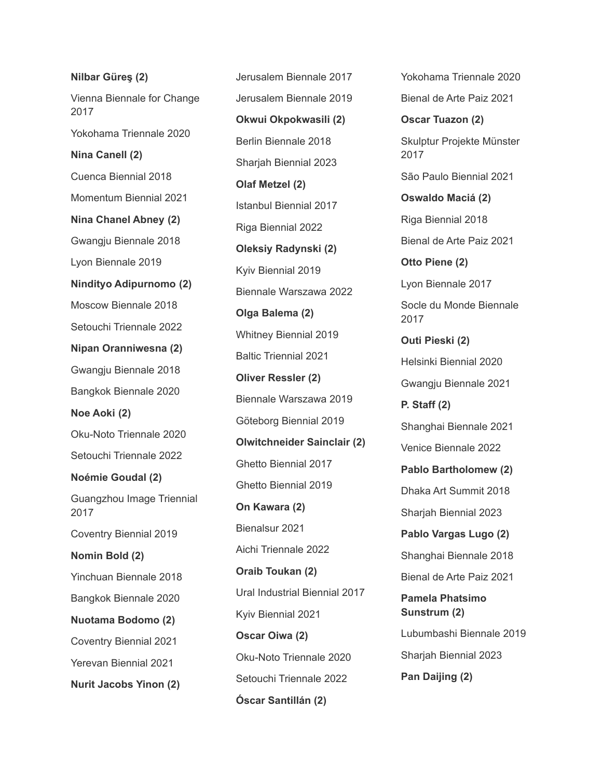**Nilbar Güreş (2)** Vienna Biennale for Change 2017 Yokohama Triennale 2020 **Nina Canell (2)** Cuenca Biennial 2018 Momentum Biennial 2021 **Nina Chanel Abney (2)** Gwangju Biennale 2018 Lyon Biennale 2019 **Nindityo Adipurnomo (2)** Moscow Biennale 2018 Setouchi Triennale 2022 **Nipan Oranniwesna (2)** Gwangju Biennale 2018 Bangkok Biennale 2020 **Noe Aoki (2)** Oku-Noto Triennale 2020 Setouchi Triennale 2022 **Noémie Goudal (2)** Guangzhou Image Triennial 2017 Coventry Biennial 2019 **Nomin Bold (2)** Yinchuan Biennale 2018 Bangkok Biennale 2020 **Nuotama Bodomo (2)** Coventry Biennial 2021 Yerevan Biennial 2021 **Nurit Jacobs Yinon (2)**

Jerusalem Biennale 2017 Jerusalem Biennale 2019 **Okwui Okpokwasili (2)** Berlin Biennale 2018 Sharjah Biennial 2023 **Olaf Metzel (2)** Istanbul Biennial 2017 Riga Biennial 2022 **Oleksiy Radynski (2)** Kyiv Biennial 2019 Biennale Warszawa 2022 **Olga Balema (2)** Whitney Biennial 2019 Baltic Triennial 2021 **Oliver Ressler (2)** Biennale Warszawa 2019 Göteborg Biennial 2019 **Olwitchneider Sainclair (2)** Ghetto Biennial 2017 Ghetto Biennial 2019 **On Kawara (2)** Bienalsur 2021 Aichi Triennale 2022 **Oraib Toukan (2)** Ural Industrial Biennial 2017 Kyiv Biennial 2021 **Oscar Oiwa (2)** Oku-Noto Triennale 2020 Setouchi Triennale 2022 **Óscar Santillán (2)**

Yokohama Triennale 2020 Bienal de Arte Paiz 2021 **Oscar Tuazon (2)** Skulptur Projekte Münster 2017 São Paulo Biennial 2021 **Oswaldo Maciá (2)** Riga Biennial 2018 Bienal de Arte Paiz 2021 **Otto Piene (2)** Lyon Biennale 2017 Socle du Monde Biennale 2017 **Outi Pieski (2)** Helsinki Biennial 2020 Gwangju Biennale 2021 **P. Staff (2)** Shanghai Biennale 2021 Venice Biennale 2022 **Pablo Bartholomew (2)** Dhaka Art Summit 2018 Sharjah Biennial 2023 **Pablo Vargas Lugo (2)** Shanghai Biennale 2018 Bienal de Arte Paiz 2021 **Pamela Phatsimo Sunstrum (2)** Lubumbashi Biennale 2019 Sharjah Biennial 2023 **Pan Daijing (2)**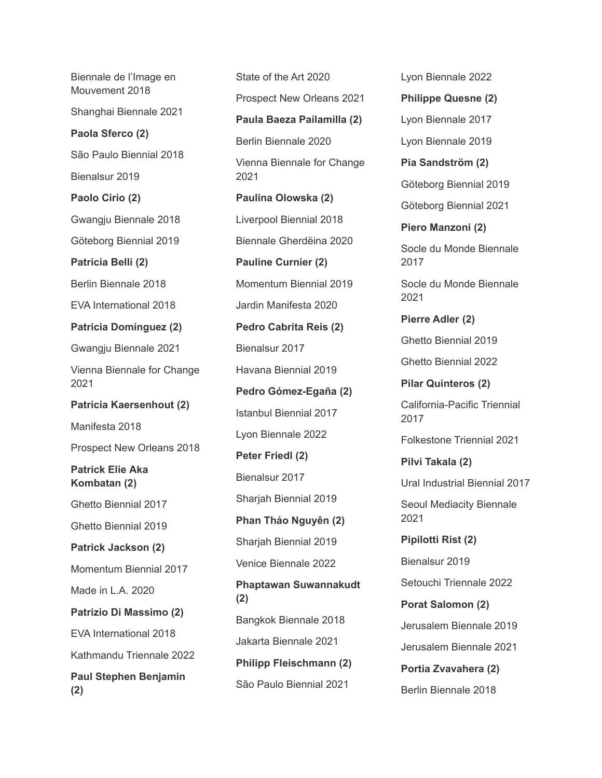Biennale de l'Image en Mouvement 2018 Shanghai Biennale 2021 **Paola Sferco (2)** São Paulo Biennial 2018 Bienalsur 2019 **Paolo Cirio (2)** Gwangju Biennale 2018 Göteborg Biennial 2019 **Patricia Belli (2)** Berlin Biennale 2018 EVA International 2018 **Patricia Domínguez (2)** Gwangju Biennale 2021 Vienna Biennale for Change 2021 **Patricia Kaersenhout (2)** Manifesta 2018 Prospect New Orleans 2018 **Patrick Elie Aka Kombatan (2)** Ghetto Biennial 2017 Ghetto Biennial 2019 **Patrick Jackson (2)** Momentum Biennial 2017 Made in L.A. 2020 **Patrizio Di Massimo (2)** EVA International 2018 Kathmandu Triennale 2022 **Paul Stephen Benjamin (2)**

State of the Art 2020 Prospect New Orleans 2021 **Paula Baeza Pailamilla (2)** Berlin Biennale 2020 Vienna Biennale for Change 2021 **Paulina Olowska (2)** Liverpool Biennial 2018 Biennale Gherdëina 2020 **Pauline Curnier (2)** Momentum Biennial 2019 Jardin Manifesta 2020 **Pedro Cabrita Reis (2)** Bienalsur 2017 Havana Biennial 2019 **Pedro Gómez-Egaña (2)** Istanbul Biennial 2017 Lyon Biennale 2022 **Peter Friedl (2)** Bienalsur 2017 Sharjah Biennial 2019 **Phan Thảo Nguyên (2)** Sharjah Biennial 2019 Venice Biennale 2022 **Phaptawan Suwannakudt (2)** Bangkok Biennale 2018 Jakarta Biennale 2021 **Philipp Fleischmann (2)** São Paulo Biennial 2021

Lyon Biennale 2022 **Philippe Quesne (2)** Lyon Biennale 2017 Lyon Biennale 2019 **Pia Sandström (2)** Göteborg Biennial 2019 Göteborg Biennial 2021 **Piero Manzoni (2)** Socle du Monde Biennale 2017 Socle du Monde Biennale 2021 **Pierre Adler (2)** Ghetto Biennial 2019 Ghetto Biennial 2022 **Pilar Quinteros (2)** California-Pacific Triennial 2017 Folkestone Triennial 2021 **Pilvi Takala (2)** Ural Industrial Biennial 2017 Seoul Mediacity Biennale 2021 **Pipilotti Rist (2)** Bienalsur 2019 Setouchi Triennale 2022 **Porat Salomon (2)** Jerusalem Biennale 2019 Jerusalem Biennale 2021 **Portia Zvavahera (2)**

Berlin Biennale 2018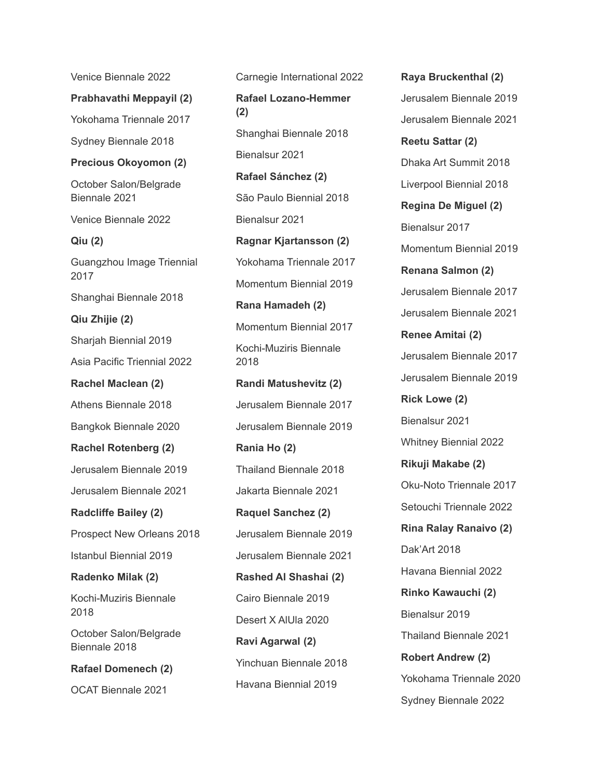Venice Biennale 2022 **Prabhavathi Meppayil (2)** Yokohama Triennale 2017 Sydney Biennale 2018 **Precious Okoyomon (2)** October Salon/Belgrade Biennale 2021 Venice Biennale 2022 **Qiu (2)** Guangzhou Image Triennial 2017 Shanghai Biennale 2018 **Qiu Zhijie (2)** Sharjah Biennial 2019 Asia Pacific Triennial 2022 **Rachel Maclean (2)** Athens Biennale 2018 Bangkok Biennale 2020 **Rachel Rotenberg (2)** Jerusalem Biennale 2019 Jerusalem Biennale 2021 **Radcliffe Bailey (2)** Prospect New Orleans 2018 Istanbul Biennial 2019 **Radenko Milak (2)** Kochi-Muziris Biennale 2018 October Salon/Belgrade Biennale 2018 **Rafael Domenech (2)** OCAT Biennale 2021

Carnegie International 2022 **Rafael Lozano-Hemmer (2)** Shanghai Biennale 2018 Bienalsur 2021 **Rafael Sánchez (2)** São Paulo Biennial 2018 Bienalsur 2021 **Ragnar Kjartansson (2)** Yokohama Triennale 2017 Momentum Biennial 2019 **Rana Hamadeh (2)** Momentum Biennial 2017 Kochi-Muziris Biennale 2018 **Randi Matushevitz (2)** Jerusalem Biennale 2017 Jerusalem Biennale 2019 **Rania Ho (2)** Thailand Biennale 2018 Jakarta Biennale 2021 **Raquel Sanchez (2)** Jerusalem Biennale 2019 Jerusalem Biennale 2021 **Rashed Al Shashai (2)** Cairo Biennale 2019 Desert X AlUla 2020 **Ravi Agarwal (2)** Yinchuan Biennale 2018 Havana Biennial 2019

**Raya Bruckenthal (2)** Jerusalem Biennale 2019 Jerusalem Biennale 2021 **Reetu Sattar (2)** Dhaka Art Summit 2018 Liverpool Biennial 2018 **Regina De Miguel (2)** Bienalsur 2017 Momentum Biennial 2019 **Renana Salmon (2)** Jerusalem Biennale 2017 Jerusalem Biennale 2021 **Renee Amitai (2)** Jerusalem Biennale 2017 Jerusalem Biennale 2019 **Rick Lowe (2)** Bienalsur 2021 Whitney Biennial 2022 **Rikuji Makabe (2)** Oku-Noto Triennale 2017 Setouchi Triennale 2022 **Rina Ralay Ranaivo (2)** Dak'Art 2018 Havana Biennial 2022 **Rinko Kawauchi (2)** Bienalsur 2019 Thailand Biennale 2021 **Robert Andrew (2)** Yokohama Triennale 2020 Sydney Biennale 2022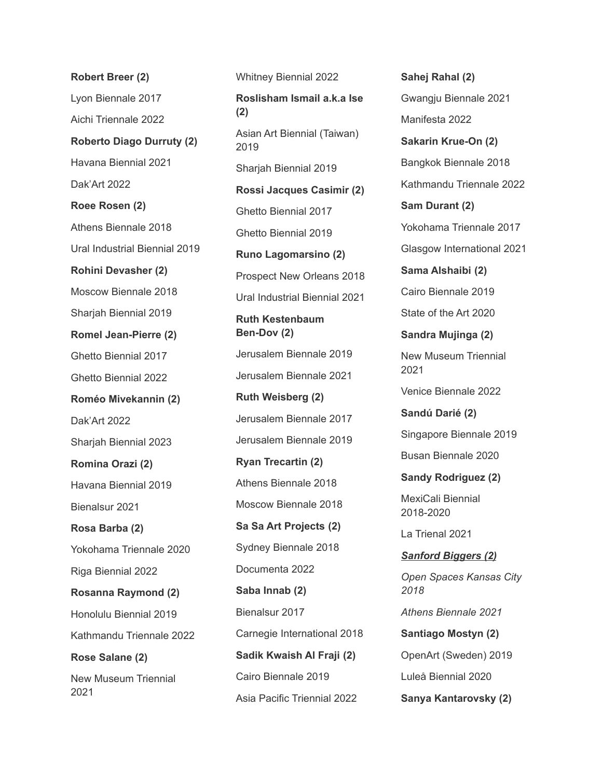**Robert Breer (2)** Lyon Biennale 2017 Aichi Triennale 2022 **Roberto Diago Durruty (2)** Havana Biennial 2021 Dak'Art 2022 **Roee Rosen (2)** Athens Biennale 2018 Ural Industrial Biennial 2019 **Rohini Devasher (2)** Moscow Biennale 2018 Sharjah Biennial 2019 **Romel Jean-Pierre (2)** Ghetto Biennial 2017 Ghetto Biennial 2022 **Roméo Mivekannin (2)** Dak'Art 2022 Sharjah Biennial 2023 **Romina Orazi (2)** Havana Biennial 2019 Bienalsur 2021 **Rosa Barba (2)** Yokohama Triennale 2020 Riga Biennial 2022 **Rosanna Raymond (2)** Honolulu Biennial 2019 Kathmandu Triennale 2022 **Rose Salane (2)** New Museum Triennial 2021

Whitney Biennial 2022 **Roslisham Ismail a.k.a Ise (2)** Asian Art Biennial (Taiwan) 2019 Sharjah Biennial 2019 **Rossi Jacques Casimir (2)** Ghetto Biennial 2017 Ghetto Biennial 2019 **Runo Lagomarsino (2)** Prospect New Orleans 2018 Ural Industrial Biennial 2021 **Ruth Kestenbaum Ben-Dov (2)** Jerusalem Biennale 2019 Jerusalem Biennale 2021 **Ruth Weisberg (2)** Jerusalem Biennale 2017 Jerusalem Biennale 2019 **Ryan Trecartin (2)** Athens Biennale 2018 Moscow Biennale 2018 **Sa Sa Art Projects (2)** Sydney Biennale 2018 Documenta 2022 **Saba Innab (2)** Bienalsur 2017 Carnegie International 2018 **Sadik Kwaish Al Fraji (2)** Cairo Biennale 2019 Asia Pacific Triennial 2022

Gwangju Biennale 2021 Manifesta 2022 **Sakarin Krue-On (2)** Bangkok Biennale 2018 Kathmandu Triennale 2022 **Sam Durant (2)** Yokohama Triennale 2017 Glasgow International 2021 **Sama Alshaibi (2)** Cairo Biennale 2019 State of the Art 2020 **Sandra Mujinga (2)** New Museum Triennial 2021 Venice Biennale 2022 **Sandú Darié (2)** Singapore Biennale 2019 Busan Biennale 2020 **Sandy Rodriguez (2)** MexiCali Biennial 2018-2020 La Trienal 2021 *Sanford Biggers (2) Open Spaces Kansas City 2018 Athens Biennale 2021* **Santiago Mostyn (2)** OpenArt (Sweden) 2019 Luleå Biennial 2020 **Sanya Kantarovsky (2)**

**Sahej Rahal (2)**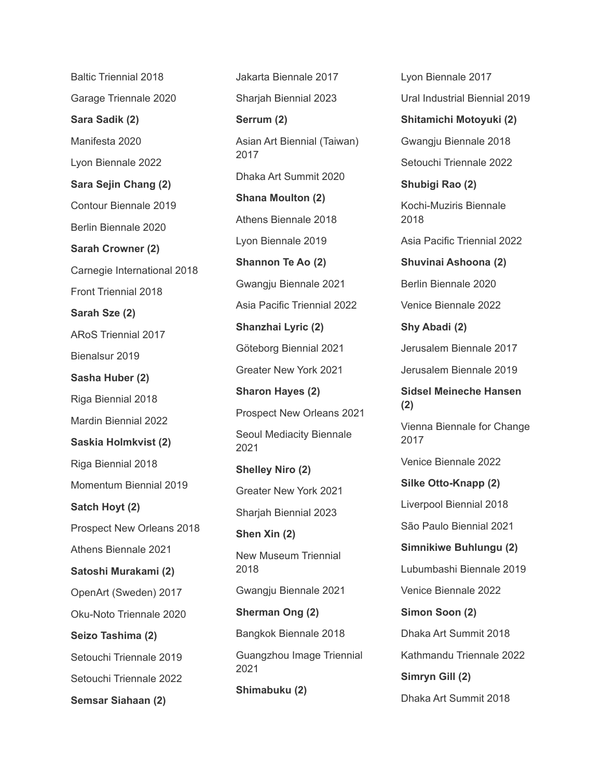Baltic Triennial 2018 Garage Triennale 2020 **Sara Sadik (2)** Manifesta 2020 Lyon Biennale 2022 **Sara Sejin Chang (2)** Contour Biennale 2019 Berlin Biennale 2020 **Sarah Crowner (2)** Carnegie International 2018 Front Triennial 2018 **Sarah Sze (2)** ARoS Triennial 2017 Bienalsur 2019 **Sasha Huber (2)** Riga Biennial 2018 Mardin Biennial 2022 **Saskia Holmkvist (2)** Riga Biennial 2018 Momentum Biennial 2019 **Satch Hoyt (2)** Prospect New Orleans 2018 Athens Biennale 2021 **Satoshi Murakami (2)** OpenArt (Sweden) 2017 Oku-Noto Triennale 2020 **Seizo Tashima (2)** Setouchi Triennale 2019 Setouchi Triennale 2022 **Semsar Siahaan (2)**

Jakarta Biennale 2017 Sharjah Biennial 2023 **Serrum (2)** Asian Art Biennial (Taiwan) 2017 Dhaka Art Summit 2020 **Shana Moulton (2)** Athens Biennale 2018 Lyon Biennale 2019 **Shannon Te Ao (2)** Gwangju Biennale 2021 Asia Pacific Triennial 2022 **Shanzhai Lyric (2)** Göteborg Biennial 2021 Greater New York 2021 **Sharon Hayes (2)** Prospect New Orleans 2021 Seoul Mediacity Biennale 2021 **Shelley Niro (2)** Greater New York 2021 Sharjah Biennial 2023 **Shen Xin (2)** New Museum Triennial 2018 Gwangju Biennale 2021 **Sherman Ong (2)** Bangkok Biennale 2018 Guangzhou Image Triennial 2021 **Shimabuku (2)**

Lyon Biennale 2017 Ural Industrial Biennial 2019 **Shitamichi Motoyuki (2)** Gwangju Biennale 2018 Setouchi Triennale 2022 **Shubigi Rao (2)** Kochi-Muziris Biennale 2018 Asia Pacific Triennial 2022 **Shuvinai Ashoona (2)** Berlin Biennale 2020 Venice Biennale 2022 **Shy Abadi (2)** Jerusalem Biennale 2017 Jerusalem Biennale 2019 **Sidsel Meineche Hansen (2)** Vienna Biennale for Change 2017 Venice Biennale 2022 **Silke Otto-Knapp (2)** Liverpool Biennial 2018 São Paulo Biennial 2021 **Simnikiwe Buhlungu (2)** Lubumbashi Biennale 2019 Venice Biennale 2022 **Simon Soon (2)** Dhaka Art Summit 2018 Kathmandu Triennale 2022 **Simryn Gill (2)** Dhaka Art Summit 2018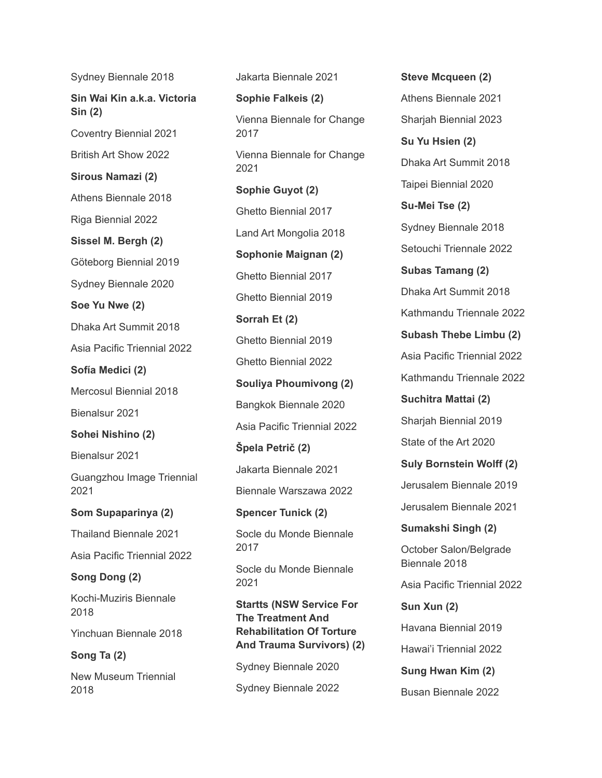Sydney Biennale 2018

**Sin Wai Kin a.k.a. Victoria Sin (2)**

Coventry Biennial 2021

British Art Show 2022 **Sirous Namazi (2)**

Athens Biennale 2018

Riga Biennial 2022

**Sissel M. Bergh (2)**

Göteborg Biennial 2019

Sydney Biennale 2020

**Soe Yu Nwe (2)**

Dhaka Art Summit 2018

Asia Pacific Triennial 2022

**Sofía Medici (2)**

Mercosul Biennial 2018

Bienalsur 2021

## **Sohei Nishino (2)**

Bienalsur 2021

Guangzhou Image Triennial 2021

**Som Supaparinya (2)**

Thailand Biennale 2021

Asia Pacific Triennial 2022

## **Song Dong (2)**

Kochi-Muziris Biennale 2018

Yinchuan Biennale 2018

**Song Ta (2)**

New Museum Triennial 2018

Jakarta Biennale 2021

**Sophie Falkeis (2)** Vienna Biennale for Change 2017 Vienna Biennale for Change 2021 **Sophie Guyot (2)** Ghetto Biennial 2017 Land Art Mongolia 2018 **Sophonie Maignan (2)** Ghetto Biennial 2017 Ghetto Biennial 2019 **Sorrah Et (2)** Ghetto Biennial 2019 Ghetto Biennial 2022 **Souliya Phoumivong (2)** Bangkok Biennale 2020 Asia Pacific Triennial 2022 **Špela Petrič (2)** Jakarta Biennale 2021 Biennale Warszawa 2022 **Spencer Tunick (2)** Socle du Monde Biennale 2017 Socle du Monde Biennale 2021 **Startts (NSW Service For**

**The Treatment And Rehabilitation Of Torture And Trauma Survivors) (2)**

Sydney Biennale 2020 Sydney Biennale 2022 **Steve Mcqueen (2)** Athens Biennale 2021 Sharjah Biennial 2023 **Su Yu Hsien (2)** Dhaka Art Summit 2018 Taipei Biennial 2020 **Su-Mei Tse (2)** Sydney Biennale 2018 Setouchi Triennale 2022 **Subas Tamang (2)** Dhaka Art Summit 2018 Kathmandu Triennale 2022 **Subash Thebe Limbu (2)** Asia Pacific Triennial 2022 Kathmandu Triennale 2022 **Suchitra Mattai (2)** Sharjah Biennial 2019 State of the Art 2020 **Suly Bornstein Wolff (2)** Jerusalem Biennale 2019 Jerusalem Biennale 2021 **Sumakshi Singh (2)** October Salon/Belgrade Biennale 2018 Asia Pacific Triennial 2022 **Sun Xun (2)** Havana Biennial 2019 Hawai'i Triennial 2022 **Sung Hwan Kim (2)**

Busan Biennale 2022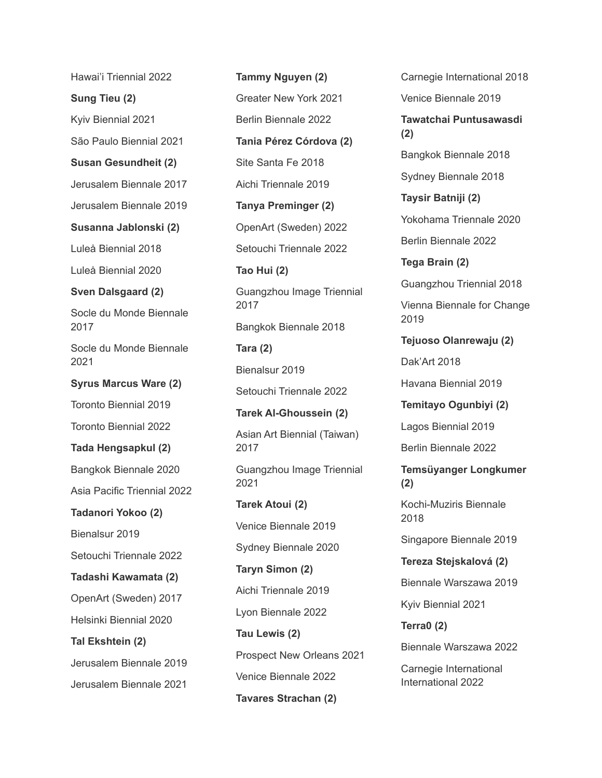Hawai'i Triennial 2022

**Sung Tieu (2)**

Kyiv Biennial 2021

São Paulo Biennial 2021

**Susan Gesundheit (2)**

Jerusalem Biennale 2017

Jerusalem Biennale 2019

**Susanna Jablonski (2)**

Luleå Biennial 2018

Luleå Biennial 2020

## **Sven Dalsgaard (2)**

Socle du Monde Biennale 2017

Socle du Monde Biennale 2021

**Syrus Marcus Ware (2)**

Toronto Biennial 2019

Toronto Biennial 2022

## **Tada Hengsapkul (2)**

Bangkok Biennale 2020

Asia Pacific Triennial 2022

**Tadanori Yokoo (2)**

Bienalsur 2019

Setouchi Triennale 2022

**Tadashi Kawamata (2)**

OpenArt (Sweden) 2017

Helsinki Biennial 2020

**Tal Ekshtein (2)**

Jerusalem Biennale 2019 Jerusalem Biennale 2021

**Tammy Nguyen (2)** Greater New York 2021 Berlin Biennale 2022 **Tania Pérez Córdova (2)** Site Santa Fe 2018 Aichi Triennale 2019 **Tanya Preminger (2)** OpenArt (Sweden) 2022 Setouchi Triennale 2022 **Tao Hui (2)** Guangzhou Image Triennial 2017 Bangkok Biennale 2018 **Tara (2)** Bienalsur 2019 Setouchi Triennale 2022 **Tarek Al-Ghoussein (2)** Asian Art Biennial (Taiwan) 2017 Guangzhou Image Triennial 2021 **Tarek Atoui (2)** Venice Biennale 2019 Sydney Biennale 2020 **Taryn Simon (2)** Aichi Triennale 2019 Lyon Biennale 2022 **Tau Lewis (2)** Prospect New Orleans 2021 Venice Biennale 2022 **Tavares Strachan (2)**

Carnegie International 2018 Venice Biennale 2019 **Tawatchai Puntusawasdi (2)** Bangkok Biennale 2018 Sydney Biennale 2018 **Taysir Batniji (2)** Yokohama Triennale 2020 Berlin Biennale 2022 **Tega Brain (2)** Guangzhou Triennial 2018 Vienna Biennale for Change 2019 **Tejuoso Olanrewaju (2)** Dak'Art 2018 Havana Biennial 2019 **Temitayo Ogunbiyi (2)** Lagos Biennial 2019 Berlin Biennale 2022 **Temsüyanger Longkumer (2)** Kochi-Muziris Biennale 2018 Singapore Biennale 2019

**Tereza Stejskalová (2)**

Biennale Warszawa 2019

Kyiv Biennial 2021

**Terra0 (2)**

Biennale Warszawa 2022

Carnegie International International 2022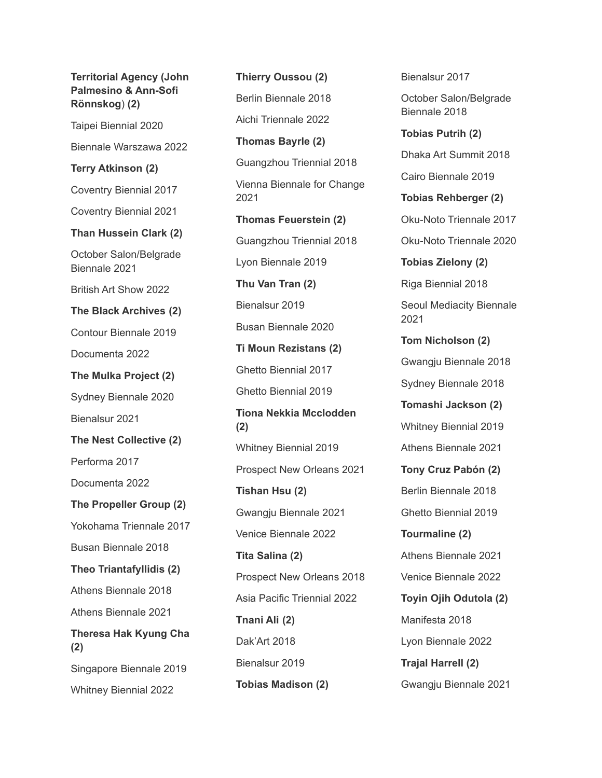**Territorial Agency (John Palmesino & Ann-Sofi Rönnskog**) **(2)** Taipei Biennial 2020 Biennale Warszawa 2022 **Terry Atkinson (2)** Coventry Biennial 2017 Coventry Biennial 2021 **Than Hussein Clark (2)** October Salon/Belgrade Biennale 2021 British Art Show 2022 **The Black Archives (2)** Contour Biennale 2019 Documenta 2022 **The Mulka Project (2)** Sydney Biennale 2020 Bienalsur 2021 **The Nest Collective (2)** Performa 2017 Documenta 2022 **The Propeller Group (2)** Yokohama Triennale 2017 Busan Biennale 2018 **Theo Triantafyllidis (2)** Athens Biennale 2018 Athens Biennale 2021 **Theresa Hak Kyung Cha (2)** Singapore Biennale 2019 Whitney Biennial 2022

**Thierry Oussou (2)** Berlin Biennale 2018 Aichi Triennale 2022 **Thomas Bayrle (2)** Guangzhou Triennial 2018 Vienna Biennale for Change 2021 **Thomas Feuerstein (2)** Guangzhou Triennial 2018 Lyon Biennale 2019 **Thu Van Tran (2)** Bienalsur 2019 Busan Biennale 2020 **Ti Moun Rezistans (2)** Ghetto Biennial 2017 Ghetto Biennial 2019 **Tiona Nekkia Mcclodden (2)** Whitney Biennial 2019 Prospect New Orleans 2021 **Tishan Hsu (2)** Gwangju Biennale 2021 Venice Biennale 2022 **Tita Salina (2)** Prospect New Orleans 2018 Asia Pacific Triennial 2022 **Tnani Ali (2)** Dak'Art 2018 Bienalsur 2019 **Tobias Madison (2)**

Biennale 2018 **Tobias Putrih (2)** Dhaka Art Summit 2018 Cairo Biennale 2019 **Tobias Rehberger (2)** Oku-Noto Triennale 2017 Oku-Noto Triennale 2020 **Tobias Zielony (2)** Riga Biennial 2018 Seoul Mediacity Biennale 2021 **Tom Nicholson (2)** Gwangju Biennale 2018 Sydney Biennale 2018 **Tomashi Jackson (2)** Whitney Biennial 2019 Athens Biennale 2021 **Tony Cruz Pabón (2)** Berlin Biennale 2018 Ghetto Biennial 2019 **Tourmaline (2)** Athens Biennale 2021 Venice Biennale 2022 **Toyin Ojih Odutola (2)** Manifesta 2018 Lyon Biennale 2022 **Trajal Harrell (2)** Gwangju Biennale 2021

Bienalsur 2017

October Salon/Belgrade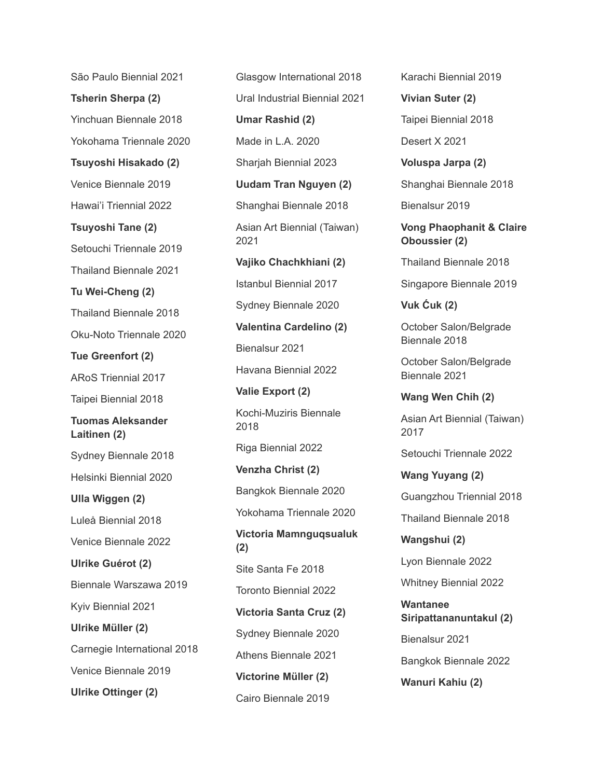São Paulo Biennial 2021 **Tsherin Sherpa (2)** Yinchuan Biennale 2018 Yokohama Triennale 2020 **Tsuyoshi Hisakado (2)** Venice Biennale 2019 Hawai'i Triennial 2022 **Tsuyoshi Tane (2)** Setouchi Triennale 2019 Thailand Biennale 2021 **Tu Wei-Cheng (2)** Thailand Biennale 2018 Oku-Noto Triennale 2020 **Tue Greenfort (2)** ARoS Triennial 2017 Taipei Biennial 2018 **Tuomas Aleksander Laitinen (2)** Sydney Biennale 2018 Helsinki Biennial 2020 **Ulla Wiggen (2)** Luleå Biennial 2018 Venice Biennale 2022 **Ulrike Guérot (2)** Biennale Warszawa 2019 Kyiv Biennial 2021 **Ulrike Müller (2)** Carnegie International 2018 Venice Biennale 2019 **Ulrike Ottinger (2)**

Glasgow International 2018 Ural Industrial Biennial 2021 **Umar Rashid (2)** Made in L.A. 2020 Sharjah Biennial 2023 **Uudam Tran Nguyen (2)** Shanghai Biennale 2018 Asian Art Biennial (Taiwan) 2021 **Vajiko Chachkhiani (2)** Istanbul Biennial 2017 Sydney Biennale 2020 **Valentina Cardelino (2)** Bienalsur 2021 Havana Biennial 2022 **Valie Export (2)** Kochi-Muziris Biennale 2018 Riga Biennial 2022 **Venzha Christ (2)** Bangkok Biennale 2020 Yokohama Triennale 2020 **Victoria Mamnguqsualuk (2)** Site Santa Fe 2018 Toronto Biennial 2022 **Victoria Santa Cruz (2)** Sydney Biennale 2020 Athens Biennale 2021 **Victorine Müller (2)** Cairo Biennale 2019

Karachi Biennial 2019

**Vivian Suter (2)** Taipei Biennial 2018 Desert X 2021

**Voluspa Jarpa (2)** Shanghai Biennale 2018

Bienalsur 2019

**Vong Phaophanit & Claire Oboussier (2)**

Thailand Biennale 2018

Singapore Biennale 2019

**Vuk Ćuk (2)**

October Salon/Belgrade Biennale 2018

October Salon/Belgrade Biennale 2021

**Wang Wen Chih (2)** Asian Art Biennial (Taiwan) 2017

Setouchi Triennale 2022

**Wang Yuyang (2)** Guangzhou Triennial 2018

Thailand Biennale 2018

**Wangshui (2)** Lyon Biennale 2022

Whitney Biennial 2022

**Wantanee Siripattananuntakul (2)** Bienalsur 2021 Bangkok Biennale 2022 **Wanuri Kahiu (2)**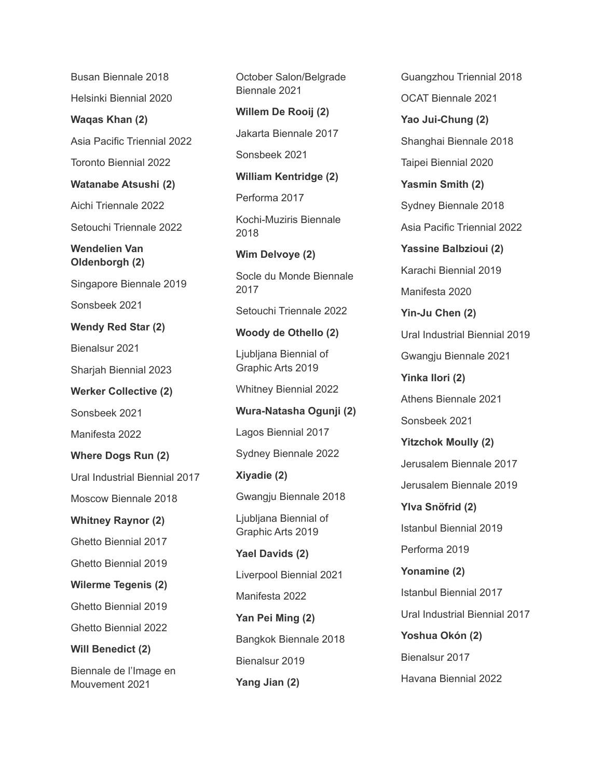Busan Biennale 2018 Helsinki Biennial 2020 **Waqas Khan (2)** Asia Pacific Triennial 2022 Toronto Biennial 2022 **Watanabe Atsushi (2)** Aichi Triennale 2022 Setouchi Triennale 2022 **Wendelien Van Oldenborgh (2)** Singapore Biennale 2019 Sonsbeek 2021 **Wendy Red Star (2)** Bienalsur 2021 Sharjah Biennial 2023 **Werker Collective (2)** Sonsbeek 2021 Manifesta 2022 **Where Dogs Run (2)** Ural Industrial Biennial 2017 Moscow Biennale 2018 **Whitney Raynor (2)** Ghetto Biennial 2017 Ghetto Biennial 2019 **Wilerme Tegenis (2)** Ghetto Biennial 2019 Ghetto Biennial 2022 **Will Benedict (2)** Biennale de l'Image en Mouvement 2021

October Salon/Belgrade Biennale 2021 **Willem De Rooij (2)** Jakarta Biennale 2017 Sonsbeek 2021 **William Kentridge (2)** Performa 2017 Kochi-Muziris Biennale 2018 **Wim Delvoye (2)** Socle du Monde Biennale 2017 Setouchi Triennale 2022 **Woody de Othello (2)** Ljubljana Biennial of Graphic Arts 2019 Whitney Biennial 2022 **Wura-Natasha Ogunji (2)** Lagos Biennial 2017 Sydney Biennale 2022 **Xiyadie (2)** Gwangju Biennale 2018 Ljubljana Biennial of Graphic Arts 2019 **Yael Davids (2)** Liverpool Biennial 2021 Manifesta 2022 **Yan Pei Ming (2)** Bangkok Biennale 2018 Bienalsur 2019

**Yang Jian (2)**

OCAT Biennale 2021 **Yao Jui-Chung (2)** Shanghai Biennale 2018 Taipei Biennial 2020 **Yasmin Smith (2)** Sydney Biennale 2018 Asia Pacific Triennial 2022 **Yassine Balbzioui (2)** Karachi Biennial 2019 Manifesta 2020 **Yin-Ju Chen (2)** Ural Industrial Biennial 2019 Gwangju Biennale 2021 **Yinka Ilori (2)** Athens Biennale 2021 Sonsbeek 2021 **Yitzchok Moully (2)** Jerusalem Biennale 2017 Jerusalem Biennale 2019 **Ylva Snöfrid (2)** Istanbul Biennial 2019 Performa 2019 **Yonamine (2)** Istanbul Biennial 2017 Ural Industrial Biennial 2017 **Yoshua Okón (2)** Bienalsur 2017 Havana Biennial 2022

Guangzhou Triennial 2018